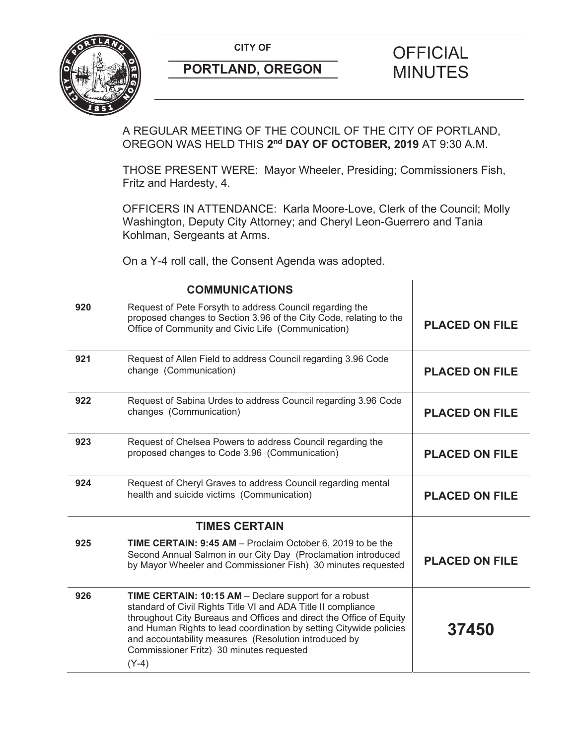

A REGULAR MEETING OF THE COUNCIL OF THE CITY OF PORTLAND, OREGON WAS HELD THIS **2nd DAY OF OCTOBER, 2019** AT 9:30 A.M.

THOSE PRESENT WERE: Mayor Wheeler, Presiding; Commissioners Fish, Fritz and Hardesty, 4.

OFFICERS IN ATTENDANCE: Karla Moore-Love, Clerk of the Council; Molly Washington, Deputy City Attorney; and Cheryl Leon-Guerrero and Tania Kohlman, Sergeants at Arms.

On a Y-4 roll call, the Consent Agenda was adopted.

|     | <b>COMMUNICATIONS</b>                                                                                                                                                                                                                                                                                                                                                               |                       |
|-----|-------------------------------------------------------------------------------------------------------------------------------------------------------------------------------------------------------------------------------------------------------------------------------------------------------------------------------------------------------------------------------------|-----------------------|
| 920 | Request of Pete Forsyth to address Council regarding the<br>proposed changes to Section 3.96 of the City Code, relating to the<br>Office of Community and Civic Life (Communication)                                                                                                                                                                                                | <b>PLACED ON FILE</b> |
| 921 | Request of Allen Field to address Council regarding 3.96 Code<br>change (Communication)                                                                                                                                                                                                                                                                                             | <b>PLACED ON FILE</b> |
| 922 | Request of Sabina Urdes to address Council regarding 3.96 Code<br>changes (Communication)                                                                                                                                                                                                                                                                                           | <b>PLACED ON FILE</b> |
| 923 | Request of Chelsea Powers to address Council regarding the<br>proposed changes to Code 3.96 (Communication)                                                                                                                                                                                                                                                                         | <b>PLACED ON FILE</b> |
| 924 | Request of Cheryl Graves to address Council regarding mental<br>health and suicide victims (Communication)                                                                                                                                                                                                                                                                          | <b>PLACED ON FILE</b> |
|     | <b>TIMES CERTAIN</b>                                                                                                                                                                                                                                                                                                                                                                |                       |
| 925 | TIME CERTAIN: 9:45 AM - Proclaim October 6, 2019 to be the<br>Second Annual Salmon in our City Day (Proclamation introduced<br>by Mayor Wheeler and Commissioner Fish) 30 minutes requested                                                                                                                                                                                         | <b>PLACED ON FILE</b> |
| 926 | TIME CERTAIN: 10:15 AM - Declare support for a robust<br>standard of Civil Rights Title VI and ADA Title II compliance<br>throughout City Bureaus and Offices and direct the Office of Equity<br>and Human Rights to lead coordination by setting Citywide policies<br>and accountability measures (Resolution introduced by<br>Commissioner Fritz) 30 minutes requested<br>$(Y-4)$ | 37450                 |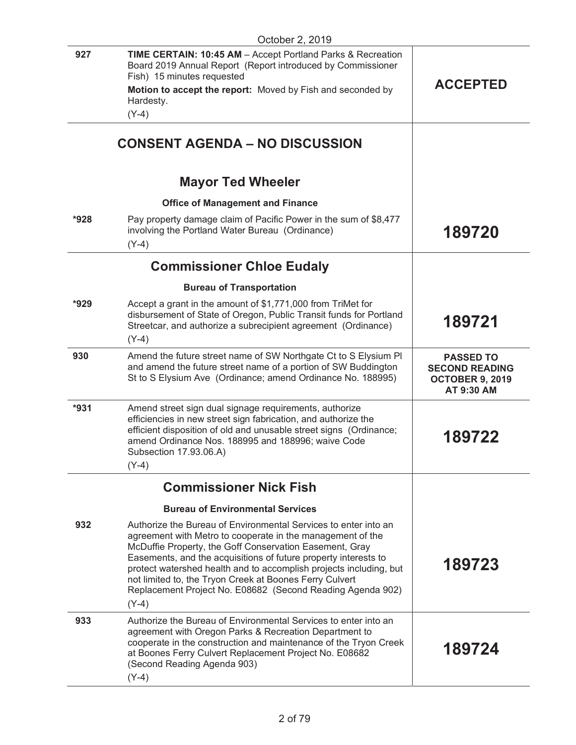| 927<br><b>TIME CERTAIN: 10:45 AM - Accept Portland Parks &amp; Recreation</b><br>Board 2019 Annual Report (Report introduced by Commissioner<br>Fish) 15 minutes requested                                                                                                                                                                                                                                                                                                   | <b>ACCEPTED</b>                                                                   |
|------------------------------------------------------------------------------------------------------------------------------------------------------------------------------------------------------------------------------------------------------------------------------------------------------------------------------------------------------------------------------------------------------------------------------------------------------------------------------|-----------------------------------------------------------------------------------|
|                                                                                                                                                                                                                                                                                                                                                                                                                                                                              |                                                                                   |
| Motion to accept the report: Moved by Fish and seconded by<br>Hardesty.<br>$(Y-4)$                                                                                                                                                                                                                                                                                                                                                                                           |                                                                                   |
|                                                                                                                                                                                                                                                                                                                                                                                                                                                                              |                                                                                   |
| <b>CONSENT AGENDA – NO DISCUSSION</b>                                                                                                                                                                                                                                                                                                                                                                                                                                        |                                                                                   |
| <b>Mayor Ted Wheeler</b>                                                                                                                                                                                                                                                                                                                                                                                                                                                     |                                                                                   |
| <b>Office of Management and Finance</b>                                                                                                                                                                                                                                                                                                                                                                                                                                      |                                                                                   |
| $*928$<br>Pay property damage claim of Pacific Power in the sum of \$8,477<br>involving the Portland Water Bureau (Ordinance)<br>$(Y-4)$                                                                                                                                                                                                                                                                                                                                     | 189720                                                                            |
| <b>Commissioner Chloe Eudaly</b>                                                                                                                                                                                                                                                                                                                                                                                                                                             |                                                                                   |
| <b>Bureau of Transportation</b>                                                                                                                                                                                                                                                                                                                                                                                                                                              |                                                                                   |
| $*929$<br>Accept a grant in the amount of \$1,771,000 from TriMet for                                                                                                                                                                                                                                                                                                                                                                                                        |                                                                                   |
| disbursement of State of Oregon, Public Transit funds for Portland<br>Streetcar, and authorize a subrecipient agreement (Ordinance)<br>$(Y-4)$                                                                                                                                                                                                                                                                                                                               | 189721                                                                            |
| 930<br>Amend the future street name of SW Northgate Ct to S Elysium PI<br>and amend the future street name of a portion of SW Buddington<br>St to S Elysium Ave (Ordinance; amend Ordinance No. 188995)                                                                                                                                                                                                                                                                      | <b>PASSED TO</b><br><b>SECOND READING</b><br><b>OCTOBER 9, 2019</b><br>AT 9:30 AM |
| $*931$<br>Amend street sign dual signage requirements, authorize<br>efficiencies in new street sign fabrication, and authorize the<br>efficient disposition of old and unusable street signs (Ordinance;<br>amend Ordinance Nos. 188995 and 188996; waive Code<br>Subsection 17.93.06.A)<br>$(Y-4)$                                                                                                                                                                          | 189722                                                                            |
| <b>Commissioner Nick Fish</b>                                                                                                                                                                                                                                                                                                                                                                                                                                                |                                                                                   |
| <b>Bureau of Environmental Services</b>                                                                                                                                                                                                                                                                                                                                                                                                                                      |                                                                                   |
| 932<br>Authorize the Bureau of Environmental Services to enter into an<br>agreement with Metro to cooperate in the management of the<br>McDuffie Property, the Goff Conservation Easement, Gray<br>Easements, and the acquisitions of future property interests to<br>protect watershed health and to accomplish projects including, but<br>not limited to, the Tryon Creek at Boones Ferry Culvert<br>Replacement Project No. E08682 (Second Reading Agenda 902)<br>$(Y-4)$ | 189723                                                                            |
| Authorize the Bureau of Environmental Services to enter into an<br>933<br>agreement with Oregon Parks & Recreation Department to<br>cooperate in the construction and maintenance of the Tryon Creek<br>at Boones Ferry Culvert Replacement Project No. E08682<br>(Second Reading Agenda 903)<br>$(Y-4)$                                                                                                                                                                     | 189724                                                                            |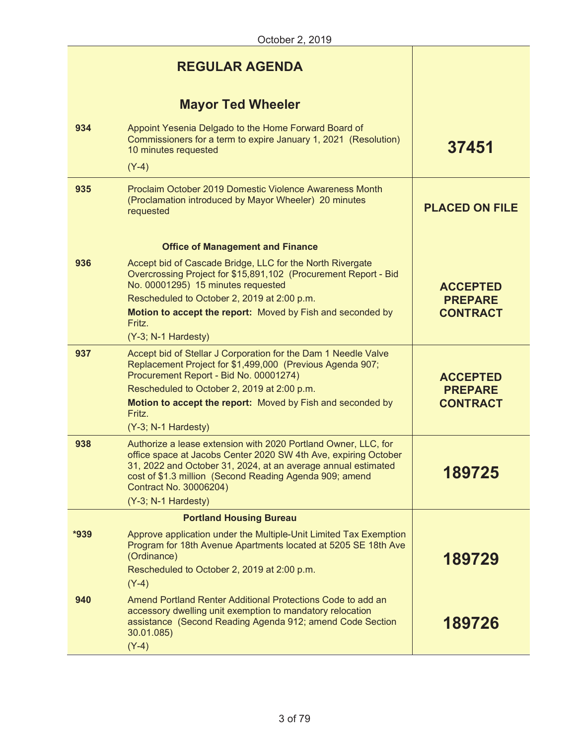# **Mayor Ted Wheeler**

|      | <b>MAYOF TOW PRINCIPLE</b>                                                                                                                                                                                                                                                                                          |                                                      |
|------|---------------------------------------------------------------------------------------------------------------------------------------------------------------------------------------------------------------------------------------------------------------------------------------------------------------------|------------------------------------------------------|
| 934  | Appoint Yesenia Delgado to the Home Forward Board of<br>Commissioners for a term to expire January 1, 2021 (Resolution)<br>10 minutes requested                                                                                                                                                                     | 37451                                                |
|      | $(Y-4)$                                                                                                                                                                                                                                                                                                             |                                                      |
| 935  | Proclaim October 2019 Domestic Violence Awareness Month<br>(Proclamation introduced by Mayor Wheeler) 20 minutes<br>requested                                                                                                                                                                                       | <b>PLACED ON FILE</b>                                |
|      | <b>Office of Management and Finance</b>                                                                                                                                                                                                                                                                             |                                                      |
| 936  | Accept bid of Cascade Bridge, LLC for the North Rivergate<br>Overcrossing Project for \$15,891,102 (Procurement Report - Bid<br>No. 00001295) 15 minutes requested<br>Rescheduled to October 2, 2019 at 2:00 p.m.<br>Motion to accept the report: Moved by Fish and seconded by<br>Fritz.<br>(Y-3; N-1 Hardesty)    | <b>ACCEPTED</b><br><b>PREPARE</b><br><b>CONTRACT</b> |
| 937  | Accept bid of Stellar J Corporation for the Dam 1 Needle Valve<br>Replacement Project for \$1,499,000 (Previous Agenda 907;<br>Procurement Report - Bid No. 00001274)<br>Rescheduled to October 2, 2019 at 2:00 p.m.<br>Motion to accept the report: Moved by Fish and seconded by<br>Fritz.<br>(Y-3; N-1 Hardesty) | <b>ACCEPTED</b><br><b>PREPARE</b><br><b>CONTRACT</b> |
| 938  | Authorize a lease extension with 2020 Portland Owner, LLC, for<br>office space at Jacobs Center 2020 SW 4th Ave, expiring October<br>31, 2022 and October 31, 2024, at an average annual estimated<br>cost of \$1.3 million (Second Reading Agenda 909; amend<br>Contract No. 30006204)<br>(Y-3; N-1 Hardesty)      | 189725                                               |
|      | <b>Portland Housing Bureau</b>                                                                                                                                                                                                                                                                                      |                                                      |
| *939 | Approve application under the Multiple-Unit Limited Tax Exemption<br>Program for 18th Avenue Apartments located at 5205 SE 18th Ave<br>(Ordinance)<br>Rescheduled to October 2, 2019 at 2:00 p.m.<br>$(Y-4)$                                                                                                        | 189729                                               |
| 940  | Amend Portland Renter Additional Protections Code to add an<br>accessory dwelling unit exemption to mandatory relocation<br>assistance (Second Reading Agenda 912; amend Code Section<br>30.01.085)<br>$(Y-4)$                                                                                                      | 189726                                               |
|      |                                                                                                                                                                                                                                                                                                                     |                                                      |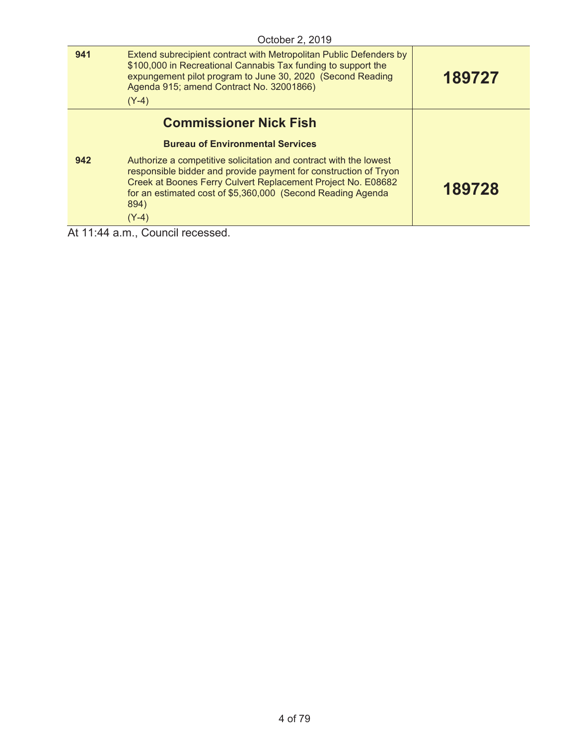|     | October 2, 2019                                                                                                                                                                                                                                                                         |        |
|-----|-----------------------------------------------------------------------------------------------------------------------------------------------------------------------------------------------------------------------------------------------------------------------------------------|--------|
| 941 | Extend subrecipient contract with Metropolitan Public Defenders by<br>\$100,000 in Recreational Cannabis Tax funding to support the<br>expungement pilot program to June 30, 2020 (Second Reading<br>Agenda 915; amend Contract No. 32001866)<br>$(Y-4)$                                | 189727 |
|     | <b>Commissioner Nick Fish</b>                                                                                                                                                                                                                                                           |        |
|     | <b>Bureau of Environmental Services</b>                                                                                                                                                                                                                                                 |        |
| 942 | Authorize a competitive solicitation and contract with the lowest<br>responsible bidder and provide payment for construction of Tryon<br>Creek at Boones Ferry Culvert Replacement Project No. E08682<br>for an estimated cost of \$5,360,000 (Second Reading Agenda<br>894)<br>$(Y-4)$ | 189728 |
|     |                                                                                                                                                                                                                                                                                         |        |

At 11:44 a.m., Council recessed.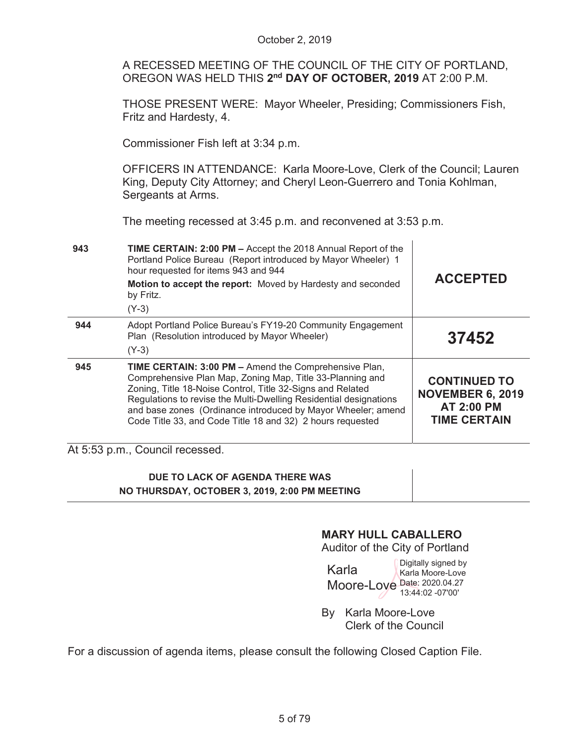|                                                                                                                                      | October 2, 2019                                                                                                                                                                                                                                                                                                                                                                     |                                                                                            |  |
|--------------------------------------------------------------------------------------------------------------------------------------|-------------------------------------------------------------------------------------------------------------------------------------------------------------------------------------------------------------------------------------------------------------------------------------------------------------------------------------------------------------------------------------|--------------------------------------------------------------------------------------------|--|
| A RECESSED MEETING OF THE COUNCIL OF THE CITY OF PORTLAND,<br>OREGON WAS HELD THIS 2 <sup>nd</sup> DAY OF OCTOBER, 2019 AT 2:00 P.M. |                                                                                                                                                                                                                                                                                                                                                                                     |                                                                                            |  |
| THOSE PRESENT WERE: Mayor Wheeler, Presiding; Commissioners Fish,<br>Fritz and Hardesty, 4.                                          |                                                                                                                                                                                                                                                                                                                                                                                     |                                                                                            |  |
|                                                                                                                                      | Commissioner Fish left at 3:34 p.m.                                                                                                                                                                                                                                                                                                                                                 |                                                                                            |  |
|                                                                                                                                      | OFFICERS IN ATTENDANCE: Karla Moore-Love, Clerk of the Council; Lauren<br>King, Deputy City Attorney; and Cheryl Leon-Guerrero and Tonia Kohlman,<br>Sergeants at Arms.<br>The meeting recessed at 3:45 p.m. and reconvened at 3:53 p.m.                                                                                                                                            |                                                                                            |  |
|                                                                                                                                      |                                                                                                                                                                                                                                                                                                                                                                                     |                                                                                            |  |
| 943                                                                                                                                  | TIME CERTAIN: 2:00 PM - Accept the 2018 Annual Report of the<br>Portland Police Bureau (Report introduced by Mayor Wheeler) 1<br>hour requested for items 943 and 944                                                                                                                                                                                                               |                                                                                            |  |
|                                                                                                                                      | Motion to accept the report: Moved by Hardesty and seconded<br>by Fritz.                                                                                                                                                                                                                                                                                                            | <b>ACCEPTED</b>                                                                            |  |
| 944                                                                                                                                  | $(Y-3)$<br>Adopt Portland Police Bureau's FY19-20 Community Engagement<br>Plan (Resolution introduced by Mayor Wheeler)<br>$(Y-3)$                                                                                                                                                                                                                                                  | 37452                                                                                      |  |
| 945                                                                                                                                  | TIME CERTAIN: 3:00 PM - Amend the Comprehensive Plan,<br>Comprehensive Plan Map, Zoning Map, Title 33-Planning and<br>Zoning, Title 18-Noise Control, Title 32-Signs and Related<br>Regulations to revise the Multi-Dwelling Residential designations<br>and base zones (Ordinance introduced by Mayor Wheeler; amend<br>Code Title 33, and Code Title 18 and 32) 2 hours requested | <b>CONTINUED TO</b><br><b>NOVEMBER 6, 2019</b><br><b>AT 2:00 PM</b><br><b>TIME CERTAIN</b> |  |
|                                                                                                                                      | At 5:53 p.m., Council recessed.                                                                                                                                                                                                                                                                                                                                                     |                                                                                            |  |
|                                                                                                                                      | DUE TO LACK OF AGENDA THERE WAS<br>NO THURSDAY, OCTOBER 3, 2019, 2:00 PM MEETING                                                                                                                                                                                                                                                                                                    |                                                                                            |  |

# **MARY HULL CABALLERO**

Auditor of the City of Portland

Karla Moore-Love Date: 2020.04.27 Digitally signed by Karla Moore-Love 13:44:02 -07'00'

By Karla Moore-Love Clerk of the Council

For a discussion of agenda items, please consult the following Closed Caption File.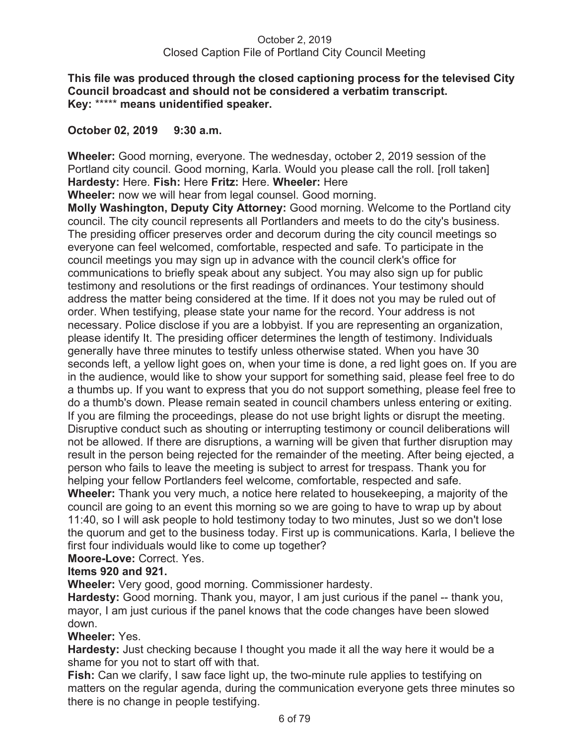## **This file was produced through the closed captioning process for the televised City Council broadcast and should not be considered a verbatim transcript. Key:** \*\*\*\*\* **means unidentified speaker.**

## **October 02, 2019 9:30 a.m.**

**Wheeler:** Good morning, everyone. The wednesday, october 2, 2019 session of the Portland city council. Good morning, Karla. Would you please call the roll. [roll taken] **Hardesty:** Here. **Fish:** Here **Fritz:** Here. **Wheeler:** Here

**Wheeler:** now we will hear from legal counsel. Good morning.

**Molly Washington, Deputy City Attorney:** Good morning. Welcome to the Portland city council. The city council represents all Portlanders and meets to do the city's business. The presiding officer preserves order and decorum during the city council meetings so everyone can feel welcomed, comfortable, respected and safe. To participate in the council meetings you may sign up in advance with the council clerk's office for communications to briefly speak about any subject. You may also sign up for public testimony and resolutions or the first readings of ordinances. Your testimony should address the matter being considered at the time. If it does not you may be ruled out of order. When testifying, please state your name for the record. Your address is not necessary. Police disclose if you are a lobbyist. If you are representing an organization, please identify It. The presiding officer determines the length of testimony. Individuals generally have three minutes to testify unless otherwise stated. When you have 30 seconds left, a yellow light goes on, when your time is done, a red light goes on. If you are in the audience, would like to show your support for something said, please feel free to do a thumbs up. If you want to express that you do not support something, please feel free to do a thumb's down. Please remain seated in council chambers unless entering or exiting. If you are filming the proceedings, please do not use bright lights or disrupt the meeting. Disruptive conduct such as shouting or interrupting testimony or council deliberations will not be allowed. If there are disruptions, a warning will be given that further disruption may result in the person being rejected for the remainder of the meeting. After being ejected, a person who fails to leave the meeting is subject to arrest for trespass. Thank you for helping your fellow Portlanders feel welcome, comfortable, respected and safe. **Wheeler:** Thank you very much, a notice here related to housekeeping, a majority of the council are going to an event this morning so we are going to have to wrap up by about

11:40, so I will ask people to hold testimony today to two minutes, Just so we don't lose the quorum and get to the business today. First up is communications. Karla, I believe the first four individuals would like to come up together?

**Moore-Love:** Correct. Yes.

# **Items 920 and 921.**

**Wheeler:** Very good, good morning. Commissioner hardesty.

**Hardesty:** Good morning. Thank you, mayor, I am just curious if the panel -- thank you, mayor, I am just curious if the panel knows that the code changes have been slowed down.

# **Wheeler:** Yes.

**Hardesty:** Just checking because I thought you made it all the way here it would be a shame for you not to start off with that.

**Fish:** Can we clarify, I saw face light up, the two-minute rule applies to testifying on matters on the regular agenda, during the communication everyone gets three minutes so there is no change in people testifying.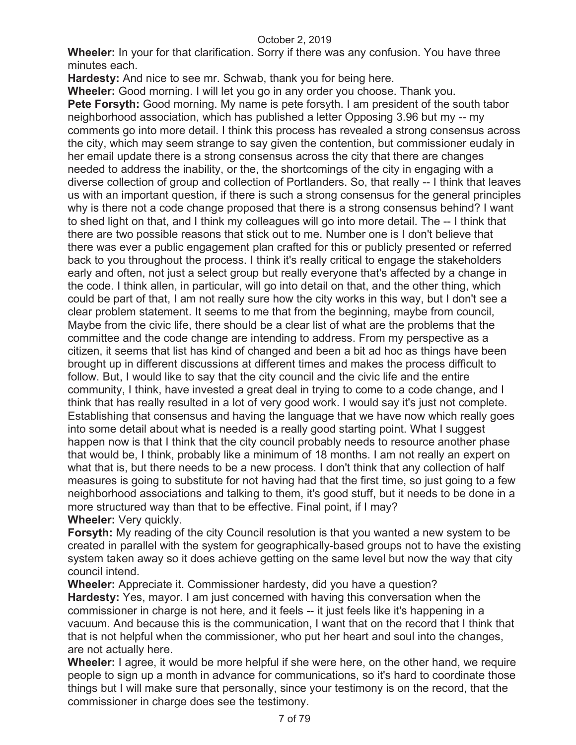**Wheeler:** In your for that clarification. Sorry if there was any confusion. You have three minutes each.

**Hardesty:** And nice to see mr. Schwab, thank you for being here.

**Wheeler:** Good morning. I will let you go in any order you choose. Thank you. **Pete Forsyth:** Good morning. My name is pete forsyth. I am president of the south tabor neighborhood association, which has published a letter Opposing 3.96 but my -- my comments go into more detail. I think this process has revealed a strong consensus across the city, which may seem strange to say given the contention, but commissioner eudaly in her email update there is a strong consensus across the city that there are changes needed to address the inability, or the, the shortcomings of the city in engaging with a diverse collection of group and collection of Portlanders. So, that really -- I think that leaves us with an important question, if there is such a strong consensus for the general principles why is there not a code change proposed that there is a strong consensus behind? I want to shed light on that, and I think my colleagues will go into more detail. The -- I think that there are two possible reasons that stick out to me. Number one is I don't believe that there was ever a public engagement plan crafted for this or publicly presented or referred back to you throughout the process. I think it's really critical to engage the stakeholders early and often, not just a select group but really everyone that's affected by a change in the code. I think allen, in particular, will go into detail on that, and the other thing, which could be part of that, I am not really sure how the city works in this way, but I don't see a clear problem statement. It seems to me that from the beginning, maybe from council, Maybe from the civic life, there should be a clear list of what are the problems that the committee and the code change are intending to address. From my perspective as a citizen, it seems that list has kind of changed and been a bit ad hoc as things have been brought up in different discussions at different times and makes the process difficult to follow. But, I would like to say that the city council and the civic life and the entire community, I think, have invested a great deal in trying to come to a code change, and I think that has really resulted in a lot of very good work. I would say it's just not complete. Establishing that consensus and having the language that we have now which really goes into some detail about what is needed is a really good starting point. What I suggest happen now is that I think that the city council probably needs to resource another phase that would be, I think, probably like a minimum of 18 months. I am not really an expert on what that is, but there needs to be a new process. I don't think that any collection of half measures is going to substitute for not having had that the first time, so just going to a few neighborhood associations and talking to them, it's good stuff, but it needs to be done in a more structured way than that to be effective. Final point, if I may? **Wheeler:** Very quickly.

**Forsyth:** My reading of the city Council resolution is that you wanted a new system to be created in parallel with the system for geographically-based groups not to have the existing system taken away so it does achieve getting on the same level but now the way that city council intend.

**Wheeler:** Appreciate it. Commissioner hardesty, did you have a question? **Hardesty:** Yes, mayor. I am just concerned with having this conversation when the commissioner in charge is not here, and it feels -- it just feels like it's happening in a vacuum. And because this is the communication, I want that on the record that I think that that is not helpful when the commissioner, who put her heart and soul into the changes, are not actually here.

**Wheeler:** I agree, it would be more helpful if she were here, on the other hand, we require people to sign up a month in advance for communications, so it's hard to coordinate those things but I will make sure that personally, since your testimony is on the record, that the commissioner in charge does see the testimony.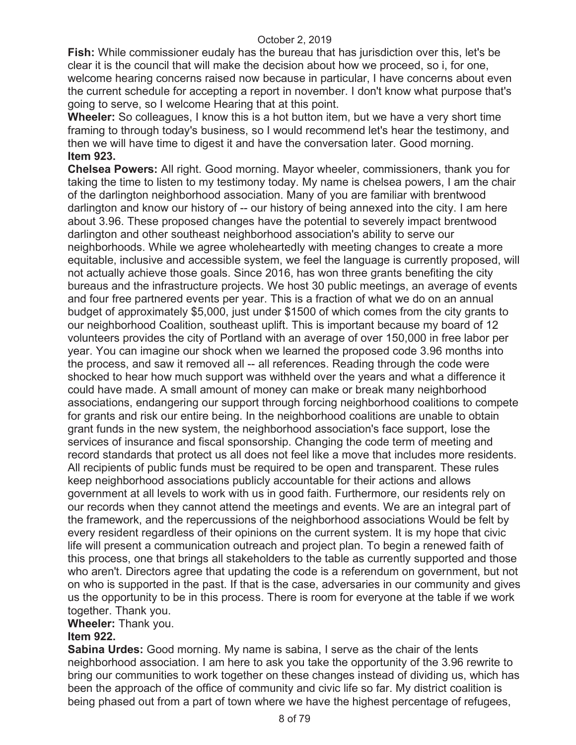**Fish:** While commissioner eudaly has the bureau that has jurisdiction over this, let's be clear it is the council that will make the decision about how we proceed, so i, for one, welcome hearing concerns raised now because in particular, I have concerns about even the current schedule for accepting a report in november. I don't know what purpose that's going to serve, so I welcome Hearing that at this point.

**Wheeler:** So colleagues, I know this is a hot button item, but we have a very short time framing to through today's business, so I would recommend let's hear the testimony, and then we will have time to digest it and have the conversation later. Good morning. **Item 923.** 

**Chelsea Powers:** All right. Good morning. Mayor wheeler, commissioners, thank you for taking the time to listen to my testimony today. My name is chelsea powers, I am the chair of the darlington neighborhood association. Many of you are familiar with brentwood darlington and know our history of -- our history of being annexed into the city. I am here about 3.96. These proposed changes have the potential to severely impact brentwood darlington and other southeast neighborhood association's ability to serve our neighborhoods. While we agree wholeheartedly with meeting changes to create a more equitable, inclusive and accessible system, we feel the language is currently proposed, will not actually achieve those goals. Since 2016, has won three grants benefiting the city bureaus and the infrastructure projects. We host 30 public meetings, an average of events and four free partnered events per year. This is a fraction of what we do on an annual budget of approximately \$5,000, just under \$1500 of which comes from the city grants to our neighborhood Coalition, southeast uplift. This is important because my board of 12 volunteers provides the city of Portland with an average of over 150,000 in free labor per year. You can imagine our shock when we learned the proposed code 3.96 months into the process, and saw it removed all -- all references. Reading through the code were shocked to hear how much support was withheld over the years and what a difference it could have made. A small amount of money can make or break many neighborhood associations, endangering our support through forcing neighborhood coalitions to compete for grants and risk our entire being. In the neighborhood coalitions are unable to obtain grant funds in the new system, the neighborhood association's face support, lose the services of insurance and fiscal sponsorship. Changing the code term of meeting and record standards that protect us all does not feel like a move that includes more residents. All recipients of public funds must be required to be open and transparent. These rules keep neighborhood associations publicly accountable for their actions and allows government at all levels to work with us in good faith. Furthermore, our residents rely on our records when they cannot attend the meetings and events. We are an integral part of the framework, and the repercussions of the neighborhood associations Would be felt by every resident regardless of their opinions on the current system. It is my hope that civic life will present a communication outreach and project plan. To begin a renewed faith of this process, one that brings all stakeholders to the table as currently supported and those who aren't. Directors agree that updating the code is a referendum on government, but not on who is supported in the past. If that is the case, adversaries in our community and gives us the opportunity to be in this process. There is room for everyone at the table if we work together. Thank you.

## **Wheeler:** Thank you.

# **Item 922.**

**Sabina Urdes:** Good morning. My name is sabina, I serve as the chair of the lents neighborhood association. I am here to ask you take the opportunity of the 3.96 rewrite to bring our communities to work together on these changes instead of dividing us, which has been the approach of the office of community and civic life so far. My district coalition is being phased out from a part of town where we have the highest percentage of refugees,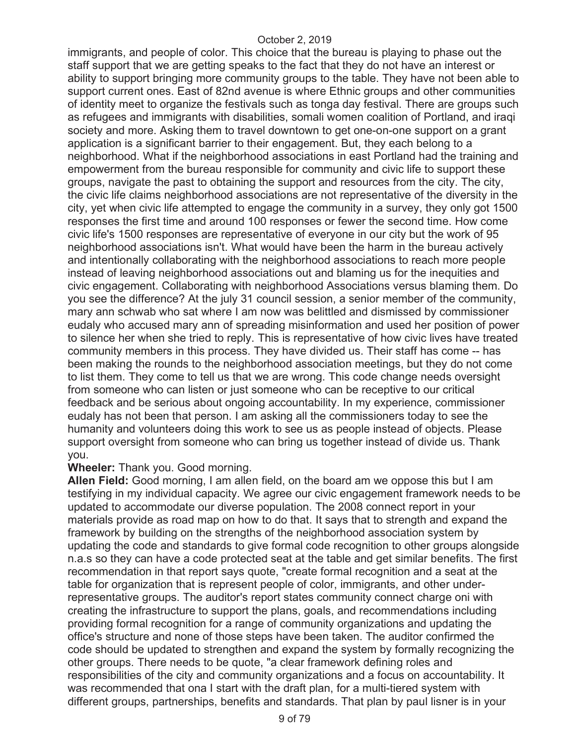immigrants, and people of color. This choice that the bureau is playing to phase out the staff support that we are getting speaks to the fact that they do not have an interest or ability to support bringing more community groups to the table. They have not been able to support current ones. East of 82nd avenue is where Ethnic groups and other communities of identity meet to organize the festivals such as tonga day festival. There are groups such as refugees and immigrants with disabilities, somali women coalition of Portland, and iraqi society and more. Asking them to travel downtown to get one-on-one support on a grant application is a significant barrier to their engagement. But, they each belong to a neighborhood. What if the neighborhood associations in east Portland had the training and empowerment from the bureau responsible for community and civic life to support these groups, navigate the past to obtaining the support and resources from the city. The city, the civic life claims neighborhood associations are not representative of the diversity in the city, yet when civic life attempted to engage the community in a survey, they only got 1500 responses the first time and around 100 responses or fewer the second time. How come civic life's 1500 responses are representative of everyone in our city but the work of 95 neighborhood associations isn't. What would have been the harm in the bureau actively and intentionally collaborating with the neighborhood associations to reach more people instead of leaving neighborhood associations out and blaming us for the inequities and civic engagement. Collaborating with neighborhood Associations versus blaming them. Do you see the difference? At the july 31 council session, a senior member of the community, mary ann schwab who sat where I am now was belittled and dismissed by commissioner eudaly who accused mary ann of spreading misinformation and used her position of power to silence her when she tried to reply. This is representative of how civic lives have treated community members in this process. They have divided us. Their staff has come -- has been making the rounds to the neighborhood association meetings, but they do not come to list them. They come to tell us that we are wrong. This code change needs oversight from someone who can listen or just someone who can be receptive to our critical feedback and be serious about ongoing accountability. In my experience, commissioner eudaly has not been that person. I am asking all the commissioners today to see the humanity and volunteers doing this work to see us as people instead of objects. Please support oversight from someone who can bring us together instead of divide us. Thank you.

## **Wheeler:** Thank you. Good morning.

**Allen Field:** Good morning, I am allen field, on the board am we oppose this but I am testifying in my individual capacity. We agree our civic engagement framework needs to be updated to accommodate our diverse population. The 2008 connect report in your materials provide as road map on how to do that. It says that to strength and expand the framework by building on the strengths of the neighborhood association system by updating the code and standards to give formal code recognition to other groups alongside n.a.s so they can have a code protected seat at the table and get similar benefits. The first recommendation in that report says quote, "create formal recognition and a seat at the table for organization that is represent people of color, immigrants, and other underrepresentative groups. The auditor's report states community connect charge oni with creating the infrastructure to support the plans, goals, and recommendations including providing formal recognition for a range of community organizations and updating the office's structure and none of those steps have been taken. The auditor confirmed the code should be updated to strengthen and expand the system by formally recognizing the other groups. There needs to be quote, "a clear framework defining roles and responsibilities of the city and community organizations and a focus on accountability. It was recommended that ona I start with the draft plan, for a multi-tiered system with different groups, partnerships, benefits and standards. That plan by paul lisner is in your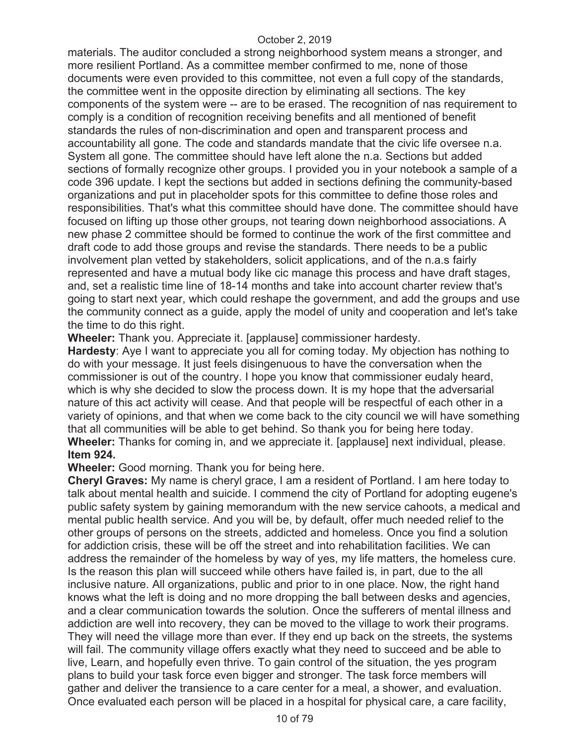materials. The auditor concluded a strong neighborhood system means a stronger, and more resilient Portland. As a committee member confirmed to me, none of those documents were even provided to this committee, not even a full copy of the standards, the committee went in the opposite direction by eliminating all sections. The key components of the system were -- are to be erased. The recognition of nas requirement to comply is a condition of recognition receiving benefits and all mentioned of benefit standards the rules of non-discrimination and open and transparent process and accountability all gone. The code and standards mandate that the civic life oversee n.a. System all gone. The committee should have left alone the n.a. Sections but added sections of formally recognize other groups. I provided you in your notebook a sample of a code 396 update. I kept the sections but added in sections defining the community-based organizations and put in placeholder spots for this committee to define those roles and responsibilities. That's what this committee should have done. The committee should have focused on lifting up those other groups, not tearing down neighborhood associations. A new phase 2 committee should be formed to continue the work of the first committee and draft code to add those groups and revise the standards. There needs to be a public involvement plan vetted by stakeholders, solicit applications, and of the n.a.s fairly represented and have a mutual body like cic manage this process and have draft stages, and, set a realistic time line of 18-14 months and take into account charter review that's going to start next year, which could reshape the government, and add the groups and use the community connect as a guide, apply the model of unity and cooperation and let's take the time to do this right.

**Wheeler:** Thank you. Appreciate it. [applause] commissioner hardesty.

**Hardesty**: Aye I want to appreciate you all for coming today. My objection has nothing to do with your message. It just feels disingenuous to have the conversation when the commissioner is out of the country. I hope you know that commissioner eudaly heard, which is why she decided to slow the process down. It is my hope that the adversarial nature of this act activity will cease. And that people will be respectful of each other in a variety of opinions, and that when we come back to the city council we will have something that all communities will be able to get behind. So thank you for being here today. **Wheeler:** Thanks for coming in, and we appreciate it. [applause] next individual, please. **Item 924.** 

**Wheeler:** Good morning. Thank you for being here.

**Cheryl Graves:** My name is cheryl grace, I am a resident of Portland. I am here today to talk about mental health and suicide. I commend the city of Portland for adopting eugene's public safety system by gaining memorandum with the new service cahoots, a medical and mental public health service. And you will be, by default, offer much needed relief to the other groups of persons on the streets, addicted and homeless. Once you find a solution for addiction crisis, these will be off the street and into rehabilitation facilities. We can address the remainder of the homeless by way of yes, my life matters, the homeless cure. Is the reason this plan will succeed while others have failed is, in part, due to the all inclusive nature. All organizations, public and prior to in one place. Now, the right hand knows what the left is doing and no more dropping the ball between desks and agencies, and a clear communication towards the solution. Once the sufferers of mental illness and addiction are well into recovery, they can be moved to the village to work their programs. They will need the village more than ever. If they end up back on the streets, the systems will fail. The community village offers exactly what they need to succeed and be able to live, Learn, and hopefully even thrive. To gain control of the situation, the yes program plans to build your task force even bigger and stronger. The task force members will gather and deliver the transience to a care center for a meal, a shower, and evaluation. Once evaluated each person will be placed in a hospital for physical care, a care facility,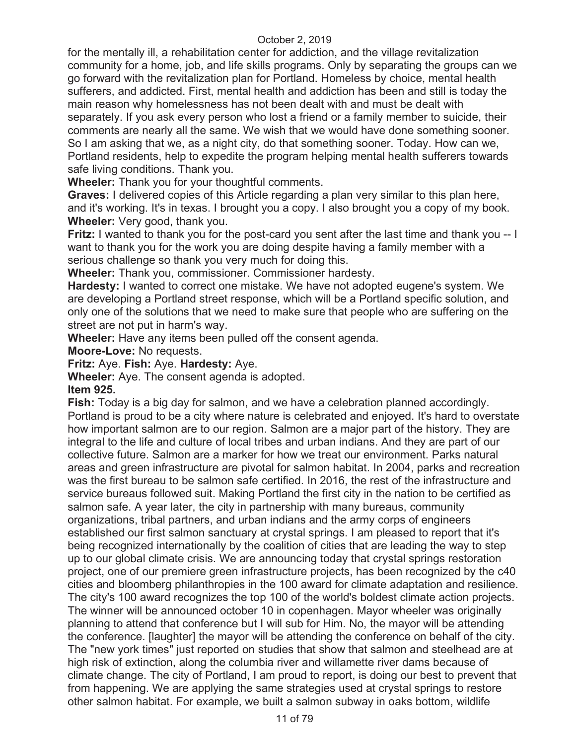for the mentally ill, a rehabilitation center for addiction, and the village revitalization community for a home, job, and life skills programs. Only by separating the groups can we go forward with the revitalization plan for Portland. Homeless by choice, mental health sufferers, and addicted. First, mental health and addiction has been and still is today the main reason why homelessness has not been dealt with and must be dealt with separately. If you ask every person who lost a friend or a family member to suicide, their comments are nearly all the same. We wish that we would have done something sooner. So I am asking that we, as a night city, do that something sooner. Today. How can we, Portland residents, help to expedite the program helping mental health sufferers towards safe living conditions. Thank you.

**Wheeler:** Thank you for your thoughtful comments.

**Graves:** I delivered copies of this Article regarding a plan very similar to this plan here, and it's working. It's in texas. I brought you a copy. I also brought you a copy of my book. **Wheeler:** Very good, thank you.

**Fritz:** I wanted to thank you for the post-card you sent after the last time and thank you -- I want to thank you for the work you are doing despite having a family member with a serious challenge so thank you very much for doing this.

**Wheeler:** Thank you, commissioner. Commissioner hardesty.

**Hardesty:** I wanted to correct one mistake. We have not adopted eugene's system. We are developing a Portland street response, which will be a Portland specific solution, and only one of the solutions that we need to make sure that people who are suffering on the street are not put in harm's way.

**Wheeler:** Have any items been pulled off the consent agenda.

**Moore-Love:** No requests.

**Fritz:** Aye. **Fish:** Aye. **Hardesty:** Aye.

**Wheeler:** Aye. The consent agenda is adopted.

**Item 925.** 

**Fish:** Today is a big day for salmon, and we have a celebration planned accordingly. Portland is proud to be a city where nature is celebrated and enjoyed. It's hard to overstate how important salmon are to our region. Salmon are a major part of the history. They are integral to the life and culture of local tribes and urban indians. And they are part of our collective future. Salmon are a marker for how we treat our environment. Parks natural areas and green infrastructure are pivotal for salmon habitat. In 2004, parks and recreation was the first bureau to be salmon safe certified. In 2016, the rest of the infrastructure and service bureaus followed suit. Making Portland the first city in the nation to be certified as salmon safe. A year later, the city in partnership with many bureaus, community organizations, tribal partners, and urban indians and the army corps of engineers established our first salmon sanctuary at crystal springs. I am pleased to report that it's being recognized internationally by the coalition of cities that are leading the way to step up to our global climate crisis. We are announcing today that crystal springs restoration project, one of our premiere green infrastructure projects, has been recognized by the c40 cities and bloomberg philanthropies in the 100 award for climate adaptation and resilience. The city's 100 award recognizes the top 100 of the world's boldest climate action projects. The winner will be announced october 10 in copenhagen. Mayor wheeler was originally planning to attend that conference but I will sub for Him. No, the mayor will be attending the conference. [laughter] the mayor will be attending the conference on behalf of the city. The "new york times" just reported on studies that show that salmon and steelhead are at high risk of extinction, along the columbia river and willamette river dams because of climate change. The city of Portland, I am proud to report, is doing our best to prevent that from happening. We are applying the same strategies used at crystal springs to restore other salmon habitat. For example, we built a salmon subway in oaks bottom, wildlife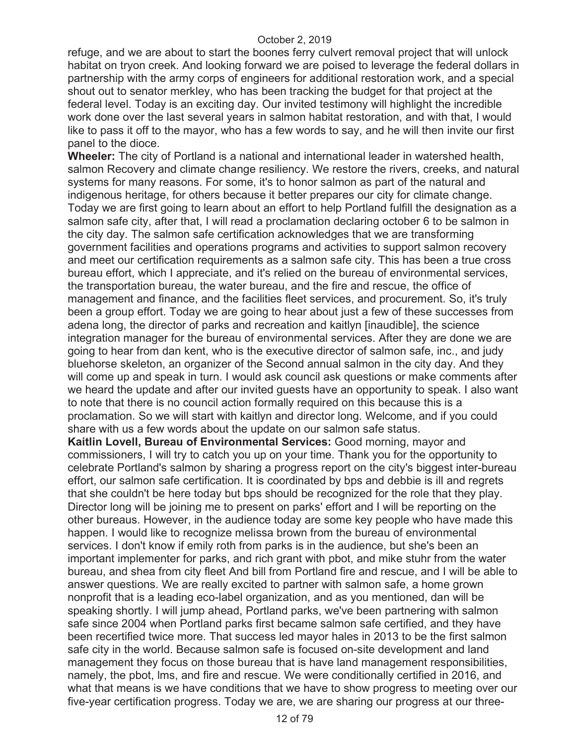refuge, and we are about to start the boones ferry culvert removal project that will unlock habitat on tryon creek. And looking forward we are poised to leverage the federal dollars in partnership with the army corps of engineers for additional restoration work, and a special shout out to senator merkley, who has been tracking the budget for that project at the federal level. Today is an exciting day. Our invited testimony will highlight the incredible work done over the last several years in salmon habitat restoration, and with that, I would like to pass it off to the mayor, who has a few words to say, and he will then invite our first panel to the dioce.

**Wheeler:** The city of Portland is a national and international leader in watershed health, salmon Recovery and climate change resiliency. We restore the rivers, creeks, and natural systems for many reasons. For some, it's to honor salmon as part of the natural and indigenous heritage, for others because it better prepares our city for climate change. Today we are first going to learn about an effort to help Portland fulfill the designation as a salmon safe city, after that, I will read a proclamation declaring october 6 to be salmon in the city day. The salmon safe certification acknowledges that we are transforming government facilities and operations programs and activities to support salmon recovery and meet our certification requirements as a salmon safe city. This has been a true cross bureau effort, which I appreciate, and it's relied on the bureau of environmental services, the transportation bureau, the water bureau, and the fire and rescue, the office of management and finance, and the facilities fleet services, and procurement. So, it's truly been a group effort. Today we are going to hear about just a few of these successes from adena long, the director of parks and recreation and kaitlyn [inaudible], the science integration manager for the bureau of environmental services. After they are done we are going to hear from dan kent, who is the executive director of salmon safe, inc., and judy bluehorse skeleton, an organizer of the Second annual salmon in the city day. And they will come up and speak in turn. I would ask council ask questions or make comments after we heard the update and after our invited guests have an opportunity to speak. I also want to note that there is no council action formally required on this because this is a proclamation. So we will start with kaitlyn and director long. Welcome, and if you could share with us a few words about the update on our salmon safe status.

**Kaitlin Lovell, Bureau of Environmental Services:** Good morning, mayor and commissioners, I will try to catch you up on your time. Thank you for the opportunity to celebrate Portland's salmon by sharing a progress report on the city's biggest inter-bureau effort, our salmon safe certification. It is coordinated by bps and debbie is ill and regrets that she couldn't be here today but bps should be recognized for the role that they play. Director long will be joining me to present on parks' effort and I will be reporting on the other bureaus. However, in the audience today are some key people who have made this happen. I would like to recognize melissa brown from the bureau of environmental services. I don't know if emily roth from parks is in the audience, but she's been an important implementer for parks, and rich grant with pbot, and mike stuhr from the water bureau, and shea from city fleet And bill from Portland fire and rescue, and I will be able to answer questions. We are really excited to partner with salmon safe, a home grown nonprofit that is a leading eco-label organization, and as you mentioned, dan will be speaking shortly. I will jump ahead, Portland parks, we've been partnering with salmon safe since 2004 when Portland parks first became salmon safe certified, and they have been recertified twice more. That success led mayor hales in 2013 to be the first salmon safe city in the world. Because salmon safe is focused on-site development and land management they focus on those bureau that is have land management responsibilities, namely, the pbot, lms, and fire and rescue. We were conditionally certified in 2016, and what that means is we have conditions that we have to show progress to meeting over our five-year certification progress. Today we are, we are sharing our progress at our three-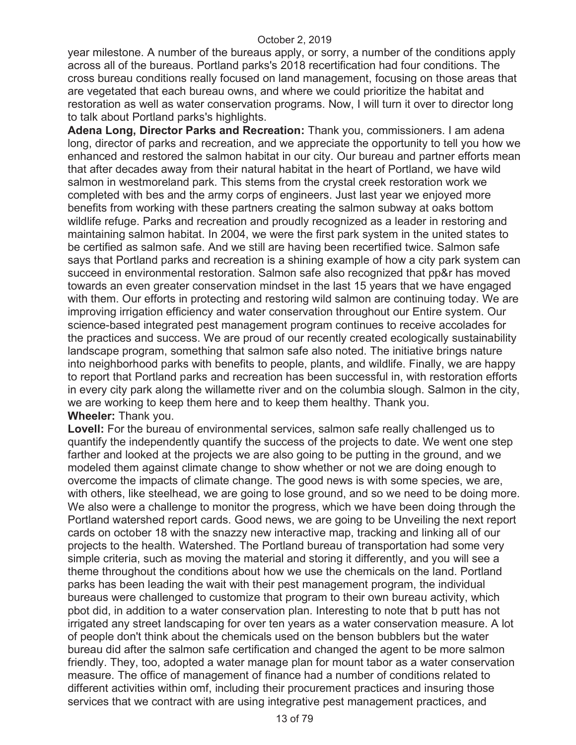year milestone. A number of the bureaus apply, or sorry, a number of the conditions apply across all of the bureaus. Portland parks's 2018 recertification had four conditions. The cross bureau conditions really focused on land management, focusing on those areas that are vegetated that each bureau owns, and where we could prioritize the habitat and restoration as well as water conservation programs. Now, I will turn it over to director long to talk about Portland parks's highlights.

**Adena Long, Director Parks and Recreation:** Thank you, commissioners. I am adena long, director of parks and recreation, and we appreciate the opportunity to tell you how we enhanced and restored the salmon habitat in our city. Our bureau and partner efforts mean that after decades away from their natural habitat in the heart of Portland, we have wild salmon in westmoreland park. This stems from the crystal creek restoration work we completed with bes and the army corps of engineers. Just last year we enjoyed more benefits from working with these partners creating the salmon subway at oaks bottom wildlife refuge. Parks and recreation and proudly recognized as a leader in restoring and maintaining salmon habitat. In 2004, we were the first park system in the united states to be certified as salmon safe. And we still are having been recertified twice. Salmon safe says that Portland parks and recreation is a shining example of how a city park system can succeed in environmental restoration. Salmon safe also recognized that pp&r has moved towards an even greater conservation mindset in the last 15 years that we have engaged with them. Our efforts in protecting and restoring wild salmon are continuing today. We are improving irrigation efficiency and water conservation throughout our Entire system. Our science-based integrated pest management program continues to receive accolades for the practices and success. We are proud of our recently created ecologically sustainability landscape program, something that salmon safe also noted. The initiative brings nature into neighborhood parks with benefits to people, plants, and wildlife. Finally, we are happy to report that Portland parks and recreation has been successful in, with restoration efforts in every city park along the willamette river and on the columbia slough. Salmon in the city, we are working to keep them here and to keep them healthy. Thank you. **Wheeler:** Thank you.

**Lovell:** For the bureau of environmental services, salmon safe really challenged us to quantify the independently quantify the success of the projects to date. We went one step farther and looked at the projects we are also going to be putting in the ground, and we modeled them against climate change to show whether or not we are doing enough to overcome the impacts of climate change. The good news is with some species, we are, with others, like steelhead, we are going to lose ground, and so we need to be doing more. We also were a challenge to monitor the progress, which we have been doing through the Portland watershed report cards. Good news, we are going to be Unveiling the next report cards on october 18 with the snazzy new interactive map, tracking and linking all of our projects to the health. Watershed. The Portland bureau of transportation had some very simple criteria, such as moving the material and storing it differently, and you will see a theme throughout the conditions about how we use the chemicals on the land. Portland parks has been leading the wait with their pest management program, the individual bureaus were challenged to customize that program to their own bureau activity, which pbot did, in addition to a water conservation plan. Interesting to note that b putt has not irrigated any street landscaping for over ten years as a water conservation measure. A lot of people don't think about the chemicals used on the benson bubblers but the water bureau did after the salmon safe certification and changed the agent to be more salmon friendly. They, too, adopted a water manage plan for mount tabor as a water conservation measure. The office of management of finance had a number of conditions related to different activities within omf, including their procurement practices and insuring those services that we contract with are using integrative pest management practices, and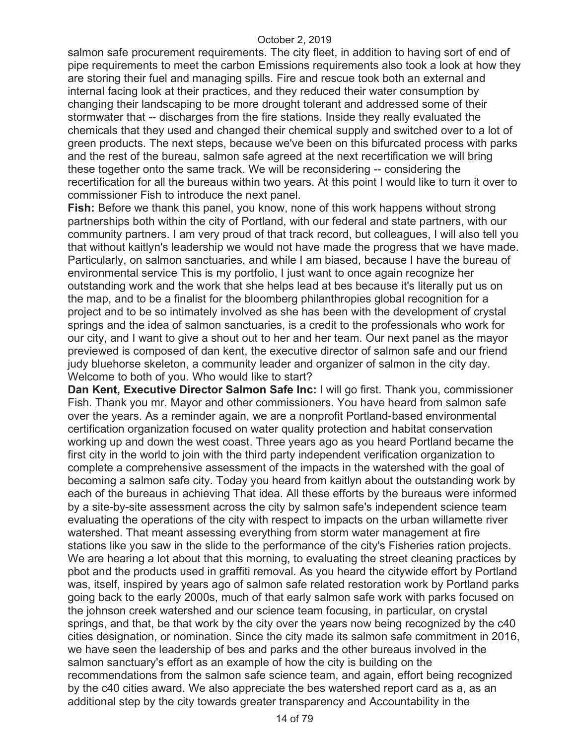salmon safe procurement requirements. The city fleet, in addition to having sort of end of pipe requirements to meet the carbon Emissions requirements also took a look at how they are storing their fuel and managing spills. Fire and rescue took both an external and internal facing look at their practices, and they reduced their water consumption by changing their landscaping to be more drought tolerant and addressed some of their stormwater that -- discharges from the fire stations. Inside they really evaluated the chemicals that they used and changed their chemical supply and switched over to a lot of green products. The next steps, because we've been on this bifurcated process with parks and the rest of the bureau, salmon safe agreed at the next recertification we will bring these together onto the same track. We will be reconsidering -- considering the recertification for all the bureaus within two years. At this point I would like to turn it over to commissioner Fish to introduce the next panel.

**Fish:** Before we thank this panel, you know, none of this work happens without strong partnerships both within the city of Portland, with our federal and state partners, with our community partners. I am very proud of that track record, but colleagues, I will also tell you that without kaitlyn's leadership we would not have made the progress that we have made. Particularly, on salmon sanctuaries, and while I am biased, because I have the bureau of environmental service This is my portfolio, I just want to once again recognize her outstanding work and the work that she helps lead at bes because it's literally put us on the map, and to be a finalist for the bloomberg philanthropies global recognition for a project and to be so intimately involved as she has been with the development of crystal springs and the idea of salmon sanctuaries, is a credit to the professionals who work for our city, and I want to give a shout out to her and her team. Our next panel as the mayor previewed is composed of dan kent, the executive director of salmon safe and our friend judy bluehorse skeleton, a community leader and organizer of salmon in the city day. Welcome to both of you. Who would like to start?

**Dan Kent, Executive Director Salmon Safe Inc:** I will go first. Thank you, commissioner Fish. Thank you mr. Mayor and other commissioners. You have heard from salmon safe over the years. As a reminder again, we are a nonprofit Portland-based environmental certification organization focused on water quality protection and habitat conservation working up and down the west coast. Three years ago as you heard Portland became the first city in the world to join with the third party independent verification organization to complete a comprehensive assessment of the impacts in the watershed with the goal of becoming a salmon safe city. Today you heard from kaitlyn about the outstanding work by each of the bureaus in achieving That idea. All these efforts by the bureaus were informed by a site-by-site assessment across the city by salmon safe's independent science team evaluating the operations of the city with respect to impacts on the urban willamette river watershed. That meant assessing everything from storm water management at fire stations like you saw in the slide to the performance of the city's Fisheries ration projects. We are hearing a lot about that this morning, to evaluating the street cleaning practices by pbot and the products used in graffiti removal. As you heard the citywide effort by Portland was, itself, inspired by years ago of salmon safe related restoration work by Portland parks going back to the early 2000s, much of that early salmon safe work with parks focused on the johnson creek watershed and our science team focusing, in particular, on crystal springs, and that, be that work by the city over the years now being recognized by the c40 cities designation, or nomination. Since the city made its salmon safe commitment in 2016, we have seen the leadership of bes and parks and the other bureaus involved in the salmon sanctuary's effort as an example of how the city is building on the recommendations from the salmon safe science team, and again, effort being recognized by the c40 cities award. We also appreciate the bes watershed report card as a, as an additional step by the city towards greater transparency and Accountability in the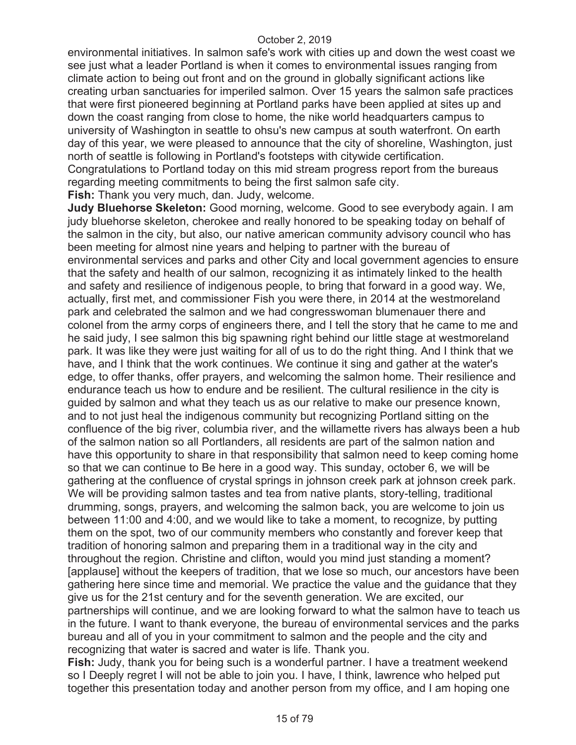environmental initiatives. In salmon safe's work with cities up and down the west coast we see just what a leader Portland is when it comes to environmental issues ranging from climate action to being out front and on the ground in globally significant actions like creating urban sanctuaries for imperiled salmon. Over 15 years the salmon safe practices that were first pioneered beginning at Portland parks have been applied at sites up and down the coast ranging from close to home, the nike world headquarters campus to university of Washington in seattle to ohsu's new campus at south waterfront. On earth day of this year, we were pleased to announce that the city of shoreline, Washington, just north of seattle is following in Portland's footsteps with citywide certification. Congratulations to Portland today on this mid stream progress report from the bureaus regarding meeting commitments to being the first salmon safe city. **Fish:** Thank you very much, dan. Judy, welcome.

**Judy Bluehorse Skeleton:** Good morning, welcome. Good to see everybody again. I am judy bluehorse skeleton, cherokee and really honored to be speaking today on behalf of the salmon in the city, but also, our native american community advisory council who has been meeting for almost nine years and helping to partner with the bureau of environmental services and parks and other City and local government agencies to ensure that the safety and health of our salmon, recognizing it as intimately linked to the health and safety and resilience of indigenous people, to bring that forward in a good way. We, actually, first met, and commissioner Fish you were there, in 2014 at the westmoreland park and celebrated the salmon and we had congresswoman blumenauer there and colonel from the army corps of engineers there, and I tell the story that he came to me and he said judy, I see salmon this big spawning right behind our little stage at westmoreland park. It was like they were just waiting for all of us to do the right thing. And I think that we have, and I think that the work continues. We continue it sing and gather at the water's edge, to offer thanks, offer prayers, and welcoming the salmon home. Their resilience and endurance teach us how to endure and be resilient. The cultural resilience in the city is guided by salmon and what they teach us as our relative to make our presence known, and to not just heal the indigenous community but recognizing Portland sitting on the confluence of the big river, columbia river, and the willamette rivers has always been a hub of the salmon nation so all Portlanders, all residents are part of the salmon nation and have this opportunity to share in that responsibility that salmon need to keep coming home so that we can continue to Be here in a good way. This sunday, october 6, we will be gathering at the confluence of crystal springs in johnson creek park at johnson creek park. We will be providing salmon tastes and tea from native plants, story-telling, traditional drumming, songs, prayers, and welcoming the salmon back, you are welcome to join us between 11:00 and 4:00, and we would like to take a moment, to recognize, by putting them on the spot, two of our community members who constantly and forever keep that tradition of honoring salmon and preparing them in a traditional way in the city and throughout the region. Christine and clifton, would you mind just standing a moment? [applause] without the keepers of tradition, that we lose so much, our ancestors have been gathering here since time and memorial. We practice the value and the guidance that they give us for the 21st century and for the seventh generation. We are excited, our partnerships will continue, and we are looking forward to what the salmon have to teach us in the future. I want to thank everyone, the bureau of environmental services and the parks bureau and all of you in your commitment to salmon and the people and the city and recognizing that water is sacred and water is life. Thank you.

**Fish:** Judy, thank you for being such is a wonderful partner. I have a treatment weekend so I Deeply regret I will not be able to join you. I have, I think, lawrence who helped put together this presentation today and another person from my office, and I am hoping one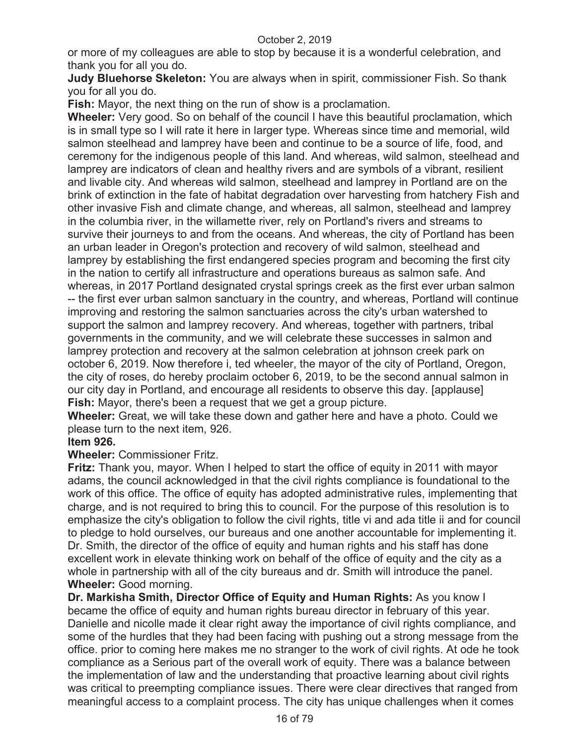or more of my colleagues are able to stop by because it is a wonderful celebration, and thank you for all you do.

**Judy Bluehorse Skeleton:** You are always when in spirit, commissioner Fish. So thank you for all you do.

**Fish:** Mayor, the next thing on the run of show is a proclamation.

**Wheeler:** Very good. So on behalf of the council I have this beautiful proclamation, which is in small type so I will rate it here in larger type. Whereas since time and memorial, wild salmon steelhead and lamprey have been and continue to be a source of life, food, and ceremony for the indigenous people of this land. And whereas, wild salmon, steelhead and lamprey are indicators of clean and healthy rivers and are symbols of a vibrant, resilient and livable city. And whereas wild salmon, steelhead and lamprey in Portland are on the brink of extinction in the fate of habitat degradation over harvesting from hatchery Fish and other invasive Fish and climate change, and whereas, all salmon, steelhead and lamprey in the columbia river, in the willamette river, rely on Portland's rivers and streams to survive their journeys to and from the oceans. And whereas, the city of Portland has been an urban leader in Oregon's protection and recovery of wild salmon, steelhead and lamprey by establishing the first endangered species program and becoming the first city in the nation to certify all infrastructure and operations bureaus as salmon safe. And whereas, in 2017 Portland designated crystal springs creek as the first ever urban salmon -- the first ever urban salmon sanctuary in the country, and whereas, Portland will continue improving and restoring the salmon sanctuaries across the city's urban watershed to support the salmon and lamprey recovery. And whereas, together with partners, tribal governments in the community, and we will celebrate these successes in salmon and lamprey protection and recovery at the salmon celebration at johnson creek park on october 6, 2019. Now therefore i, ted wheeler, the mayor of the city of Portland, Oregon, the city of roses, do hereby proclaim october 6, 2019, to be the second annual salmon in our city day in Portland, and encourage all residents to observe this day. [applause] **Fish:** Mayor, there's been a request that we get a group picture.

**Wheeler:** Great, we will take these down and gather here and have a photo. Could we please turn to the next item, 926.

# **Item 926.**

**Wheeler:** Commissioner Fritz.

**Fritz:** Thank you, mayor. When I helped to start the office of equity in 2011 with mayor adams, the council acknowledged in that the civil rights compliance is foundational to the work of this office. The office of equity has adopted administrative rules, implementing that charge, and is not required to bring this to council. For the purpose of this resolution is to emphasize the city's obligation to follow the civil rights, title vi and ada title ii and for council to pledge to hold ourselves, our bureaus and one another accountable for implementing it. Dr. Smith, the director of the office of equity and human rights and his staff has done excellent work in elevate thinking work on behalf of the office of equity and the city as a whole in partnership with all of the city bureaus and dr. Smith will introduce the panel. **Wheeler:** Good morning.

**Dr. Markisha Smith, Director Office of Equity and Human Rights:** As you know I became the office of equity and human rights bureau director in february of this year. Danielle and nicolle made it clear right away the importance of civil rights compliance, and some of the hurdles that they had been facing with pushing out a strong message from the office. prior to coming here makes me no stranger to the work of civil rights. At ode he took compliance as a Serious part of the overall work of equity. There was a balance between the implementation of law and the understanding that proactive learning about civil rights was critical to preempting compliance issues. There were clear directives that ranged from meaningful access to a complaint process. The city has unique challenges when it comes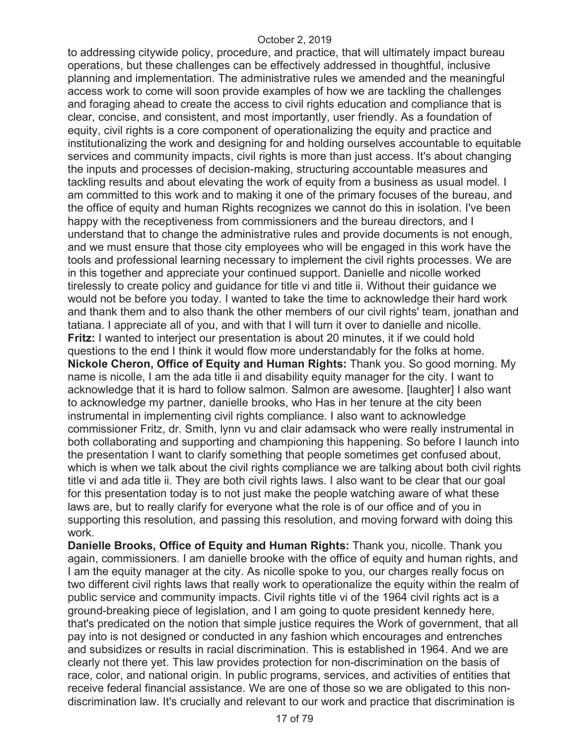to addressing citywide policy, procedure, and practice, that will ultimately impact bureau operations, but these challenges can be effectively addressed in thoughtful, inclusive planning and implementation. The administrative rules we amended and the meaningful access work to come will soon provide examples of how we are tackling the challenges and foraging ahead to create the access to civil rights education and compliance that is clear, concise, and consistent, and most importantly, user friendly. As a foundation of equity, civil rights is a core component of operationalizing the equity and practice and institutionalizing the work and designing for and holding ourselves accountable to equitable services and community impacts, civil rights is more than just access. It's about changing the inputs and processes of decision-making, structuring accountable measures and tackling results and about elevating the work of equity from a business as usual model. I am committed to this work and to making it one of the primary focuses of the bureau, and the office of equity and human Rights recognizes we cannot do this in isolation. I've been happy with the receptiveness from commissioners and the bureau directors, and I understand that to change the administrative rules and provide documents is not enough, and we must ensure that those city employees who will be engaged in this work have the tools and professional learning necessary to implement the civil rights processes. We are in this together and appreciate your continued support. Danielle and nicolle worked tirelessly to create policy and guidance for title vi and title ii. Without their guidance we would not be before you today. I wanted to take the time to acknowledge their hard work and thank them and to also thank the other members of our civil rights' team, jonathan and tatiana. I appreciate all of you, and with that I will turn it over to danielle and nicolle. **Fritz:** I wanted to interject our presentation is about 20 minutes, it if we could hold questions to the end I think it would flow more understandably for the folks at home. **Nickole Cheron, Office of Equity and Human Rights:** Thank you. So good morning. My name is nicolle, I am the ada title ii and disability equity manager for the city. I want to acknowledge that it is hard to follow salmon. Salmon are awesome. [laughter] I also want to acknowledge my partner, danielle brooks, who Has in her tenure at the city been instrumental in implementing civil rights compliance. I also want to acknowledge commissioner Fritz, dr. Smith, lynn vu and clair adamsack who were really instrumental in both collaborating and supporting and championing this happening. So before I launch into the presentation I want to clarify something that people sometimes get confused about, which is when we talk about the civil rights compliance we are talking about both civil rights title vi and ada title ii. They are both civil rights laws. I also want to be clear that our goal for this presentation today is to not just make the people watching aware of what these laws are, but to really clarify for everyone what the role is of our office and of you in supporting this resolution, and passing this resolution, and moving forward with doing this work.

**Danielle Brooks, Office of Equity and Human Rights:** Thank you, nicolle. Thank you again, commissioners. I am danielle brooke with the office of equity and human rights, and I am the equity manager at the city. As nicolle spoke to you, our charges really focus on two different civil rights laws that really work to operationalize the equity within the realm of public service and community impacts. Civil rights title vi of the 1964 civil rights act is a ground-breaking piece of legislation, and I am going to quote president kennedy here, that's predicated on the notion that simple justice requires the Work of government, that all pay into is not designed or conducted in any fashion which encourages and entrenches and subsidizes or results in racial discrimination. This is established in 1964. And we are clearly not there yet. This law provides protection for non-discrimination on the basis of race, color, and national origin. In public programs, services, and activities of entities that receive federal financial assistance. We are one of those so we are obligated to this nondiscrimination law. It's crucially and relevant to our work and practice that discrimination is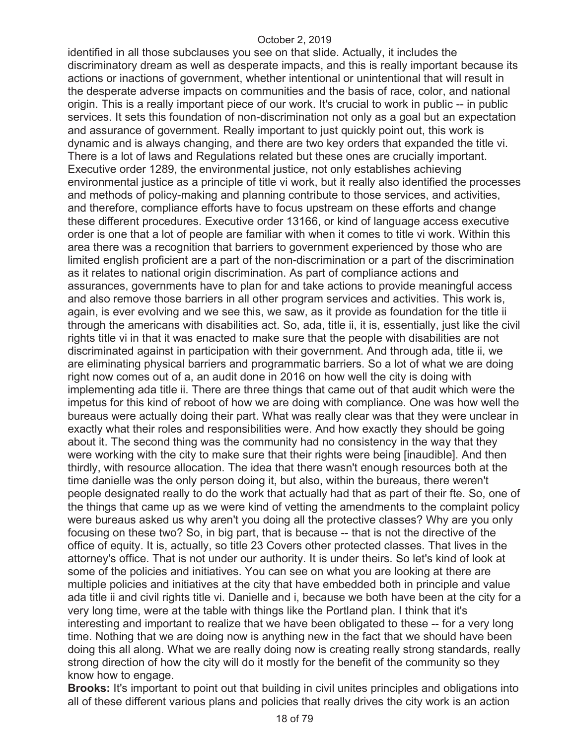identified in all those subclauses you see on that slide. Actually, it includes the discriminatory dream as well as desperate impacts, and this is really important because its actions or inactions of government, whether intentional or unintentional that will result in the desperate adverse impacts on communities and the basis of race, color, and national origin. This is a really important piece of our work. It's crucial to work in public -- in public services. It sets this foundation of non-discrimination not only as a goal but an expectation and assurance of government. Really important to just quickly point out, this work is dynamic and is always changing, and there are two key orders that expanded the title vi. There is a lot of laws and Regulations related but these ones are crucially important. Executive order 1289, the environmental justice, not only establishes achieving environmental justice as a principle of title vi work, but it really also identified the processes and methods of policy-making and planning contribute to those services, and activities, and therefore, compliance efforts have to focus upstream on these efforts and change these different procedures. Executive order 13166, or kind of language access executive order is one that a lot of people are familiar with when it comes to title vi work. Within this area there was a recognition that barriers to government experienced by those who are limited english proficient are a part of the non-discrimination or a part of the discrimination as it relates to national origin discrimination. As part of compliance actions and assurances, governments have to plan for and take actions to provide meaningful access and also remove those barriers in all other program services and activities. This work is, again, is ever evolving and we see this, we saw, as it provide as foundation for the title ii through the americans with disabilities act. So, ada, title ii, it is, essentially, just like the civil rights title vi in that it was enacted to make sure that the people with disabilities are not discriminated against in participation with their government. And through ada, title ii, we are eliminating physical barriers and programmatic barriers. So a lot of what we are doing right now comes out of a, an audit done in 2016 on how well the city is doing with implementing ada title ii. There are three things that came out of that audit which were the impetus for this kind of reboot of how we are doing with compliance. One was how well the bureaus were actually doing their part. What was really clear was that they were unclear in exactly what their roles and responsibilities were. And how exactly they should be going about it. The second thing was the community had no consistency in the way that they were working with the city to make sure that their rights were being [inaudible]. And then thirdly, with resource allocation. The idea that there wasn't enough resources both at the time danielle was the only person doing it, but also, within the bureaus, there weren't people designated really to do the work that actually had that as part of their fte. So, one of the things that came up as we were kind of vetting the amendments to the complaint policy were bureaus asked us why aren't you doing all the protective classes? Why are you only focusing on these two? So, in big part, that is because -- that is not the directive of the office of equity. It is, actually, so title 23 Covers other protected classes. That lives in the attorney's office. That is not under our authority. It is under theirs. So let's kind of look at some of the policies and initiatives. You can see on what you are looking at there are multiple policies and initiatives at the city that have embedded both in principle and value ada title ii and civil rights title vi. Danielle and i, because we both have been at the city for a very long time, were at the table with things like the Portland plan. I think that it's interesting and important to realize that we have been obligated to these -- for a very long time. Nothing that we are doing now is anything new in the fact that we should have been doing this all along. What we are really doing now is creating really strong standards, really strong direction of how the city will do it mostly for the benefit of the community so they know how to engage.

**Brooks:** It's important to point out that building in civil unites principles and obligations into all of these different various plans and policies that really drives the city work is an action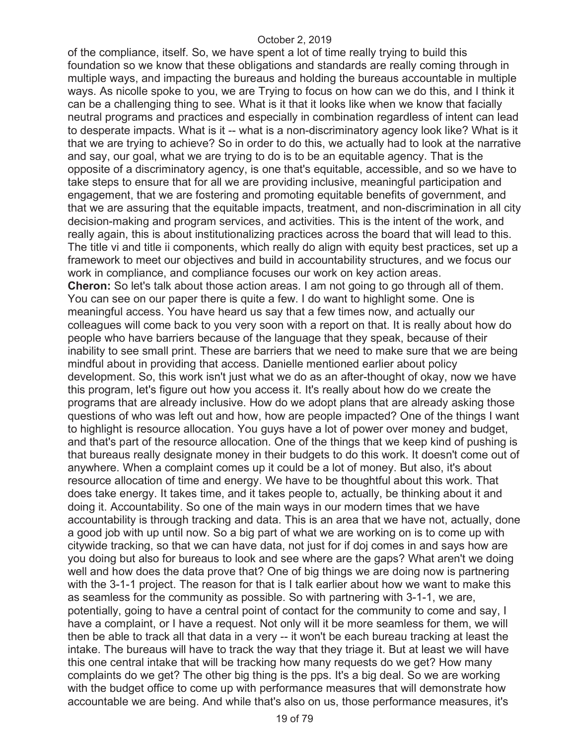of the compliance, itself. So, we have spent a lot of time really trying to build this foundation so we know that these obligations and standards are really coming through in multiple ways, and impacting the bureaus and holding the bureaus accountable in multiple ways. As nicolle spoke to you, we are Trying to focus on how can we do this, and I think it can be a challenging thing to see. What is it that it looks like when we know that facially neutral programs and practices and especially in combination regardless of intent can lead to desperate impacts. What is it -- what is a non-discriminatory agency look like? What is it that we are trying to achieve? So in order to do this, we actually had to look at the narrative and say, our goal, what we are trying to do is to be an equitable agency. That is the opposite of a discriminatory agency, is one that's equitable, accessible, and so we have to take steps to ensure that for all we are providing inclusive, meaningful participation and engagement, that we are fostering and promoting equitable benefits of government, and that we are assuring that the equitable impacts, treatment, and non-discrimination in all city decision-making and program services, and activities. This is the intent of the work, and really again, this is about institutionalizing practices across the board that will lead to this. The title vi and title ii components, which really do align with equity best practices, set up a framework to meet our objectives and build in accountability structures, and we focus our work in compliance, and compliance focuses our work on key action areas. **Cheron:** So let's talk about those action areas. I am not going to go through all of them. You can see on our paper there is quite a few. I do want to highlight some. One is meaningful access. You have heard us say that a few times now, and actually our colleagues will come back to you very soon with a report on that. It is really about how do people who have barriers because of the language that they speak, because of their inability to see small print. These are barriers that we need to make sure that we are being mindful about in providing that access. Danielle mentioned earlier about policy development. So, this work isn't just what we do as an after-thought of okay, now we have this program, let's figure out how you access it. It's really about how do we create the programs that are already inclusive. How do we adopt plans that are already asking those questions of who was left out and how, how are people impacted? One of the things I want to highlight is resource allocation. You guys have a lot of power over money and budget, and that's part of the resource allocation. One of the things that we keep kind of pushing is that bureaus really designate money in their budgets to do this work. It doesn't come out of anywhere. When a complaint comes up it could be a lot of money. But also, it's about resource allocation of time and energy. We have to be thoughtful about this work. That does take energy. It takes time, and it takes people to, actually, be thinking about it and doing it. Accountability. So one of the main ways in our modern times that we have accountability is through tracking and data. This is an area that we have not, actually, done a good job with up until now. So a big part of what we are working on is to come up with citywide tracking, so that we can have data, not just for if doj comes in and says how are you doing but also for bureaus to look and see where are the gaps? What aren't we doing well and how does the data prove that? One of big things we are doing now is partnering with the 3-1-1 project. The reason for that is I talk earlier about how we want to make this as seamless for the community as possible. So with partnering with 3-1-1, we are, potentially, going to have a central point of contact for the community to come and say, I have a complaint, or I have a request. Not only will it be more seamless for them, we will then be able to track all that data in a very -- it won't be each bureau tracking at least the intake. The bureaus will have to track the way that they triage it. But at least we will have this one central intake that will be tracking how many requests do we get? How many complaints do we get? The other big thing is the pps. It's a big deal. So we are working with the budget office to come up with performance measures that will demonstrate how accountable we are being. And while that's also on us, those performance measures, it's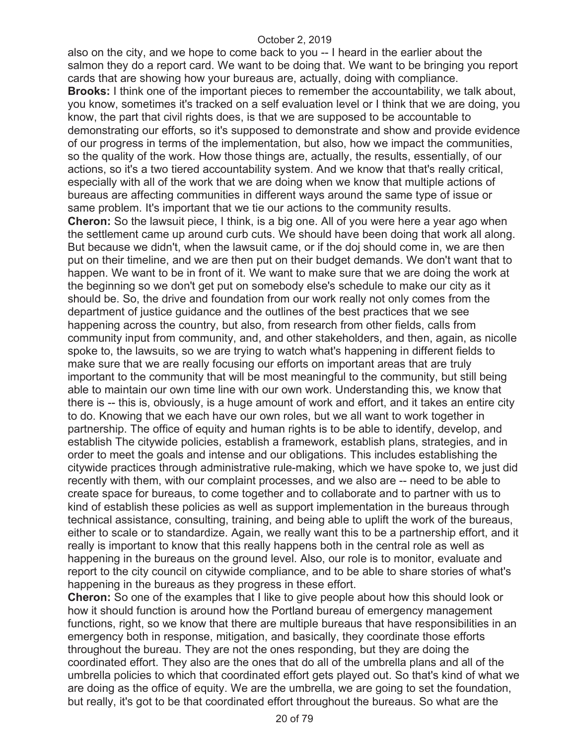also on the city, and we hope to come back to you -- I heard in the earlier about the salmon they do a report card. We want to be doing that. We want to be bringing you report cards that are showing how your bureaus are, actually, doing with compliance. **Brooks:** I think one of the important pieces to remember the accountability, we talk about, you know, sometimes it's tracked on a self evaluation level or I think that we are doing, you know, the part that civil rights does, is that we are supposed to be accountable to demonstrating our efforts, so it's supposed to demonstrate and show and provide evidence of our progress in terms of the implementation, but also, how we impact the communities, so the quality of the work. How those things are, actually, the results, essentially, of our actions, so it's a two tiered accountability system. And we know that that's really critical, especially with all of the work that we are doing when we know that multiple actions of bureaus are affecting communities in different ways around the same type of issue or same problem. It's important that we tie our actions to the community results. **Cheron:** So the lawsuit piece, I think, is a big one. All of you were here a year ago when the settlement came up around curb cuts. We should have been doing that work all along. But because we didn't, when the lawsuit came, or if the doj should come in, we are then put on their timeline, and we are then put on their budget demands. We don't want that to happen. We want to be in front of it. We want to make sure that we are doing the work at the beginning so we don't get put on somebody else's schedule to make our city as it should be. So, the drive and foundation from our work really not only comes from the department of justice guidance and the outlines of the best practices that we see happening across the country, but also, from research from other fields, calls from community input from community, and, and other stakeholders, and then, again, as nicolle spoke to, the lawsuits, so we are trying to watch what's happening in different fields to make sure that we are really focusing our efforts on important areas that are truly important to the community that will be most meaningful to the community, but still being able to maintain our own time line with our own work. Understanding this, we know that there is -- this is, obviously, is a huge amount of work and effort, and it takes an entire city to do. Knowing that we each have our own roles, but we all want to work together in partnership. The office of equity and human rights is to be able to identify, develop, and establish The citywide policies, establish a framework, establish plans, strategies, and in order to meet the goals and intense and our obligations. This includes establishing the citywide practices through administrative rule-making, which we have spoke to, we just did recently with them, with our complaint processes, and we also are -- need to be able to create space for bureaus, to come together and to collaborate and to partner with us to kind of establish these policies as well as support implementation in the bureaus through technical assistance, consulting, training, and being able to uplift the work of the bureaus, either to scale or to standardize. Again, we really want this to be a partnership effort, and it really is important to know that this really happens both in the central role as well as happening in the bureaus on the ground level. Also, our role is to monitor, evaluate and report to the city council on citywide compliance, and to be able to share stories of what's happening in the bureaus as they progress in these effort.

**Cheron:** So one of the examples that I like to give people about how this should look or how it should function is around how the Portland bureau of emergency management functions, right, so we know that there are multiple bureaus that have responsibilities in an emergency both in response, mitigation, and basically, they coordinate those efforts throughout the bureau. They are not the ones responding, but they are doing the coordinated effort. They also are the ones that do all of the umbrella plans and all of the umbrella policies to which that coordinated effort gets played out. So that's kind of what we are doing as the office of equity. We are the umbrella, we are going to set the foundation, but really, it's got to be that coordinated effort throughout the bureaus. So what are the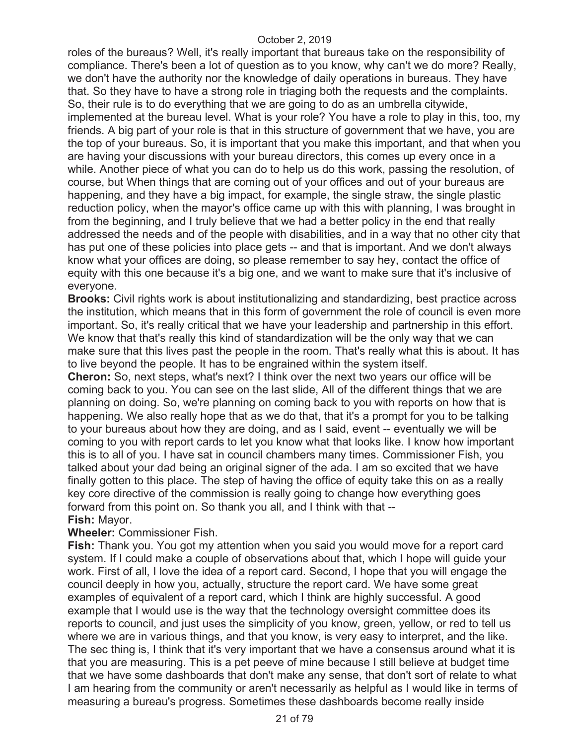roles of the bureaus? Well, it's really important that bureaus take on the responsibility of compliance. There's been a lot of question as to you know, why can't we do more? Really, we don't have the authority nor the knowledge of daily operations in bureaus. They have that. So they have to have a strong role in triaging both the requests and the complaints. So, their rule is to do everything that we are going to do as an umbrella citywide, implemented at the bureau level. What is your role? You have a role to play in this, too, my friends. A big part of your role is that in this structure of government that we have, you are the top of your bureaus. So, it is important that you make this important, and that when you are having your discussions with your bureau directors, this comes up every once in a while. Another piece of what you can do to help us do this work, passing the resolution, of course, but When things that are coming out of your offices and out of your bureaus are happening, and they have a big impact, for example, the single straw, the single plastic reduction policy, when the mayor's office came up with this with planning, I was brought in from the beginning, and I truly believe that we had a better policy in the end that really addressed the needs and of the people with disabilities, and in a way that no other city that has put one of these policies into place gets -- and that is important. And we don't always know what your offices are doing, so please remember to say hey, contact the office of equity with this one because it's a big one, and we want to make sure that it's inclusive of everyone.

**Brooks:** Civil rights work is about institutionalizing and standardizing, best practice across the institution, which means that in this form of government the role of council is even more important. So, it's really critical that we have your leadership and partnership in this effort. We know that that's really this kind of standardization will be the only way that we can make sure that this lives past the people in the room. That's really what this is about. It has to live beyond the people. It has to be engrained within the system itself.

**Cheron:** So, next steps, what's next? I think over the next two years our office will be coming back to you. You can see on the last slide, All of the different things that we are planning on doing. So, we're planning on coming back to you with reports on how that is happening. We also really hope that as we do that, that it's a prompt for you to be talking to your bureaus about how they are doing, and as I said, event -- eventually we will be coming to you with report cards to let you know what that looks like. I know how important this is to all of you. I have sat in council chambers many times. Commissioner Fish, you talked about your dad being an original signer of the ada. I am so excited that we have finally gotten to this place. The step of having the office of equity take this on as a really key core directive of the commission is really going to change how everything goes forward from this point on. So thank you all, and I think with that --

# **Fish:** Mayor.

# **Wheeler:** Commissioner Fish.

**Fish:** Thank you. You got my attention when you said you would move for a report card system. If I could make a couple of observations about that, which I hope will guide your work. First of all, I love the idea of a report card. Second, I hope that you will engage the council deeply in how you, actually, structure the report card. We have some great examples of equivalent of a report card, which I think are highly successful. A good example that I would use is the way that the technology oversight committee does its reports to council, and just uses the simplicity of you know, green, yellow, or red to tell us where we are in various things, and that you know, is very easy to interpret, and the like. The sec thing is, I think that it's very important that we have a consensus around what it is that you are measuring. This is a pet peeve of mine because I still believe at budget time that we have some dashboards that don't make any sense, that don't sort of relate to what I am hearing from the community or aren't necessarily as helpful as I would like in terms of measuring a bureau's progress. Sometimes these dashboards become really inside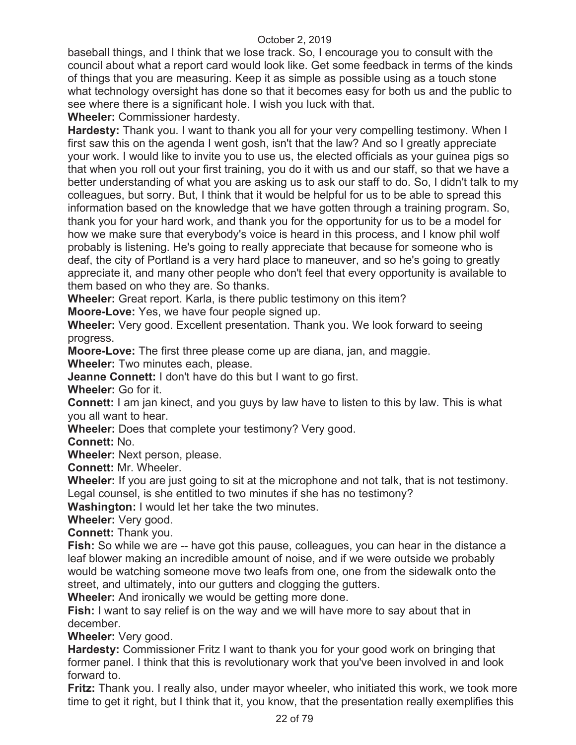baseball things, and I think that we lose track. So, I encourage you to consult with the council about what a report card would look like. Get some feedback in terms of the kinds of things that you are measuring. Keep it as simple as possible using as a touch stone what technology oversight has done so that it becomes easy for both us and the public to see where there is a significant hole. I wish you luck with that.

**Wheeler:** Commissioner hardesty.

**Hardesty:** Thank you. I want to thank you all for your very compelling testimony. When I first saw this on the agenda I went gosh, isn't that the law? And so I greatly appreciate your work. I would like to invite you to use us, the elected officials as your guinea pigs so that when you roll out your first training, you do it with us and our staff, so that we have a better understanding of what you are asking us to ask our staff to do. So, I didn't talk to my colleagues, but sorry. But, I think that it would be helpful for us to be able to spread this information based on the knowledge that we have gotten through a training program. So, thank you for your hard work, and thank you for the opportunity for us to be a model for how we make sure that everybody's voice is heard in this process, and I know phil wolf probably is listening. He's going to really appreciate that because for someone who is deaf, the city of Portland is a very hard place to maneuver, and so he's going to greatly appreciate it, and many other people who don't feel that every opportunity is available to them based on who they are. So thanks.

**Wheeler:** Great report. Karla, is there public testimony on this item?

**Moore-Love:** Yes, we have four people signed up.

**Wheeler:** Very good. Excellent presentation. Thank you. We look forward to seeing progress.

**Moore-Love:** The first three please come up are diana, jan, and maggie.

**Wheeler:** Two minutes each, please.

**Jeanne Connett:** I don't have do this but I want to go first.

**Wheeler:** Go for it.

**Connett:** I am jan kinect, and you guys by law have to listen to this by law. This is what you all want to hear.

**Wheeler:** Does that complete your testimony? Very good.

**Connett:** No.

**Wheeler:** Next person, please.

**Connett:** Mr. Wheeler.

**Wheeler:** If you are just going to sit at the microphone and not talk, that is not testimony. Legal counsel, is she entitled to two minutes if she has no testimony?

**Washington:** I would let her take the two minutes.

**Wheeler:** Very good.

**Connett:** Thank you.

**Fish:** So while we are -- have got this pause, colleagues, you can hear in the distance a leaf blower making an incredible amount of noise, and if we were outside we probably would be watching someone move two leafs from one, one from the sidewalk onto the street, and ultimately, into our gutters and clogging the gutters.

**Wheeler:** And ironically we would be getting more done.

**Fish:** I want to say relief is on the way and we will have more to say about that in december.

**Wheeler:** Very good.

**Hardesty:** Commissioner Fritz I want to thank you for your good work on bringing that former panel. I think that this is revolutionary work that you've been involved in and look forward to.

**Fritz:** Thank you. I really also, under mayor wheeler, who initiated this work, we took more time to get it right, but I think that it, you know, that the presentation really exemplifies this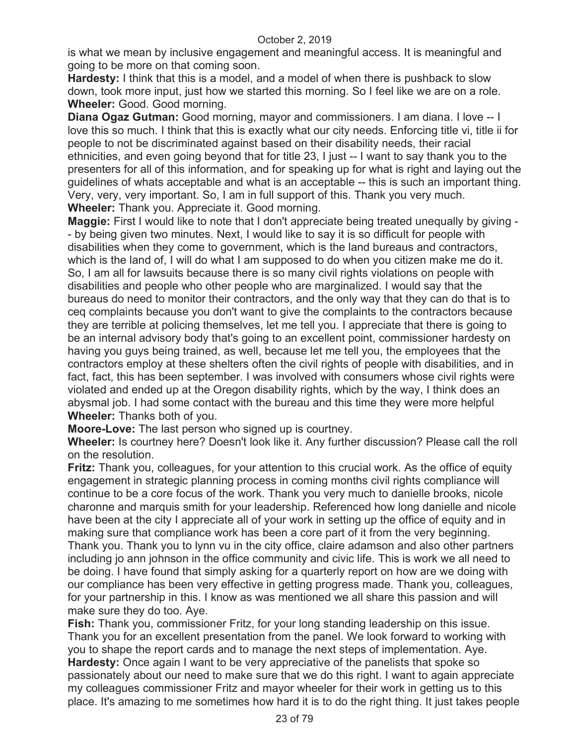is what we mean by inclusive engagement and meaningful access. It is meaningful and going to be more on that coming soon.

**Hardesty:** I think that this is a model, and a model of when there is pushback to slow down, took more input, just how we started this morning. So I feel like we are on a role. **Wheeler:** Good. Good morning.

**Diana Ogaz Gutman:** Good morning, mayor and commissioners. I am diana. I love -- I love this so much. I think that this is exactly what our city needs. Enforcing title vi, title ii for people to not be discriminated against based on their disability needs, their racial ethnicities, and even going beyond that for title 23, I just -- I want to say thank you to the presenters for all of this information, and for speaking up for what is right and laying out the guidelines of whats acceptable and what is an acceptable -- this is such an important thing. Very, very, very important. So, I am in full support of this. Thank you very much. **Wheeler:** Thank you. Appreciate it. Good morning.

**Maggie:** First I would like to note that I don't appreciate being treated unequally by giving - - by being given two minutes. Next, I would like to say it is so difficult for people with disabilities when they come to government, which is the land bureaus and contractors, which is the land of, I will do what I am supposed to do when you citizen make me do it. So, I am all for lawsuits because there is so many civil rights violations on people with disabilities and people who other people who are marginalized. I would say that the bureaus do need to monitor their contractors, and the only way that they can do that is to ceq complaints because you don't want to give the complaints to the contractors because they are terrible at policing themselves, let me tell you. I appreciate that there is going to be an internal advisory body that's going to an excellent point, commissioner hardesty on having you guys being trained, as well, because let me tell you, the employees that the contractors employ at these shelters often the civil rights of people with disabilities, and in fact, fact, this has been september. I was involved with consumers whose civil rights were violated and ended up at the Oregon disability rights, which by the way, I think does an abysmal job. I had some contact with the bureau and this time they were more helpful **Wheeler:** Thanks both of you.

**Moore-Love:** The last person who signed up is courtney.

**Wheeler:** Is courtney here? Doesn't look like it. Any further discussion? Please call the roll on the resolution.

**Fritz:** Thank you, colleagues, for your attention to this crucial work. As the office of equity engagement in strategic planning process in coming months civil rights compliance will continue to be a core focus of the work. Thank you very much to danielle brooks, nicole charonne and marquis smith for your leadership. Referenced how long danielle and nicole have been at the city I appreciate all of your work in setting up the office of equity and in making sure that compliance work has been a core part of it from the very beginning. Thank you. Thank you to lynn vu in the city office, claire adamson and also other partners including jo ann johnson in the office community and civic life. This is work we all need to be doing. I have found that simply asking for a quarterly report on how are we doing with our compliance has been very effective in getting progress made. Thank you, colleagues, for your partnership in this. I know as was mentioned we all share this passion and will make sure they do too. Aye.

**Fish:** Thank you, commissioner Fritz, for your long standing leadership on this issue. Thank you for an excellent presentation from the panel. We look forward to working with you to shape the report cards and to manage the next steps of implementation. Aye. **Hardesty:** Once again I want to be very appreciative of the panelists that spoke so passionately about our need to make sure that we do this right. I want to again appreciate my colleagues commissioner Fritz and mayor wheeler for their work in getting us to this place. It's amazing to me sometimes how hard it is to do the right thing. It just takes people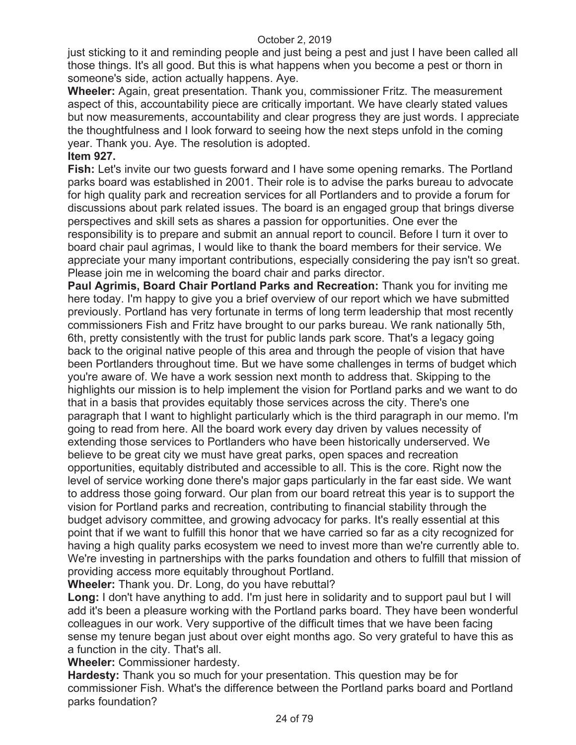just sticking to it and reminding people and just being a pest and just I have been called all those things. It's all good. But this is what happens when you become a pest or thorn in someone's side, action actually happens. Aye.

**Wheeler:** Again, great presentation. Thank you, commissioner Fritz. The measurement aspect of this, accountability piece are critically important. We have clearly stated values but now measurements, accountability and clear progress they are just words. I appreciate the thoughtfulness and I look forward to seeing how the next steps unfold in the coming year. Thank you. Aye. The resolution is adopted.

## **Item 927.**

**Fish:** Let's invite our two guests forward and I have some opening remarks. The Portland parks board was established in 2001. Their role is to advise the parks bureau to advocate for high quality park and recreation services for all Portlanders and to provide a forum for discussions about park related issues. The board is an engaged group that brings diverse perspectives and skill sets as shares a passion for opportunities. One ever the responsibility is to prepare and submit an annual report to council. Before I turn it over to board chair paul agrimas, I would like to thank the board members for their service. We appreciate your many important contributions, especially considering the pay isn't so great. Please join me in welcoming the board chair and parks director.

**Paul Agrimis, Board Chair Portland Parks and Recreation:** Thank you for inviting me here today. I'm happy to give you a brief overview of our report which we have submitted previously. Portland has very fortunate in terms of long term leadership that most recently commissioners Fish and Fritz have brought to our parks bureau. We rank nationally 5th, 6th, pretty consistently with the trust for public lands park score. That's a legacy going back to the original native people of this area and through the people of vision that have been Portlanders throughout time. But we have some challenges in terms of budget which you're aware of. We have a work session next month to address that. Skipping to the highlights our mission is to help implement the vision for Portland parks and we want to do that in a basis that provides equitably those services across the city. There's one paragraph that I want to highlight particularly which is the third paragraph in our memo. I'm going to read from here. All the board work every day driven by values necessity of extending those services to Portlanders who have been historically underserved. We believe to be great city we must have great parks, open spaces and recreation opportunities, equitably distributed and accessible to all. This is the core. Right now the level of service working done there's major gaps particularly in the far east side. We want to address those going forward. Our plan from our board retreat this year is to support the vision for Portland parks and recreation, contributing to financial stability through the budget advisory committee, and growing advocacy for parks. It's really essential at this point that if we want to fulfill this honor that we have carried so far as a city recognized for having a high quality parks ecosystem we need to invest more than we're currently able to. We're investing in partnerships with the parks foundation and others to fulfill that mission of providing access more equitably throughout Portland.

**Wheeler:** Thank you. Dr. Long, do you have rebuttal?

**Long:** I don't have anything to add. I'm just here in solidarity and to support paul but I will add it's been a pleasure working with the Portland parks board. They have been wonderful colleagues in our work. Very supportive of the difficult times that we have been facing sense my tenure began just about over eight months ago. So very grateful to have this as a function in the city. That's all.

**Wheeler:** Commissioner hardesty.

**Hardesty:** Thank you so much for your presentation. This question may be for commissioner Fish. What's the difference between the Portland parks board and Portland parks foundation?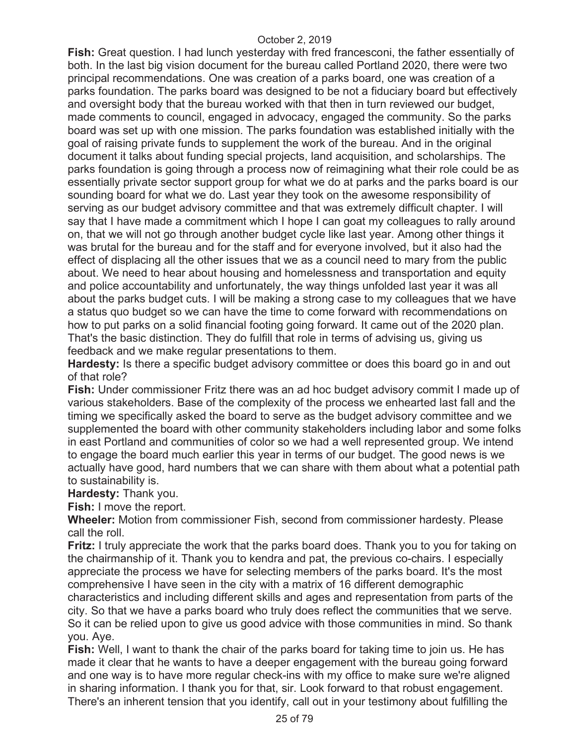**Fish:** Great question. I had lunch yesterday with fred francesconi, the father essentially of both. In the last big vision document for the bureau called Portland 2020, there were two principal recommendations. One was creation of a parks board, one was creation of a parks foundation. The parks board was designed to be not a fiduciary board but effectively and oversight body that the bureau worked with that then in turn reviewed our budget, made comments to council, engaged in advocacy, engaged the community. So the parks board was set up with one mission. The parks foundation was established initially with the goal of raising private funds to supplement the work of the bureau. And in the original document it talks about funding special projects, land acquisition, and scholarships. The parks foundation is going through a process now of reimagining what their role could be as essentially private sector support group for what we do at parks and the parks board is our sounding board for what we do. Last year they took on the awesome responsibility of serving as our budget advisory committee and that was extremely difficult chapter. I will say that I have made a commitment which I hope I can goat my colleagues to rally around on, that we will not go through another budget cycle like last year. Among other things it was brutal for the bureau and for the staff and for everyone involved, but it also had the effect of displacing all the other issues that we as a council need to mary from the public about. We need to hear about housing and homelessness and transportation and equity and police accountability and unfortunately, the way things unfolded last year it was all about the parks budget cuts. I will be making a strong case to my colleagues that we have a status quo budget so we can have the time to come forward with recommendations on how to put parks on a solid financial footing going forward. It came out of the 2020 plan. That's the basic distinction. They do fulfill that role in terms of advising us, giving us feedback and we make regular presentations to them.

**Hardesty:** Is there a specific budget advisory committee or does this board go in and out of that role?

**Fish:** Under commissioner Fritz there was an ad hoc budget advisory commit I made up of various stakeholders. Base of the complexity of the process we enhearted last fall and the timing we specifically asked the board to serve as the budget advisory committee and we supplemented the board with other community stakeholders including labor and some folks in east Portland and communities of color so we had a well represented group. We intend to engage the board much earlier this year in terms of our budget. The good news is we actually have good, hard numbers that we can share with them about what a potential path to sustainability is.

**Hardesty:** Thank you.

**Fish:** I move the report.

**Wheeler:** Motion from commissioner Fish, second from commissioner hardesty. Please call the roll.

**Fritz:** I truly appreciate the work that the parks board does. Thank you to you for taking on the chairmanship of it. Thank you to kendra and pat, the previous co-chairs. I especially appreciate the process we have for selecting members of the parks board. It's the most comprehensive I have seen in the city with a matrix of 16 different demographic characteristics and including different skills and ages and representation from parts of the city. So that we have a parks board who truly does reflect the communities that we serve. So it can be relied upon to give us good advice with those communities in mind. So thank you. Aye.

**Fish:** Well, I want to thank the chair of the parks board for taking time to join us. He has made it clear that he wants to have a deeper engagement with the bureau going forward and one way is to have more regular check-ins with my office to make sure we're aligned in sharing information. I thank you for that, sir. Look forward to that robust engagement. There's an inherent tension that you identify, call out in your testimony about fulfilling the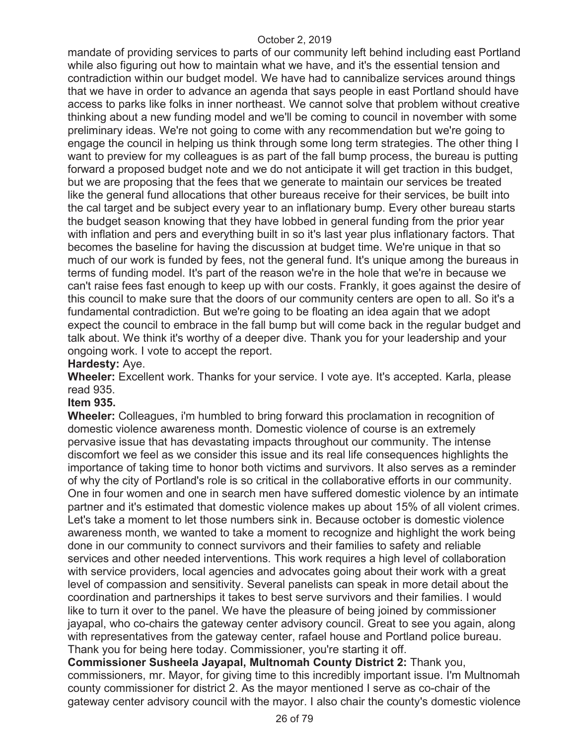mandate of providing services to parts of our community left behind including east Portland while also figuring out how to maintain what we have, and it's the essential tension and contradiction within our budget model. We have had to cannibalize services around things that we have in order to advance an agenda that says people in east Portland should have access to parks like folks in inner northeast. We cannot solve that problem without creative thinking about a new funding model and we'll be coming to council in november with some preliminary ideas. We're not going to come with any recommendation but we're going to engage the council in helping us think through some long term strategies. The other thing I want to preview for my colleagues is as part of the fall bump process, the bureau is putting forward a proposed budget note and we do not anticipate it will get traction in this budget, but we are proposing that the fees that we generate to maintain our services be treated like the general fund allocations that other bureaus receive for their services, be built into the cal target and be subject every year to an inflationary bump. Every other bureau starts the budget season knowing that they have lobbed in general funding from the prior year with inflation and pers and everything built in so it's last year plus inflationary factors. That becomes the baseline for having the discussion at budget time. We're unique in that so much of our work is funded by fees, not the general fund. It's unique among the bureaus in terms of funding model. It's part of the reason we're in the hole that we're in because we can't raise fees fast enough to keep up with our costs. Frankly, it goes against the desire of this council to make sure that the doors of our community centers are open to all. So it's a fundamental contradiction. But we're going to be floating an idea again that we adopt expect the council to embrace in the fall bump but will come back in the regular budget and talk about. We think it's worthy of a deeper dive. Thank you for your leadership and your ongoing work. I vote to accept the report.

## **Hardesty:** Aye.

**Wheeler:** Excellent work. Thanks for your service. I vote aye. It's accepted. Karla, please read 935.

## **Item 935.**

**Wheeler:** Colleagues, i'm humbled to bring forward this proclamation in recognition of domestic violence awareness month. Domestic violence of course is an extremely pervasive issue that has devastating impacts throughout our community. The intense discomfort we feel as we consider this issue and its real life consequences highlights the importance of taking time to honor both victims and survivors. It also serves as a reminder of why the city of Portland's role is so critical in the collaborative efforts in our community. One in four women and one in search men have suffered domestic violence by an intimate partner and it's estimated that domestic violence makes up about 15% of all violent crimes. Let's take a moment to let those numbers sink in. Because october is domestic violence awareness month, we wanted to take a moment to recognize and highlight the work being done in our community to connect survivors and their families to safety and reliable services and other needed interventions. This work requires a high level of collaboration with service providers, local agencies and advocates going about their work with a great level of compassion and sensitivity. Several panelists can speak in more detail about the coordination and partnerships it takes to best serve survivors and their families. I would like to turn it over to the panel. We have the pleasure of being joined by commissioner jayapal, who co-chairs the gateway center advisory council. Great to see you again, along with representatives from the gateway center, rafael house and Portland police bureau. Thank you for being here today. Commissioner, you're starting it off.

**Commissioner Susheela Jayapal, Multnomah County District 2:** Thank you, commissioners, mr. Mayor, for giving time to this incredibly important issue. I'm Multnomah county commissioner for district 2. As the mayor mentioned I serve as co-chair of the gateway center advisory council with the mayor. I also chair the county's domestic violence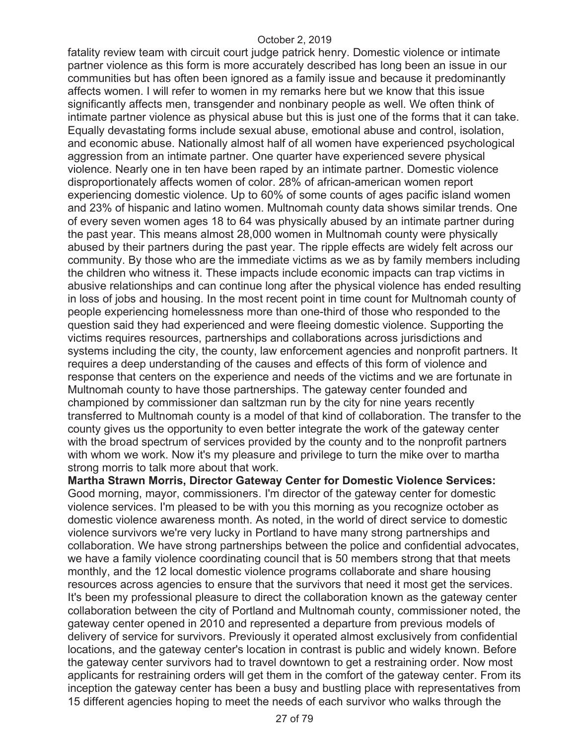fatality review team with circuit court judge patrick henry. Domestic violence or intimate partner violence as this form is more accurately described has long been an issue in our communities but has often been ignored as a family issue and because it predominantly affects women. I will refer to women in my remarks here but we know that this issue significantly affects men, transgender and nonbinary people as well. We often think of intimate partner violence as physical abuse but this is just one of the forms that it can take. Equally devastating forms include sexual abuse, emotional abuse and control, isolation, and economic abuse. Nationally almost half of all women have experienced psychological aggression from an intimate partner. One quarter have experienced severe physical violence. Nearly one in ten have been raped by an intimate partner. Domestic violence disproportionately affects women of color. 28% of african-american women report experiencing domestic violence. Up to 60% of some counts of ages pacific island women and 23% of hispanic and latino women. Multnomah county data shows similar trends. One of every seven women ages 18 to 64 was physically abused by an intimate partner during the past year. This means almost 28,000 women in Multnomah county were physically abused by their partners during the past year. The ripple effects are widely felt across our community. By those who are the immediate victims as we as by family members including the children who witness it. These impacts include economic impacts can trap victims in abusive relationships and can continue long after the physical violence has ended resulting in loss of jobs and housing. In the most recent point in time count for Multnomah county of people experiencing homelessness more than one-third of those who responded to the question said they had experienced and were fleeing domestic violence. Supporting the victims requires resources, partnerships and collaborations across jurisdictions and systems including the city, the county, law enforcement agencies and nonprofit partners. It requires a deep understanding of the causes and effects of this form of violence and response that centers on the experience and needs of the victims and we are fortunate in Multnomah county to have those partnerships. The gateway center founded and championed by commissioner dan saltzman run by the city for nine years recently transferred to Multnomah county is a model of that kind of collaboration. The transfer to the county gives us the opportunity to even better integrate the work of the gateway center with the broad spectrum of services provided by the county and to the nonprofit partners with whom we work. Now it's my pleasure and privilege to turn the mike over to martha strong morris to talk more about that work.

**Martha Strawn Morris, Director Gateway Center for Domestic Violence Services:**  Good morning, mayor, commissioners. I'm director of the gateway center for domestic violence services. I'm pleased to be with you this morning as you recognize october as domestic violence awareness month. As noted, in the world of direct service to domestic violence survivors we're very lucky in Portland to have many strong partnerships and collaboration. We have strong partnerships between the police and confidential advocates, we have a family violence coordinating council that is 50 members strong that that meets monthly, and the 12 local domestic violence programs collaborate and share housing resources across agencies to ensure that the survivors that need it most get the services. It's been my professional pleasure to direct the collaboration known as the gateway center collaboration between the city of Portland and Multnomah county, commissioner noted, the gateway center opened in 2010 and represented a departure from previous models of delivery of service for survivors. Previously it operated almost exclusively from confidential locations, and the gateway center's location in contrast is public and widely known. Before the gateway center survivors had to travel downtown to get a restraining order. Now most applicants for restraining orders will get them in the comfort of the gateway center. From its inception the gateway center has been a busy and bustling place with representatives from 15 different agencies hoping to meet the needs of each survivor who walks through the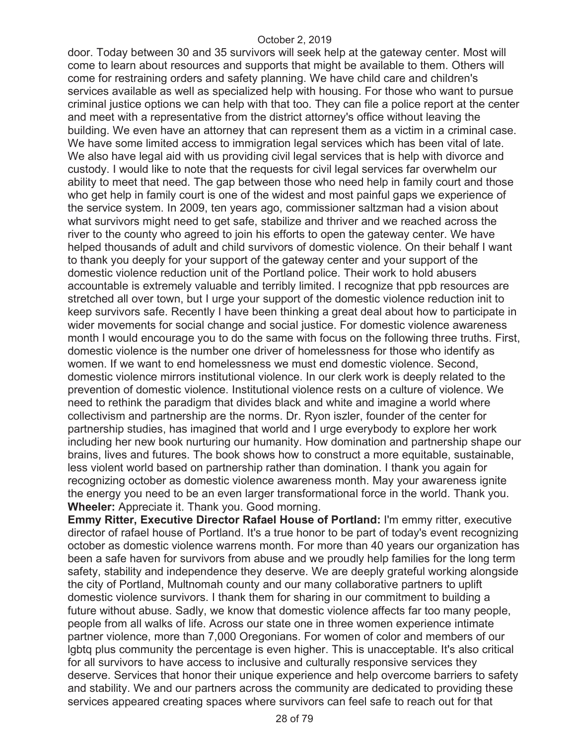door. Today between 30 and 35 survivors will seek help at the gateway center. Most will come to learn about resources and supports that might be available to them. Others will come for restraining orders and safety planning. We have child care and children's services available as well as specialized help with housing. For those who want to pursue criminal justice options we can help with that too. They can file a police report at the center and meet with a representative from the district attorney's office without leaving the building. We even have an attorney that can represent them as a victim in a criminal case. We have some limited access to immigration legal services which has been vital of late. We also have legal aid with us providing civil legal services that is help with divorce and custody. I would like to note that the requests for civil legal services far overwhelm our ability to meet that need. The gap between those who need help in family court and those who get help in family court is one of the widest and most painful gaps we experience of the service system. In 2009, ten years ago, commissioner saltzman had a vision about what survivors might need to get safe, stabilize and thriver and we reached across the river to the county who agreed to join his efforts to open the gateway center. We have helped thousands of adult and child survivors of domestic violence. On their behalf I want to thank you deeply for your support of the gateway center and your support of the domestic violence reduction unit of the Portland police. Their work to hold abusers accountable is extremely valuable and terribly limited. I recognize that ppb resources are stretched all over town, but I urge your support of the domestic violence reduction init to keep survivors safe. Recently I have been thinking a great deal about how to participate in wider movements for social change and social justice. For domestic violence awareness month I would encourage you to do the same with focus on the following three truths. First, domestic violence is the number one driver of homelessness for those who identify as women. If we want to end homelessness we must end domestic violence. Second, domestic violence mirrors institutional violence. In our clerk work is deeply related to the prevention of domestic violence. Institutional violence rests on a culture of violence. We need to rethink the paradigm that divides black and white and imagine a world where collectivism and partnership are the norms. Dr. Ryon iszler, founder of the center for partnership studies, has imagined that world and I urge everybody to explore her work including her new book nurturing our humanity. How domination and partnership shape our brains, lives and futures. The book shows how to construct a more equitable, sustainable, less violent world based on partnership rather than domination. I thank you again for recognizing october as domestic violence awareness month. May your awareness ignite the energy you need to be an even larger transformational force in the world. Thank you. **Wheeler:** Appreciate it. Thank you. Good morning.

**Emmy Ritter, Executive Director Rafael House of Portland:** I'm emmy ritter, executive director of rafael house of Portland. It's a true honor to be part of today's event recognizing october as domestic violence warrens month. For more than 40 years our organization has been a safe haven for survivors from abuse and we proudly help families for the long term safety, stability and independence they deserve. We are deeply grateful working alongside the city of Portland, Multnomah county and our many collaborative partners to uplift domestic violence survivors. I thank them for sharing in our commitment to building a future without abuse. Sadly, we know that domestic violence affects far too many people, people from all walks of life. Across our state one in three women experience intimate partner violence, more than 7,000 Oregonians. For women of color and members of our lgbtq plus community the percentage is even higher. This is unacceptable. It's also critical for all survivors to have access to inclusive and culturally responsive services they deserve. Services that honor their unique experience and help overcome barriers to safety and stability. We and our partners across the community are dedicated to providing these services appeared creating spaces where survivors can feel safe to reach out for that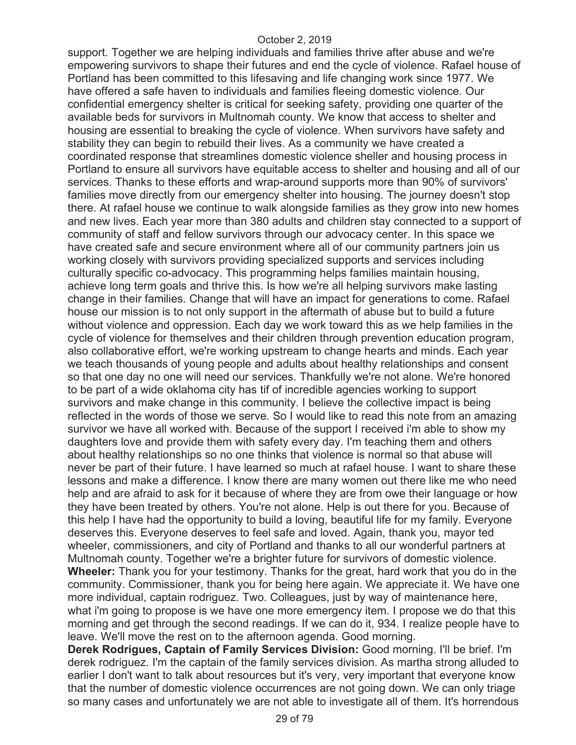support. Together we are helping individuals and families thrive after abuse and we're empowering survivors to shape their futures and end the cycle of violence. Rafael house of Portland has been committed to this lifesaving and life changing work since 1977. We have offered a safe haven to individuals and families fleeing domestic violence. Our confidential emergency shelter is critical for seeking safety, providing one quarter of the available beds for survivors in Multnomah county. We know that access to shelter and housing are essential to breaking the cycle of violence. When survivors have safety and stability they can begin to rebuild their lives. As a community we have created a coordinated response that streamlines domestic violence sheller and housing process in Portland to ensure all survivors have equitable access to shelter and housing and all of our services. Thanks to these efforts and wrap-around supports more than 90% of survivors' families move directly from our emergency shelter into housing. The journey doesn't stop there. At rafael house we continue to walk alongside families as they grow into new homes and new lives. Each year more than 380 adults and children stay connected to a support of community of staff and fellow survivors through our advocacy center. In this space we have created safe and secure environment where all of our community partners join us working closely with survivors providing specialized supports and services including culturally specific co-advocacy. This programming helps families maintain housing, achieve long term goals and thrive this. Is how we're all helping survivors make lasting change in their families. Change that will have an impact for generations to come. Rafael house our mission is to not only support in the aftermath of abuse but to build a future without violence and oppression. Each day we work toward this as we help families in the cycle of violence for themselves and their children through prevention education program, also collaborative effort, we're working upstream to change hearts and minds. Each year we teach thousands of young people and adults about healthy relationships and consent so that one day no one will need our services. Thankfully we're not alone. We're honored to be part of a wide oklahoma city has tif of incredible agencies working to support survivors and make change in this community. I believe the collective impact is being reflected in the words of those we serve. So I would like to read this note from an amazing survivor we have all worked with. Because of the support I received i'm able to show my daughters love and provide them with safety every day. I'm teaching them and others about healthy relationships so no one thinks that violence is normal so that abuse will never be part of their future. I have learned so much at rafael house. I want to share these lessons and make a difference. I know there are many women out there like me who need help and are afraid to ask for it because of where they are from owe their language or how they have been treated by others. You're not alone. Help is out there for you. Because of this help I have had the opportunity to build a loving, beautiful life for my family. Everyone deserves this. Everyone deserves to feel safe and loved. Again, thank you, mayor ted wheeler, commissioners, and city of Portland and thanks to all our wonderful partners at Multnomah county. Together we're a brighter future for survivors of domestic violence. **Wheeler:** Thank you for your testimony. Thanks for the great, hard work that you do in the community. Commissioner, thank you for being here again. We appreciate it. We have one more individual, captain rodriguez. Two. Colleagues, just by way of maintenance here, what i'm going to propose is we have one more emergency item. I propose we do that this morning and get through the second readings. If we can do it, 934. I realize people have to leave. We'll move the rest on to the afternoon agenda. Good morning.

**Derek Rodrigues, Captain of Family Services Division:** Good morning. I'll be brief. I'm derek rodriguez. I'm the captain of the family services division. As martha strong alluded to earlier I don't want to talk about resources but it's very, very important that everyone know that the number of domestic violence occurrences are not going down. We can only triage so many cases and unfortunately we are not able to investigate all of them. It's horrendous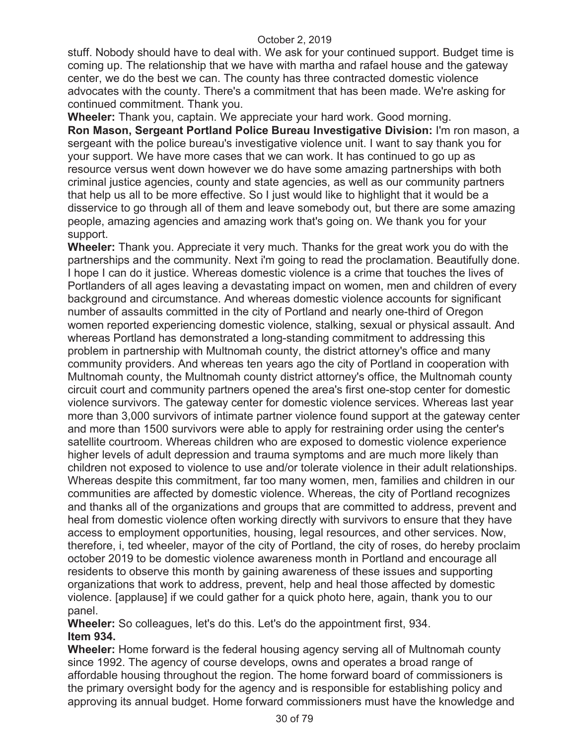stuff. Nobody should have to deal with. We ask for your continued support. Budget time is coming up. The relationship that we have with martha and rafael house and the gateway center, we do the best we can. The county has three contracted domestic violence advocates with the county. There's a commitment that has been made. We're asking for continued commitment. Thank you.

**Wheeler:** Thank you, captain. We appreciate your hard work. Good morning. **Ron Mason, Sergeant Portland Police Bureau Investigative Division:** I'm ron mason, a sergeant with the police bureau's investigative violence unit. I want to say thank you for your support. We have more cases that we can work. It has continued to go up as resource versus went down however we do have some amazing partnerships with both criminal justice agencies, county and state agencies, as well as our community partners that help us all to be more effective. So I just would like to highlight that it would be a disservice to go through all of them and leave somebody out, but there are some amazing people, amazing agencies and amazing work that's going on. We thank you for your support.

**Wheeler:** Thank you. Appreciate it very much. Thanks for the great work you do with the partnerships and the community. Next i'm going to read the proclamation. Beautifully done. I hope I can do it justice. Whereas domestic violence is a crime that touches the lives of Portlanders of all ages leaving a devastating impact on women, men and children of every background and circumstance. And whereas domestic violence accounts for significant number of assaults committed in the city of Portland and nearly one-third of Oregon women reported experiencing domestic violence, stalking, sexual or physical assault. And whereas Portland has demonstrated a long-standing commitment to addressing this problem in partnership with Multnomah county, the district attorney's office and many community providers. And whereas ten years ago the city of Portland in cooperation with Multnomah county, the Multnomah county district attorney's office, the Multnomah county circuit court and community partners opened the area's first one-stop center for domestic violence survivors. The gateway center for domestic violence services. Whereas last year more than 3,000 survivors of intimate partner violence found support at the gateway center and more than 1500 survivors were able to apply for restraining order using the center's satellite courtroom. Whereas children who are exposed to domestic violence experience higher levels of adult depression and trauma symptoms and are much more likely than children not exposed to violence to use and/or tolerate violence in their adult relationships. Whereas despite this commitment, far too many women, men, families and children in our communities are affected by domestic violence. Whereas, the city of Portland recognizes and thanks all of the organizations and groups that are committed to address, prevent and heal from domestic violence often working directly with survivors to ensure that they have access to employment opportunities, housing, legal resources, and other services. Now, therefore, i, ted wheeler, mayor of the city of Portland, the city of roses, do hereby proclaim october 2019 to be domestic violence awareness month in Portland and encourage all residents to observe this month by gaining awareness of these issues and supporting organizations that work to address, prevent, help and heal those affected by domestic violence. [applause] if we could gather for a quick photo here, again, thank you to our panel.

**Wheeler:** So colleagues, let's do this. Let's do the appointment first, 934. **Item 934.** 

**Wheeler:** Home forward is the federal housing agency serving all of Multnomah county since 1992. The agency of course develops, owns and operates a broad range of affordable housing throughout the region. The home forward board of commissioners is the primary oversight body for the agency and is responsible for establishing policy and approving its annual budget. Home forward commissioners must have the knowledge and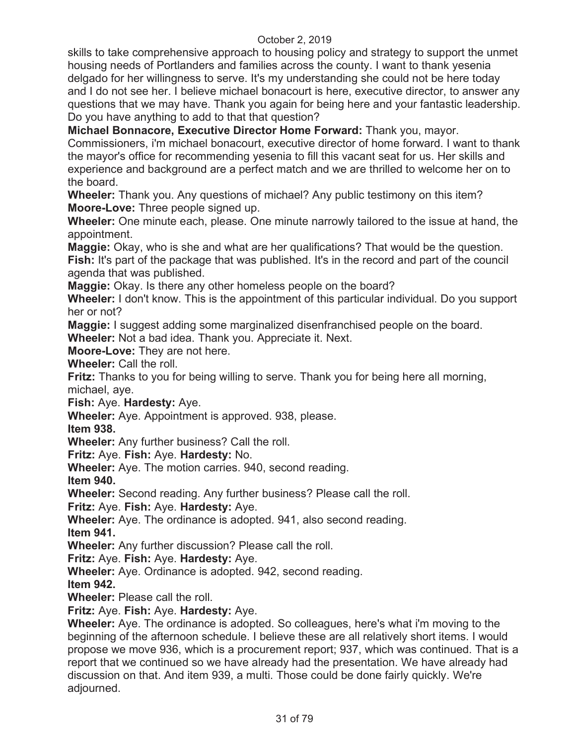skills to take comprehensive approach to housing policy and strategy to support the unmet housing needs of Portlanders and families across the county. I want to thank yesenia delgado for her willingness to serve. It's my understanding she could not be here today and I do not see her. I believe michael bonacourt is here, executive director, to answer any questions that we may have. Thank you again for being here and your fantastic leadership. Do you have anything to add to that that question?

**Michael Bonnacore, Executive Director Home Forward:** Thank you, mayor.

Commissioners, i'm michael bonacourt, executive director of home forward. I want to thank the mayor's office for recommending yesenia to fill this vacant seat for us. Her skills and experience and background are a perfect match and we are thrilled to welcome her on to the board.

**Wheeler:** Thank you. Any questions of michael? Any public testimony on this item? **Moore-Love:** Three people signed up.

**Wheeler:** One minute each, please. One minute narrowly tailored to the issue at hand, the appointment.

**Maggie:** Okay, who is she and what are her qualifications? That would be the question. **Fish:** It's part of the package that was published. It's in the record and part of the council agenda that was published.

**Maggie:** Okay. Is there any other homeless people on the board?

**Wheeler:** I don't know. This is the appointment of this particular individual. Do you support her or not?

**Maggie:** I suggest adding some marginalized disenfranchised people on the board.

**Wheeler:** Not a bad idea. Thank you. Appreciate it. Next.

**Moore-Love:** They are not here.

**Wheeler:** Call the roll.

**Fritz:** Thanks to you for being willing to serve. Thank you for being here all morning, michael, aye.

**Fish:** Aye. **Hardesty:** Aye.

**Wheeler:** Aye. Appointment is approved. 938, please.

**Item 938.** 

**Wheeler:** Any further business? Call the roll.

**Fritz:** Aye. **Fish:** Aye. **Hardesty:** No.

**Wheeler:** Aye. The motion carries. 940, second reading.

**Item 940.** 

**Wheeler:** Second reading. Any further business? Please call the roll.

**Fritz:** Aye. **Fish:** Aye. **Hardesty:** Aye.

**Wheeler:** Aye. The ordinance is adopted. 941, also second reading. **Item 941.** 

**Wheeler:** Any further discussion? Please call the roll.

**Fritz:** Aye. **Fish:** Aye. **Hardesty:** Aye.

**Wheeler:** Aye. Ordinance is adopted. 942, second reading.

**Item 942.** 

**Wheeler:** Please call the roll.

**Fritz:** Aye. **Fish:** Aye. **Hardesty:** Aye.

**Wheeler:** Aye. The ordinance is adopted. So colleagues, here's what i'm moving to the beginning of the afternoon schedule. I believe these are all relatively short items. I would propose we move 936, which is a procurement report; 937, which was continued. That is a report that we continued so we have already had the presentation. We have already had discussion on that. And item 939, a multi. Those could be done fairly quickly. We're adjourned.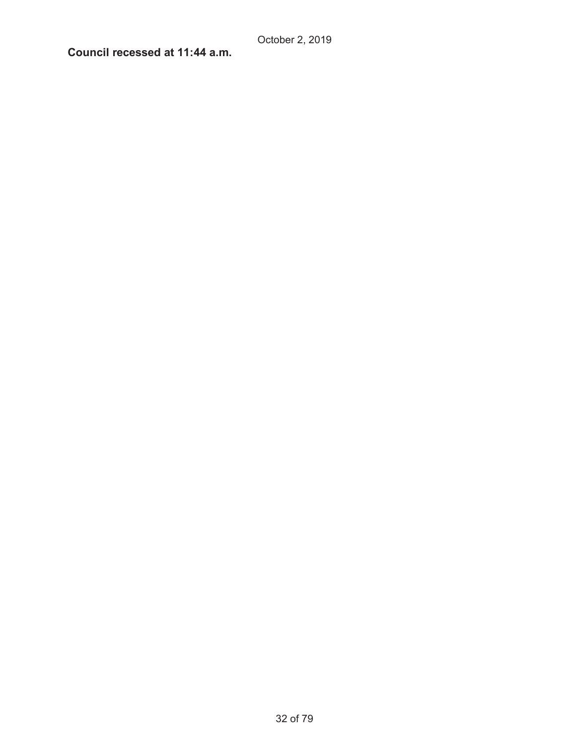# **Council recessed at 11:44 a.m.**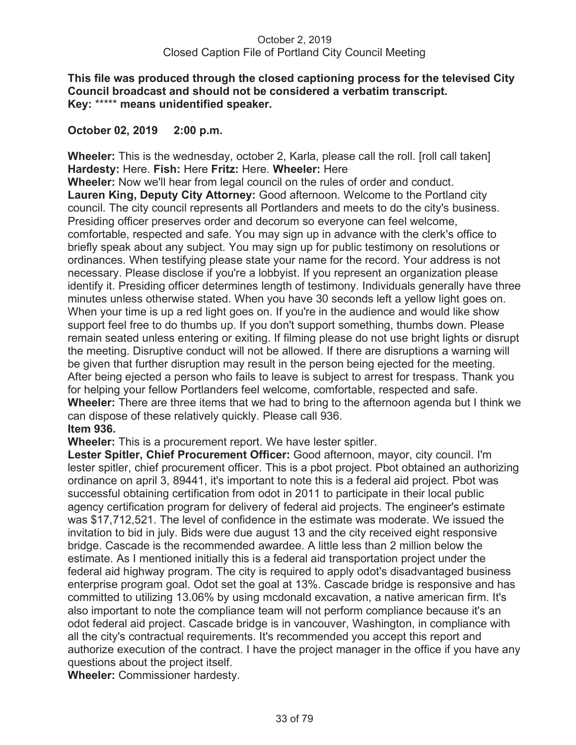## **This file was produced through the closed captioning process for the televised City Council broadcast and should not be considered a verbatim transcript. Key:** \*\*\*\*\* **means unidentified speaker.**

## **October 02, 2019 2:00 p.m.**

**Wheeler:** This is the wednesday, october 2, Karla, please call the roll. [roll call taken] **Hardesty:** Here. **Fish:** Here **Fritz:** Here. **Wheeler:** Here

**Wheeler:** Now we'll hear from legal council on the rules of order and conduct. **Lauren King, Deputy City Attorney:** Good afternoon. Welcome to the Portland city council. The city council represents all Portlanders and meets to do the city's business. Presiding officer preserves order and decorum so everyone can feel welcome, comfortable, respected and safe. You may sign up in advance with the clerk's office to briefly speak about any subject. You may sign up for public testimony on resolutions or ordinances. When testifying please state your name for the record. Your address is not necessary. Please disclose if you're a lobbyist. If you represent an organization please identify it. Presiding officer determines length of testimony. Individuals generally have three minutes unless otherwise stated. When you have 30 seconds left a yellow light goes on. When your time is up a red light goes on. If you're in the audience and would like show support feel free to do thumbs up. If you don't support something, thumbs down. Please remain seated unless entering or exiting. If filming please do not use bright lights or disrupt the meeting. Disruptive conduct will not be allowed. If there are disruptions a warning will be given that further disruption may result in the person being ejected for the meeting. After being ejected a person who fails to leave is subject to arrest for trespass. Thank you for helping your fellow Portlanders feel welcome, comfortable, respected and safe. **Wheeler:** There are three items that we had to bring to the afternoon agenda but I think we can dispose of these relatively quickly. Please call 936. **Item 936.** 

**Wheeler:** This is a procurement report. We have lester spitler.

**Lester Spitler, Chief Procurement Officer:** Good afternoon, mayor, city council. I'm lester spitler, chief procurement officer. This is a pbot project. Pbot obtained an authorizing ordinance on april 3, 89441, it's important to note this is a federal aid project. Pbot was successful obtaining certification from odot in 2011 to participate in their local public agency certification program for delivery of federal aid projects. The engineer's estimate was \$17,712,521. The level of confidence in the estimate was moderate. We issued the invitation to bid in july. Bids were due august 13 and the city received eight responsive bridge. Cascade is the recommended awardee. A little less than 2 million below the estimate. As I mentioned initially this is a federal aid transportation project under the federal aid highway program. The city is required to apply odot's disadvantaged business enterprise program goal. Odot set the goal at 13%. Cascade bridge is responsive and has committed to utilizing 13.06% by using mcdonald excavation, a native american firm. It's also important to note the compliance team will not perform compliance because it's an odot federal aid project. Cascade bridge is in vancouver, Washington, in compliance with all the city's contractual requirements. It's recommended you accept this report and authorize execution of the contract. I have the project manager in the office if you have any questions about the project itself.

**Wheeler:** Commissioner hardesty.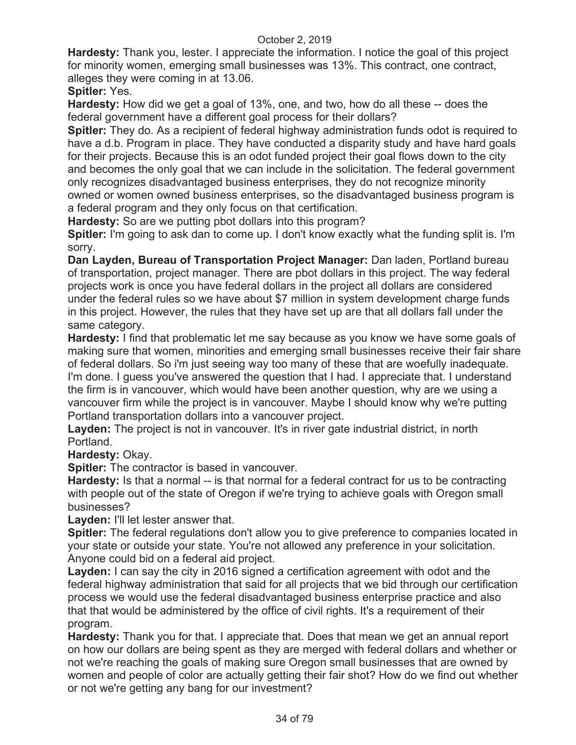**Hardesty:** Thank you, lester. I appreciate the information. I notice the goal of this project for minority women, emerging small businesses was 13%. This contract, one contract, alleges they were coming in at 13.06.

**Spitler:** Yes.

**Hardesty:** How did we get a goal of 13%, one, and two, how do all these -- does the federal government have a different goal process for their dollars?

**Spitler:** They do. As a recipient of federal highway administration funds odot is required to have a d.b. Program in place. They have conducted a disparity study and have hard goals for their projects. Because this is an odot funded project their goal flows down to the city and becomes the only goal that we can include in the solicitation. The federal government only recognizes disadvantaged business enterprises, they do not recognize minority owned or women owned business enterprises, so the disadvantaged business program is a federal program and they only focus on that certification.

**Hardesty:** So are we putting pbot dollars into this program?

**Spitler:** I'm going to ask dan to come up. I don't know exactly what the funding split is. I'm sorry.

**Dan Layden, Bureau of Transportation Project Manager:** Dan laden, Portland bureau of transportation, project manager. There are pbot dollars in this project. The way federal projects work is once you have federal dollars in the project all dollars are considered under the federal rules so we have about \$7 million in system development charge funds in this project. However, the rules that they have set up are that all dollars fall under the same category.

**Hardesty:** I find that problematic let me say because as you know we have some goals of making sure that women, minorities and emerging small businesses receive their fair share of federal dollars. So i'm just seeing way too many of these that are woefully inadequate. I'm done. I guess you've answered the question that I had. I appreciate that. I understand the firm is in vancouver, which would have been another question, why are we using a vancouver firm while the project is in vancouver. Maybe I should know why we're putting Portland transportation dollars into a vancouver project.

Layden: The project is not in vancouver. It's in river gate industrial district, in north Portland.

**Hardesty:** Okay.

**Spitler:** The contractor is based in vancouver.

**Hardesty:** Is that a normal -- is that normal for a federal contract for us to be contracting with people out of the state of Oregon if we're trying to achieve goals with Oregon small businesses?

Layden: I'll let lester answer that.

**Spitler:** The federal regulations don't allow you to give preference to companies located in your state or outside your state. You're not allowed any preference in your solicitation. Anyone could bid on a federal aid project.

**Layden:** I can say the city in 2016 signed a certification agreement with odot and the federal highway administration that said for all projects that we bid through our certification process we would use the federal disadvantaged business enterprise practice and also that that would be administered by the office of civil rights. It's a requirement of their program.

**Hardesty:** Thank you for that. I appreciate that. Does that mean we get an annual report on how our dollars are being spent as they are merged with federal dollars and whether or not we're reaching the goals of making sure Oregon small businesses that are owned by women and people of color are actually getting their fair shot? How do we find out whether or not we're getting any bang for our investment?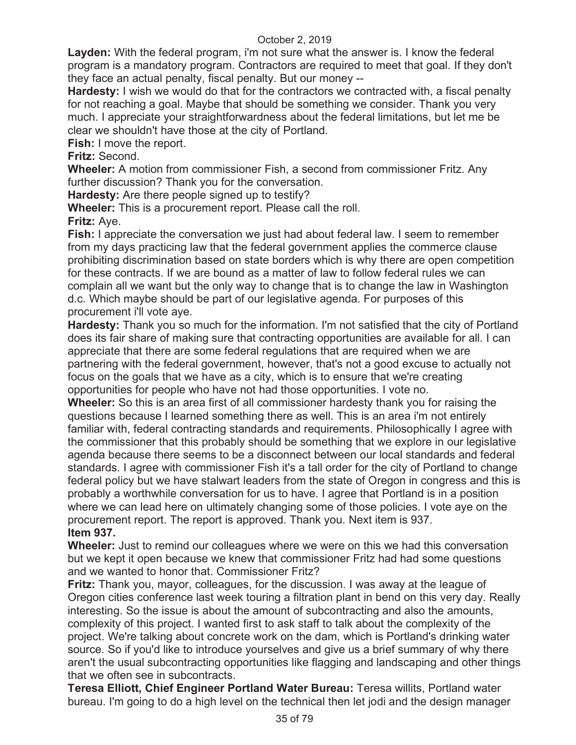**Layden:** With the federal program, i'm not sure what the answer is. I know the federal program is a mandatory program. Contractors are required to meet that goal. If they don't they face an actual penalty, fiscal penalty. But our money --

**Hardesty:** I wish we would do that for the contractors we contracted with, a fiscal penalty for not reaching a goal. Maybe that should be something we consider. Thank you very much. I appreciate your straightforwardness about the federal limitations, but let me be clear we shouldn't have those at the city of Portland.

**Fish:** I move the report.

**Fritz:** Second.

**Wheeler:** A motion from commissioner Fish, a second from commissioner Fritz. Any further discussion? Thank you for the conversation.

**Hardesty:** Are there people signed up to testify?

**Wheeler:** This is a procurement report. Please call the roll.

**Fritz:** Aye.

**Fish:** I appreciate the conversation we just had about federal law. I seem to remember from my days practicing law that the federal government applies the commerce clause prohibiting discrimination based on state borders which is why there are open competition for these contracts. If we are bound as a matter of law to follow federal rules we can complain all we want but the only way to change that is to change the law in Washington d.c. Which maybe should be part of our legislative agenda. For purposes of this procurement i'll vote aye.

**Hardesty:** Thank you so much for the information. I'm not satisfied that the city of Portland does its fair share of making sure that contracting opportunities are available for all. I can appreciate that there are some federal regulations that are required when we are partnering with the federal government, however, that's not a good excuse to actually not focus on the goals that we have as a city, which is to ensure that we're creating opportunities for people who have not had those opportunities. I vote no.

**Wheeler:** So this is an area first of all commissioner hardesty thank you for raising the questions because I learned something there as well. This is an area i'm not entirely familiar with, federal contracting standards and requirements. Philosophically I agree with the commissioner that this probably should be something that we explore in our legislative agenda because there seems to be a disconnect between our local standards and federal standards. I agree with commissioner Fish it's a tall order for the city of Portland to change federal policy but we have stalwart leaders from the state of Oregon in congress and this is probably a worthwhile conversation for us to have. I agree that Portland is in a position where we can lead here on ultimately changing some of those policies. I vote aye on the procurement report. The report is approved. Thank you. Next item is 937. **Item 937.** 

# **Wheeler:** Just to remind our colleagues where we were on this we had this conversation but we kept it open because we knew that commissioner Fritz had had some questions and we wanted to honor that. Commissioner Fritz?

**Fritz:** Thank you, mayor, colleagues, for the discussion. I was away at the league of Oregon cities conference last week touring a filtration plant in bend on this very day. Really interesting. So the issue is about the amount of subcontracting and also the amounts, complexity of this project. I wanted first to ask staff to talk about the complexity of the project. We're talking about concrete work on the dam, which is Portland's drinking water source. So if you'd like to introduce yourselves and give us a brief summary of why there aren't the usual subcontracting opportunities like flagging and landscaping and other things that we often see in subcontracts.

**Teresa Elliott, Chief Engineer Portland Water Bureau:** Teresa willits, Portland water bureau. I'm going to do a high level on the technical then let jodi and the design manager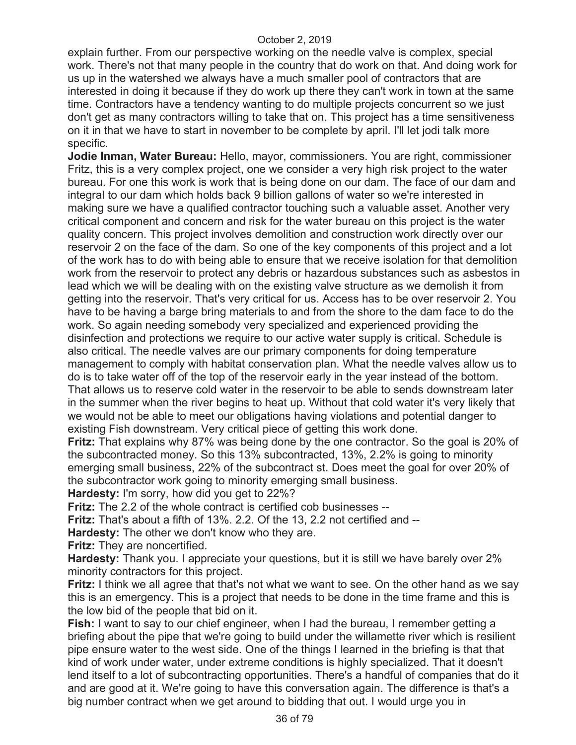explain further. From our perspective working on the needle valve is complex, special work. There's not that many people in the country that do work on that. And doing work for us up in the watershed we always have a much smaller pool of contractors that are interested in doing it because if they do work up there they can't work in town at the same time. Contractors have a tendency wanting to do multiple projects concurrent so we just don't get as many contractors willing to take that on. This project has a time sensitiveness on it in that we have to start in november to be complete by april. I'll let jodi talk more specific.

**Jodie Inman, Water Bureau:** Hello, mayor, commissioners. You are right, commissioner Fritz, this is a very complex project, one we consider a very high risk project to the water bureau. For one this work is work that is being done on our dam. The face of our dam and integral to our dam which holds back 9 billion gallons of water so we're interested in making sure we have a qualified contractor touching such a valuable asset. Another very critical component and concern and risk for the water bureau on this project is the water quality concern. This project involves demolition and construction work directly over our reservoir 2 on the face of the dam. So one of the key components of this project and a lot of the work has to do with being able to ensure that we receive isolation for that demolition work from the reservoir to protect any debris or hazardous substances such as asbestos in lead which we will be dealing with on the existing valve structure as we demolish it from getting into the reservoir. That's very critical for us. Access has to be over reservoir 2. You have to be having a barge bring materials to and from the shore to the dam face to do the work. So again needing somebody very specialized and experienced providing the disinfection and protections we require to our active water supply is critical. Schedule is also critical. The needle valves are our primary components for doing temperature management to comply with habitat conservation plan. What the needle valves allow us to do is to take water off of the top of the reservoir early in the year instead of the bottom. That allows us to reserve cold water in the reservoir to be able to sends downstream later in the summer when the river begins to heat up. Without that cold water it's very likely that we would not be able to meet our obligations having violations and potential danger to existing Fish downstream. Very critical piece of getting this work done.

**Fritz:** That explains why 87% was being done by the one contractor. So the goal is 20% of the subcontracted money. So this 13% subcontracted, 13%, 2.2% is going to minority emerging small business, 22% of the subcontract st. Does meet the goal for over 20% of the subcontractor work going to minority emerging small business.

**Hardesty:** I'm sorry, how did you get to 22%?

**Fritz:** The 2.2 of the whole contract is certified cob businesses --

**Fritz:** That's about a fifth of 13%. 2.2. Of the 13, 2.2 not certified and --

**Hardesty:** The other we don't know who they are.

**Fritz:** They are noncertified.

**Hardesty:** Thank you. I appreciate your questions, but it is still we have barely over 2% minority contractors for this project.

**Fritz:** I think we all agree that that's not what we want to see. On the other hand as we say this is an emergency. This is a project that needs to be done in the time frame and this is the low bid of the people that bid on it.

**Fish:** I want to say to our chief engineer, when I had the bureau, I remember getting a briefing about the pipe that we're going to build under the willamette river which is resilient pipe ensure water to the west side. One of the things I learned in the briefing is that that kind of work under water, under extreme conditions is highly specialized. That it doesn't lend itself to a lot of subcontracting opportunities. There's a handful of companies that do it and are good at it. We're going to have this conversation again. The difference is that's a big number contract when we get around to bidding that out. I would urge you in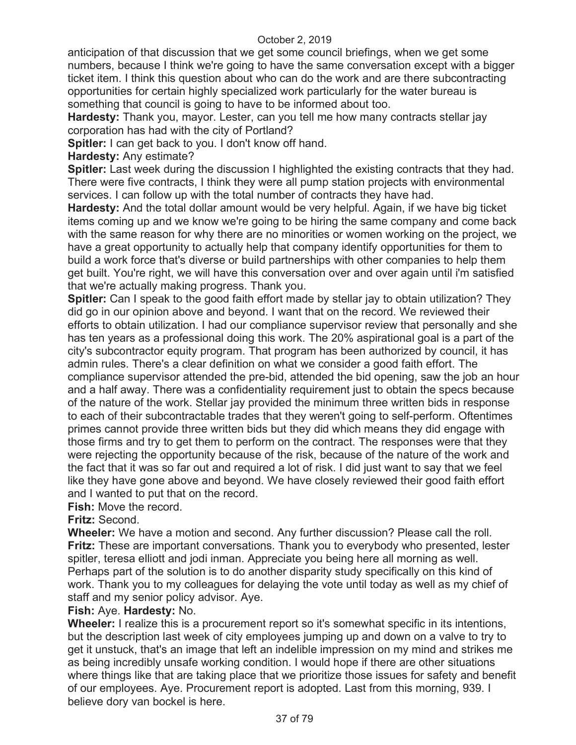anticipation of that discussion that we get some council briefings, when we get some numbers, because I think we're going to have the same conversation except with a bigger ticket item. I think this question about who can do the work and are there subcontracting opportunities for certain highly specialized work particularly for the water bureau is something that council is going to have to be informed about too.

**Hardesty:** Thank you, mayor. Lester, can you tell me how many contracts stellar jay corporation has had with the city of Portland?

**Spitler:** I can get back to you. I don't know off hand.

**Hardesty:** Any estimate?

**Spitler:** Last week during the discussion I highlighted the existing contracts that they had. There were five contracts, I think they were all pump station projects with environmental services. I can follow up with the total number of contracts they have had.

**Hardesty:** And the total dollar amount would be very helpful. Again, if we have big ticket items coming up and we know we're going to be hiring the same company and come back with the same reason for why there are no minorities or women working on the project, we have a great opportunity to actually help that company identify opportunities for them to build a work force that's diverse or build partnerships with other companies to help them get built. You're right, we will have this conversation over and over again until i'm satisfied that we're actually making progress. Thank you.

**Spitler:** Can I speak to the good faith effort made by stellar jay to obtain utilization? They did go in our opinion above and beyond. I want that on the record. We reviewed their efforts to obtain utilization. I had our compliance supervisor review that personally and she has ten years as a professional doing this work. The 20% aspirational goal is a part of the city's subcontractor equity program. That program has been authorized by council, it has admin rules. There's a clear definition on what we consider a good faith effort. The compliance supervisor attended the pre-bid, attended the bid opening, saw the job an hour and a half away. There was a confidentiality requirement just to obtain the specs because of the nature of the work. Stellar jay provided the minimum three written bids in response to each of their subcontractable trades that they weren't going to self-perform. Oftentimes primes cannot provide three written bids but they did which means they did engage with those firms and try to get them to perform on the contract. The responses were that they were rejecting the opportunity because of the risk, because of the nature of the work and the fact that it was so far out and required a lot of risk. I did just want to say that we feel like they have gone above and beyond. We have closely reviewed their good faith effort and I wanted to put that on the record.

**Fish:** Move the record.

**Fritz:** Second.

**Wheeler:** We have a motion and second. Any further discussion? Please call the roll. **Fritz:** These are important conversations. Thank you to everybody who presented, lester spitler, teresa elliott and jodi inman. Appreciate you being here all morning as well. Perhaps part of the solution is to do another disparity study specifically on this kind of work. Thank you to my colleagues for delaying the vote until today as well as my chief of staff and my senior policy advisor. Aye.

# **Fish:** Aye. **Hardesty:** No.

**Wheeler:** I realize this is a procurement report so it's somewhat specific in its intentions, but the description last week of city employees jumping up and down on a valve to try to get it unstuck, that's an image that left an indelible impression on my mind and strikes me as being incredibly unsafe working condition. I would hope if there are other situations where things like that are taking place that we prioritize those issues for safety and benefit of our employees. Aye. Procurement report is adopted. Last from this morning, 939. I believe dory van bockel is here.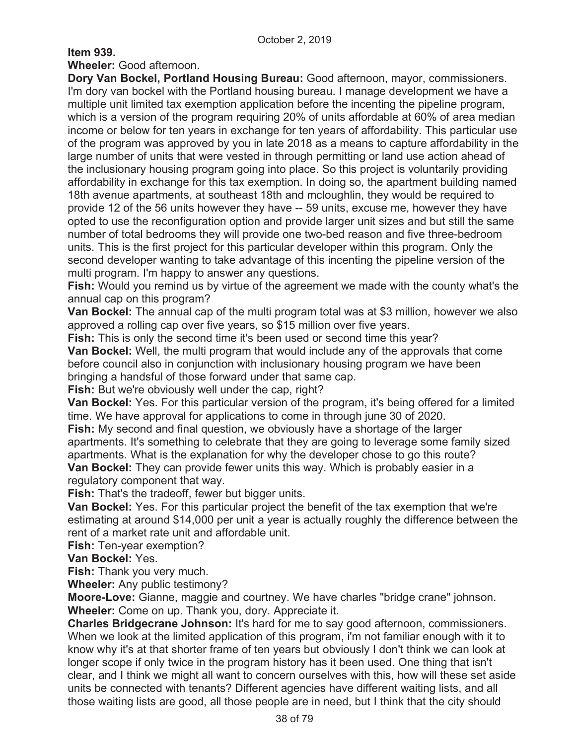# **Item 939.**

**Wheeler:** Good afternoon.

**Dory Van Bockel, Portland Housing Bureau:** Good afternoon, mayor, commissioners. I'm dory van bockel with the Portland housing bureau. I manage development we have a multiple unit limited tax exemption application before the incenting the pipeline program, which is a version of the program requiring 20% of units affordable at 60% of area median income or below for ten years in exchange for ten years of affordability. This particular use of the program was approved by you in late 2018 as a means to capture affordability in the large number of units that were vested in through permitting or land use action ahead of the inclusionary housing program going into place. So this project is voluntarily providing affordability in exchange for this tax exemption. In doing so, the apartment building named 18th avenue apartments, at southeast 18th and mcloughlin, they would be required to provide 12 of the 56 units however they have -- 59 units, excuse me, however they have opted to use the reconfiguration option and provide larger unit sizes and but still the same number of total bedrooms they will provide one two-bed reason and five three-bedroom units. This is the first project for this particular developer within this program. Only the second developer wanting to take advantage of this incenting the pipeline version of the multi program. I'm happy to answer any questions.

**Fish:** Would you remind us by virtue of the agreement we made with the county what's the annual cap on this program?

**Van Bockel:** The annual cap of the multi program total was at \$3 million, however we also approved a rolling cap over five years, so \$15 million over five years.

**Fish:** This is only the second time it's been used or second time this year?

**Van Bockel:** Well, the multi program that would include any of the approvals that come before council also in conjunction with inclusionary housing program we have been bringing a handsful of those forward under that same cap.

**Fish:** But we're obviously well under the cap, right?

**Van Bockel:** Yes. For this particular version of the program, it's being offered for a limited time. We have approval for applications to come in through june 30 of 2020.

**Fish:** My second and final question, we obviously have a shortage of the larger apartments. It's something to celebrate that they are going to leverage some family sized apartments. What is the explanation for why the developer chose to go this route?

**Van Bockel:** They can provide fewer units this way. Which is probably easier in a regulatory component that way.

**Fish:** That's the tradeoff, fewer but bigger units.

**Van Bockel:** Yes. For this particular project the benefit of the tax exemption that we're estimating at around \$14,000 per unit a year is actually roughly the difference between the rent of a market rate unit and affordable unit.

**Fish:** Ten-year exemption?

**Van Bockel:** Yes.

**Fish:** Thank you very much.

**Wheeler:** Any public testimony?

**Moore-Love:** Gianne, maggie and courtney. We have charles "bridge crane" johnson. **Wheeler:** Come on up. Thank you, dory. Appreciate it.

**Charles Bridgecrane Johnson:** It's hard for me to say good afternoon, commissioners. When we look at the limited application of this program, i'm not familiar enough with it to know why it's at that shorter frame of ten years but obviously I don't think we can look at longer scope if only twice in the program history has it been used. One thing that isn't clear, and I think we might all want to concern ourselves with this, how will these set aside units be connected with tenants? Different agencies have different waiting lists, and all those waiting lists are good, all those people are in need, but I think that the city should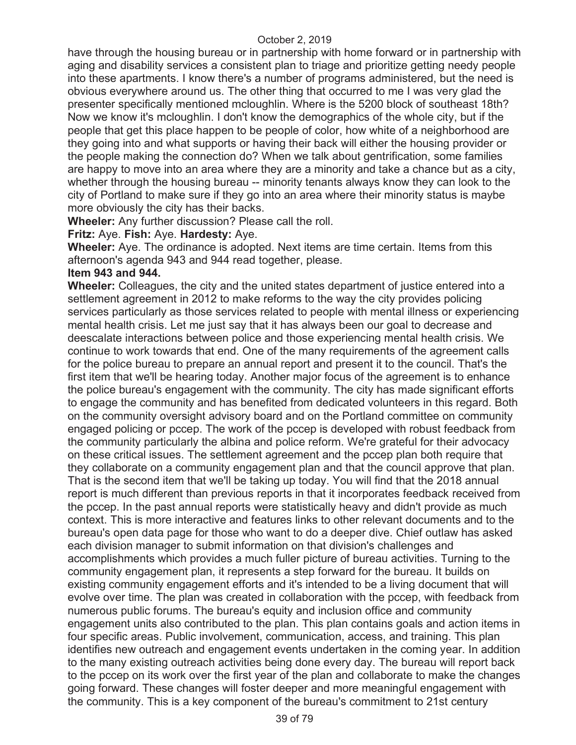have through the housing bureau or in partnership with home forward or in partnership with aging and disability services a consistent plan to triage and prioritize getting needy people into these apartments. I know there's a number of programs administered, but the need is obvious everywhere around us. The other thing that occurred to me I was very glad the presenter specifically mentioned mcloughlin. Where is the 5200 block of southeast 18th? Now we know it's mcloughlin. I don't know the demographics of the whole city, but if the people that get this place happen to be people of color, how white of a neighborhood are they going into and what supports or having their back will either the housing provider or the people making the connection do? When we talk about gentrification, some families are happy to move into an area where they are a minority and take a chance but as a city, whether through the housing bureau -- minority tenants always know they can look to the city of Portland to make sure if they go into an area where their minority status is maybe more obviously the city has their backs.

**Wheeler:** Any further discussion? Please call the roll.

## **Fritz:** Aye. **Fish:** Aye. **Hardesty:** Aye.

**Wheeler:** Aye. The ordinance is adopted. Next items are time certain. Items from this afternoon's agenda 943 and 944 read together, please.

## **Item 943 and 944.**

**Wheeler:** Colleagues, the city and the united states department of justice entered into a settlement agreement in 2012 to make reforms to the way the city provides policing services particularly as those services related to people with mental illness or experiencing mental health crisis. Let me just say that it has always been our goal to decrease and deescalate interactions between police and those experiencing mental health crisis. We continue to work towards that end. One of the many requirements of the agreement calls for the police bureau to prepare an annual report and present it to the council. That's the first item that we'll be hearing today. Another major focus of the agreement is to enhance the police bureau's engagement with the community. The city has made significant efforts to engage the community and has benefited from dedicated volunteers in this regard. Both on the community oversight advisory board and on the Portland committee on community engaged policing or pccep. The work of the pccep is developed with robust feedback from the community particularly the albina and police reform. We're grateful for their advocacy on these critical issues. The settlement agreement and the pccep plan both require that they collaborate on a community engagement plan and that the council approve that plan. That is the second item that we'll be taking up today. You will find that the 2018 annual report is much different than previous reports in that it incorporates feedback received from the pccep. In the past annual reports were statistically heavy and didn't provide as much context. This is more interactive and features links to other relevant documents and to the bureau's open data page for those who want to do a deeper dive. Chief outlaw has asked each division manager to submit information on that division's challenges and accomplishments which provides a much fuller picture of bureau activities. Turning to the community engagement plan, it represents a step forward for the bureau. It builds on existing community engagement efforts and it's intended to be a living document that will evolve over time. The plan was created in collaboration with the pccep, with feedback from numerous public forums. The bureau's equity and inclusion office and community engagement units also contributed to the plan. This plan contains goals and action items in four specific areas. Public involvement, communication, access, and training. This plan identifies new outreach and engagement events undertaken in the coming year. In addition to the many existing outreach activities being done every day. The bureau will report back to the pccep on its work over the first year of the plan and collaborate to make the changes going forward. These changes will foster deeper and more meaningful engagement with the community. This is a key component of the bureau's commitment to 21st century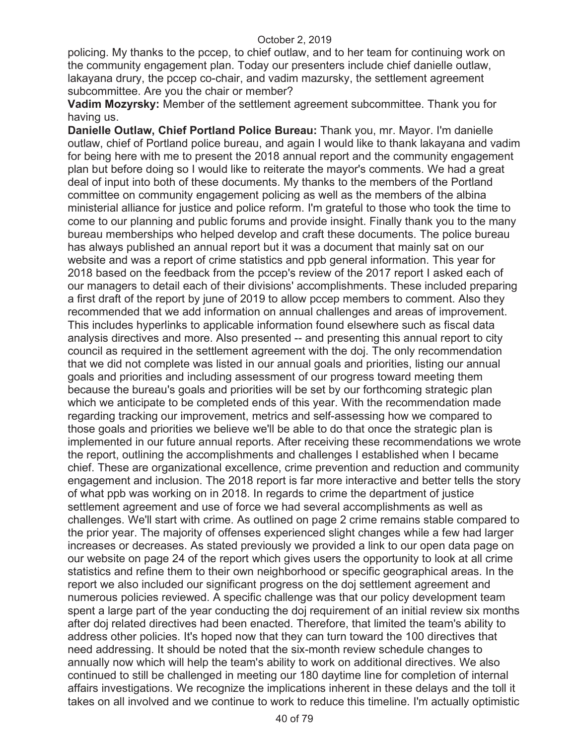policing. My thanks to the pccep, to chief outlaw, and to her team for continuing work on the community engagement plan. Today our presenters include chief danielle outlaw, lakayana drury, the pccep co-chair, and vadim mazursky, the settlement agreement subcommittee. Are you the chair or member?

**Vadim Mozyrsky:** Member of the settlement agreement subcommittee. Thank you for having us.

**Danielle Outlaw, Chief Portland Police Bureau:** Thank you, mr. Mayor. I'm danielle outlaw, chief of Portland police bureau, and again I would like to thank lakayana and vadim for being here with me to present the 2018 annual report and the community engagement plan but before doing so I would like to reiterate the mayor's comments. We had a great deal of input into both of these documents. My thanks to the members of the Portland committee on community engagement policing as well as the members of the albina ministerial alliance for justice and police reform. I'm grateful to those who took the time to come to our planning and public forums and provide insight. Finally thank you to the many bureau memberships who helped develop and craft these documents. The police bureau has always published an annual report but it was a document that mainly sat on our website and was a report of crime statistics and ppb general information. This year for 2018 based on the feedback from the pccep's review of the 2017 report I asked each of our managers to detail each of their divisions' accomplishments. These included preparing a first draft of the report by june of 2019 to allow pccep members to comment. Also they recommended that we add information on annual challenges and areas of improvement. This includes hyperlinks to applicable information found elsewhere such as fiscal data analysis directives and more. Also presented -- and presenting this annual report to city council as required in the settlement agreement with the doj. The only recommendation that we did not complete was listed in our annual goals and priorities, listing our annual goals and priorities and including assessment of our progress toward meeting them because the bureau's goals and priorities will be set by our forthcoming strategic plan which we anticipate to be completed ends of this year. With the recommendation made regarding tracking our improvement, metrics and self-assessing how we compared to those goals and priorities we believe we'll be able to do that once the strategic plan is implemented in our future annual reports. After receiving these recommendations we wrote the report, outlining the accomplishments and challenges I established when I became chief. These are organizational excellence, crime prevention and reduction and community engagement and inclusion. The 2018 report is far more interactive and better tells the story of what ppb was working on in 2018. In regards to crime the department of justice settlement agreement and use of force we had several accomplishments as well as challenges. We'll start with crime. As outlined on page 2 crime remains stable compared to the prior year. The majority of offenses experienced slight changes while a few had larger increases or decreases. As stated previously we provided a link to our open data page on our website on page 24 of the report which gives users the opportunity to look at all crime statistics and refine them to their own neighborhood or specific geographical areas. In the report we also included our significant progress on the doj settlement agreement and numerous policies reviewed. A specific challenge was that our policy development team spent a large part of the year conducting the doj requirement of an initial review six months after doj related directives had been enacted. Therefore, that limited the team's ability to address other policies. It's hoped now that they can turn toward the 100 directives that need addressing. It should be noted that the six-month review schedule changes to annually now which will help the team's ability to work on additional directives. We also continued to still be challenged in meeting our 180 daytime line for completion of internal affairs investigations. We recognize the implications inherent in these delays and the toll it takes on all involved and we continue to work to reduce this timeline. I'm actually optimistic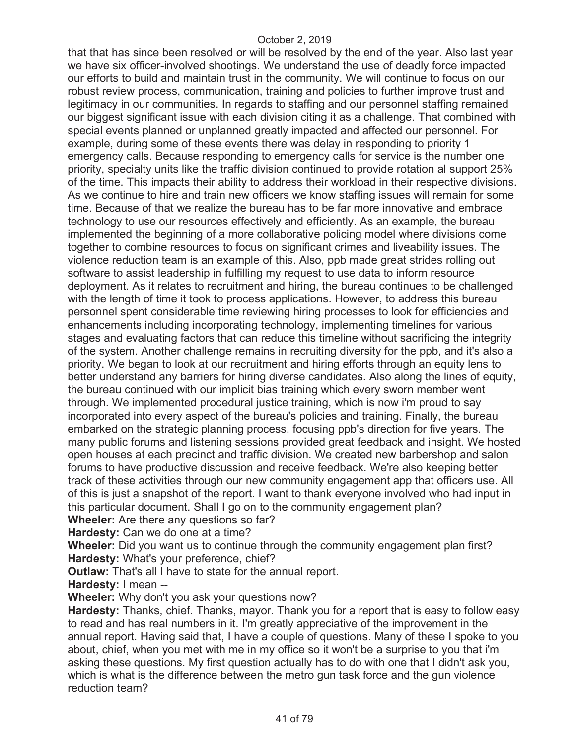that that has since been resolved or will be resolved by the end of the year. Also last year we have six officer-involved shootings. We understand the use of deadly force impacted our efforts to build and maintain trust in the community. We will continue to focus on our robust review process, communication, training and policies to further improve trust and legitimacy in our communities. In regards to staffing and our personnel staffing remained our biggest significant issue with each division citing it as a challenge. That combined with special events planned or unplanned greatly impacted and affected our personnel. For example, during some of these events there was delay in responding to priority 1 emergency calls. Because responding to emergency calls for service is the number one priority, specialty units like the traffic division continued to provide rotation al support 25% of the time. This impacts their ability to address their workload in their respective divisions. As we continue to hire and train new officers we know staffing issues will remain for some time. Because of that we realize the bureau has to be far more innovative and embrace technology to use our resources effectively and efficiently. As an example, the bureau implemented the beginning of a more collaborative policing model where divisions come together to combine resources to focus on significant crimes and liveability issues. The violence reduction team is an example of this. Also, ppb made great strides rolling out software to assist leadership in fulfilling my request to use data to inform resource deployment. As it relates to recruitment and hiring, the bureau continues to be challenged with the length of time it took to process applications. However, to address this bureau personnel spent considerable time reviewing hiring processes to look for efficiencies and enhancements including incorporating technology, implementing timelines for various stages and evaluating factors that can reduce this timeline without sacrificing the integrity of the system. Another challenge remains in recruiting diversity for the ppb, and it's also a priority. We began to look at our recruitment and hiring efforts through an equity lens to better understand any barriers for hiring diverse candidates. Also along the lines of equity, the bureau continued with our implicit bias training which every sworn member went through. We implemented procedural justice training, which is now i'm proud to say incorporated into every aspect of the bureau's policies and training. Finally, the bureau embarked on the strategic planning process, focusing ppb's direction for five years. The many public forums and listening sessions provided great feedback and insight. We hosted open houses at each precinct and traffic division. We created new barbershop and salon forums to have productive discussion and receive feedback. We're also keeping better track of these activities through our new community engagement app that officers use. All of this is just a snapshot of the report. I want to thank everyone involved who had input in this particular document. Shall I go on to the community engagement plan?

**Wheeler:** Are there any questions so far?

**Hardesty:** Can we do one at a time?

**Wheeler:** Did you want us to continue through the community engagement plan first? **Hardesty:** What's your preference, chief?

**Outlaw:** That's all I have to state for the annual report.

**Hardesty:** I mean --

**Wheeler:** Why don't you ask your questions now?

**Hardesty:** Thanks, chief. Thanks, mayor. Thank you for a report that is easy to follow easy to read and has real numbers in it. I'm greatly appreciative of the improvement in the annual report. Having said that, I have a couple of questions. Many of these I spoke to you about, chief, when you met with me in my office so it won't be a surprise to you that i'm asking these questions. My first question actually has to do with one that I didn't ask you, which is what is the difference between the metro gun task force and the gun violence reduction team?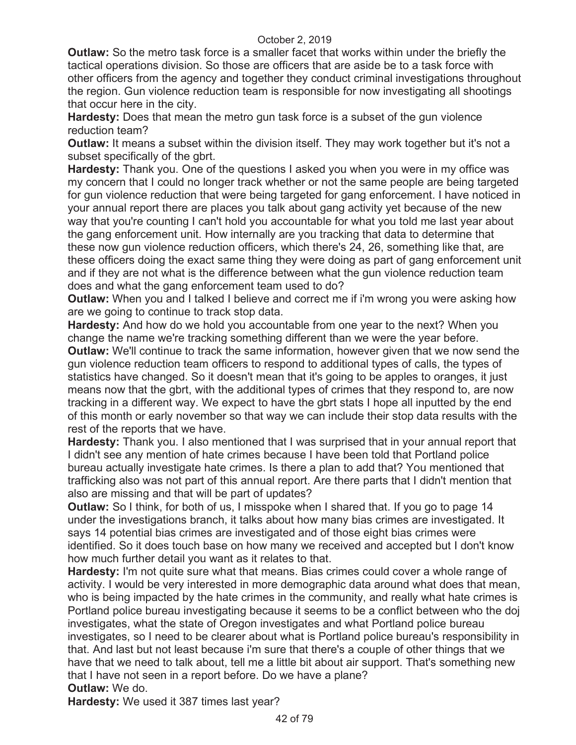**Outlaw:** So the metro task force is a smaller facet that works within under the briefly the tactical operations division. So those are officers that are aside be to a task force with other officers from the agency and together they conduct criminal investigations throughout the region. Gun violence reduction team is responsible for now investigating all shootings that occur here in the city.

**Hardesty:** Does that mean the metro gun task force is a subset of the gun violence reduction team?

**Outlaw:** It means a subset within the division itself. They may work together but it's not a subset specifically of the gbrt.

**Hardesty:** Thank you. One of the questions I asked you when you were in my office was my concern that I could no longer track whether or not the same people are being targeted for gun violence reduction that were being targeted for gang enforcement. I have noticed in your annual report there are places you talk about gang activity yet because of the new way that you're counting I can't hold you accountable for what you told me last year about the gang enforcement unit. How internally are you tracking that data to determine that these now gun violence reduction officers, which there's 24, 26, something like that, are these officers doing the exact same thing they were doing as part of gang enforcement unit and if they are not what is the difference between what the gun violence reduction team does and what the gang enforcement team used to do?

**Outlaw:** When you and I talked I believe and correct me if i'm wrong you were asking how are we going to continue to track stop data.

**Hardesty:** And how do we hold you accountable from one year to the next? When you change the name we're tracking something different than we were the year before. **Outlaw:** We'll continue to track the same information, however given that we now send the gun violence reduction team officers to respond to additional types of calls, the types of statistics have changed. So it doesn't mean that it's going to be apples to oranges, it just means now that the gbrt, with the additional types of crimes that they respond to, are now tracking in a different way. We expect to have the gbrt stats I hope all inputted by the end of this month or early november so that way we can include their stop data results with the rest of the reports that we have.

**Hardesty:** Thank you. I also mentioned that I was surprised that in your annual report that I didn't see any mention of hate crimes because I have been told that Portland police bureau actually investigate hate crimes. Is there a plan to add that? You mentioned that trafficking also was not part of this annual report. Are there parts that I didn't mention that also are missing and that will be part of updates?

**Outlaw:** So I think, for both of us, I misspoke when I shared that. If you go to page 14 under the investigations branch, it talks about how many bias crimes are investigated. It says 14 potential bias crimes are investigated and of those eight bias crimes were identified. So it does touch base on how many we received and accepted but I don't know how much further detail you want as it relates to that.

**Hardesty:** I'm not quite sure what that means. Bias crimes could cover a whole range of activity. I would be very interested in more demographic data around what does that mean, who is being impacted by the hate crimes in the community, and really what hate crimes is Portland police bureau investigating because it seems to be a conflict between who the doj investigates, what the state of Oregon investigates and what Portland police bureau investigates, so I need to be clearer about what is Portland police bureau's responsibility in that. And last but not least because i'm sure that there's a couple of other things that we have that we need to talk about, tell me a little bit about air support. That's something new that I have not seen in a report before. Do we have a plane?

**Outlaw:** We do.

**Hardesty:** We used it 387 times last year?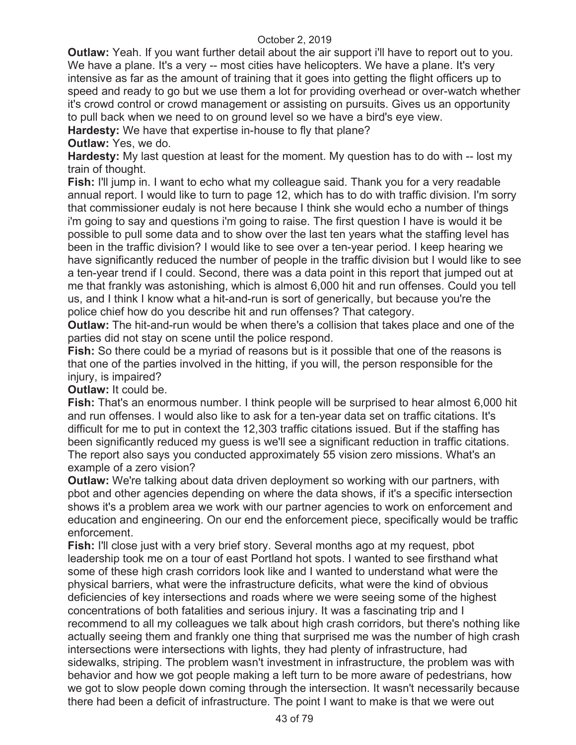**Outlaw:** Yeah. If you want further detail about the air support i'll have to report out to you. We have a plane. It's a very -- most cities have helicopters. We have a plane. It's very intensive as far as the amount of training that it goes into getting the flight officers up to speed and ready to go but we use them a lot for providing overhead or over-watch whether it's crowd control or crowd management or assisting on pursuits. Gives us an opportunity to pull back when we need to on ground level so we have a bird's eye view.

**Hardesty:** We have that expertise in-house to fly that plane?

**Outlaw:** Yes, we do.

**Hardesty:** My last question at least for the moment. My question has to do with -- lost my train of thought.

**Fish:** I'll jump in. I want to echo what my colleague said. Thank you for a very readable annual report. I would like to turn to page 12, which has to do with traffic division. I'm sorry that commissioner eudaly is not here because I think she would echo a number of things i'm going to say and questions i'm going to raise. The first question I have is would it be possible to pull some data and to show over the last ten years what the staffing level has been in the traffic division? I would like to see over a ten-year period. I keep hearing we have significantly reduced the number of people in the traffic division but I would like to see a ten-year trend if I could. Second, there was a data point in this report that jumped out at me that frankly was astonishing, which is almost 6,000 hit and run offenses. Could you tell us, and I think I know what a hit-and-run is sort of generically, but because you're the police chief how do you describe hit and run offenses? That category.

**Outlaw:** The hit-and-run would be when there's a collision that takes place and one of the parties did not stay on scene until the police respond.

**Fish:** So there could be a myriad of reasons but is it possible that one of the reasons is that one of the parties involved in the hitting, if you will, the person responsible for the injury, is impaired?

**Outlaw:** It could be.

**Fish:** That's an enormous number. I think people will be surprised to hear almost 6,000 hit and run offenses. I would also like to ask for a ten-year data set on traffic citations. It's difficult for me to put in context the 12,303 traffic citations issued. But if the staffing has been significantly reduced my guess is we'll see a significant reduction in traffic citations. The report also says you conducted approximately 55 vision zero missions. What's an example of a zero vision?

**Outlaw:** We're talking about data driven deployment so working with our partners, with pbot and other agencies depending on where the data shows, if it's a specific intersection shows it's a problem area we work with our partner agencies to work on enforcement and education and engineering. On our end the enforcement piece, specifically would be traffic enforcement.

**Fish:** I'll close just with a very brief story. Several months ago at my request, pbot leadership took me on a tour of east Portland hot spots. I wanted to see firsthand what some of these high crash corridors look like and I wanted to understand what were the physical barriers, what were the infrastructure deficits, what were the kind of obvious deficiencies of key intersections and roads where we were seeing some of the highest concentrations of both fatalities and serious injury. It was a fascinating trip and I recommend to all my colleagues we talk about high crash corridors, but there's nothing like actually seeing them and frankly one thing that surprised me was the number of high crash intersections were intersections with lights, they had plenty of infrastructure, had sidewalks, striping. The problem wasn't investment in infrastructure, the problem was with behavior and how we got people making a left turn to be more aware of pedestrians, how we got to slow people down coming through the intersection. It wasn't necessarily because there had been a deficit of infrastructure. The point I want to make is that we were out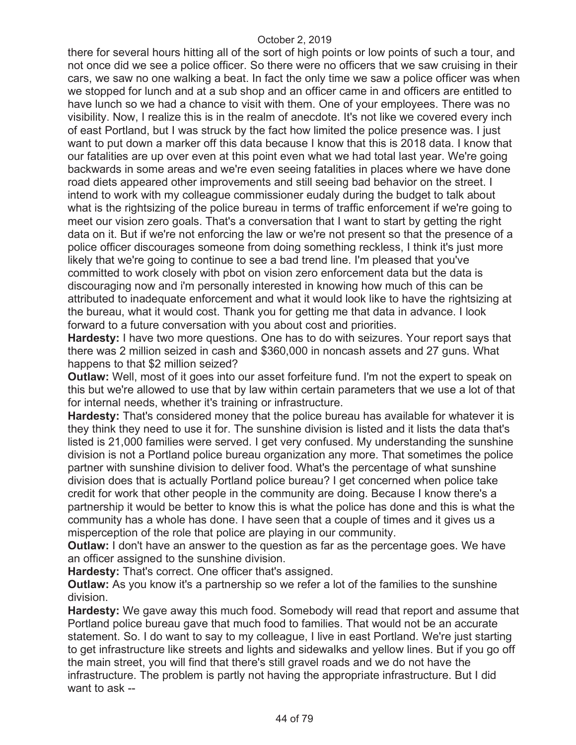there for several hours hitting all of the sort of high points or low points of such a tour, and not once did we see a police officer. So there were no officers that we saw cruising in their cars, we saw no one walking a beat. In fact the only time we saw a police officer was when we stopped for lunch and at a sub shop and an officer came in and officers are entitled to have lunch so we had a chance to visit with them. One of your employees. There was no visibility. Now, I realize this is in the realm of anecdote. It's not like we covered every inch of east Portland, but I was struck by the fact how limited the police presence was. I just want to put down a marker off this data because I know that this is 2018 data. I know that our fatalities are up over even at this point even what we had total last year. We're going backwards in some areas and we're even seeing fatalities in places where we have done road diets appeared other improvements and still seeing bad behavior on the street. I intend to work with my colleague commissioner eudaly during the budget to talk about what is the rightsizing of the police bureau in terms of traffic enforcement if we're going to meet our vision zero goals. That's a conversation that I want to start by getting the right data on it. But if we're not enforcing the law or we're not present so that the presence of a police officer discourages someone from doing something reckless, I think it's just more likely that we're going to continue to see a bad trend line. I'm pleased that you've committed to work closely with pbot on vision zero enforcement data but the data is discouraging now and i'm personally interested in knowing how much of this can be attributed to inadequate enforcement and what it would look like to have the rightsizing at the bureau, what it would cost. Thank you for getting me that data in advance. I look forward to a future conversation with you about cost and priorities.

**Hardesty:** I have two more questions. One has to do with seizures. Your report says that there was 2 million seized in cash and \$360,000 in noncash assets and 27 guns. What happens to that \$2 million seized?

**Outlaw:** Well, most of it goes into our asset forfeiture fund. I'm not the expert to speak on this but we're allowed to use that by law within certain parameters that we use a lot of that for internal needs, whether it's training or infrastructure.

**Hardesty:** That's considered money that the police bureau has available for whatever it is they think they need to use it for. The sunshine division is listed and it lists the data that's listed is 21,000 families were served. I get very confused. My understanding the sunshine division is not a Portland police bureau organization any more. That sometimes the police partner with sunshine division to deliver food. What's the percentage of what sunshine division does that is actually Portland police bureau? I get concerned when police take credit for work that other people in the community are doing. Because I know there's a partnership it would be better to know this is what the police has done and this is what the community has a whole has done. I have seen that a couple of times and it gives us a misperception of the role that police are playing in our community.

**Outlaw:** I don't have an answer to the question as far as the percentage goes. We have an officer assigned to the sunshine division.

**Hardesty:** That's correct. One officer that's assigned.

**Outlaw:** As you know it's a partnership so we refer a lot of the families to the sunshine division.

**Hardesty:** We gave away this much food. Somebody will read that report and assume that Portland police bureau gave that much food to families. That would not be an accurate statement. So. I do want to say to my colleague, I live in east Portland. We're just starting to get infrastructure like streets and lights and sidewalks and yellow lines. But if you go off the main street, you will find that there's still gravel roads and we do not have the infrastructure. The problem is partly not having the appropriate infrastructure. But I did want to ask --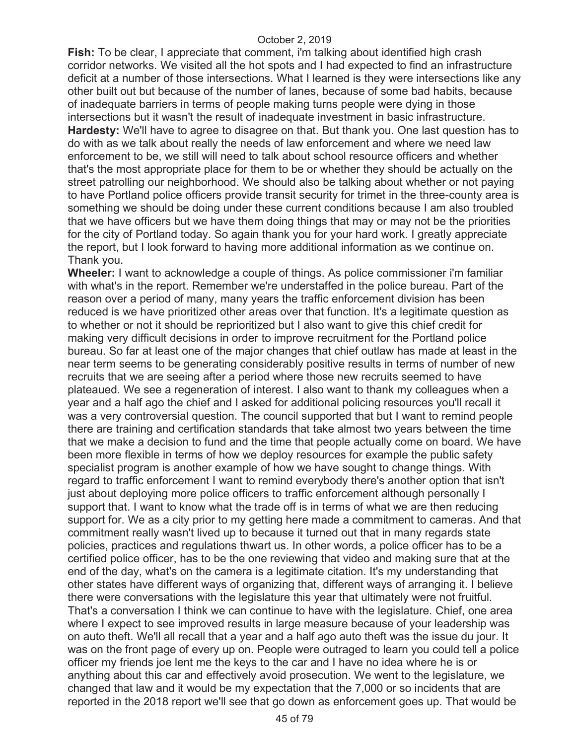**Fish:** To be clear, I appreciate that comment, i'm talking about identified high crash corridor networks. We visited all the hot spots and I had expected to find an infrastructure deficit at a number of those intersections. What I learned is they were intersections like any other built out but because of the number of lanes, because of some bad habits, because of inadequate barriers in terms of people making turns people were dying in those intersections but it wasn't the result of inadequate investment in basic infrastructure. **Hardesty:** We'll have to agree to disagree on that. But thank you. One last question has to do with as we talk about really the needs of law enforcement and where we need law enforcement to be, we still will need to talk about school resource officers and whether that's the most appropriate place for them to be or whether they should be actually on the street patrolling our neighborhood. We should also be talking about whether or not paying to have Portland police officers provide transit security for trimet in the three-county area is something we should be doing under these current conditions because I am also troubled that we have officers but we have them doing things that may or may not be the priorities for the city of Portland today. So again thank you for your hard work. I greatly appreciate the report, but I look forward to having more additional information as we continue on. Thank you.

**Wheeler:** I want to acknowledge a couple of things. As police commissioner i'm familiar with what's in the report. Remember we're understaffed in the police bureau. Part of the reason over a period of many, many years the traffic enforcement division has been reduced is we have prioritized other areas over that function. It's a legitimate question as to whether or not it should be reprioritized but I also want to give this chief credit for making very difficult decisions in order to improve recruitment for the Portland police bureau. So far at least one of the major changes that chief outlaw has made at least in the near term seems to be generating considerably positive results in terms of number of new recruits that we are seeing after a period where those new recruits seemed to have plateaued. We see a regeneration of interest. I also want to thank my colleagues when a year and a half ago the chief and I asked for additional policing resources you'll recall it was a very controversial question. The council supported that but I want to remind people there are training and certification standards that take almost two years between the time that we make a decision to fund and the time that people actually come on board. We have been more flexible in terms of how we deploy resources for example the public safety specialist program is another example of how we have sought to change things. With regard to traffic enforcement I want to remind everybody there's another option that isn't just about deploying more police officers to traffic enforcement although personally I support that. I want to know what the trade off is in terms of what we are then reducing support for. We as a city prior to my getting here made a commitment to cameras. And that commitment really wasn't lived up to because it turned out that in many regards state policies, practices and regulations thwart us. In other words, a police officer has to be a certified police officer, has to be the one reviewing that video and making sure that at the end of the day, what's on the camera is a legitimate citation. It's my understanding that other states have different ways of organizing that, different ways of arranging it. I believe there were conversations with the legislature this year that ultimately were not fruitful. That's a conversation I think we can continue to have with the legislature. Chief, one area where I expect to see improved results in large measure because of your leadership was on auto theft. We'll all recall that a year and a half ago auto theft was the issue du jour. It was on the front page of every up on. People were outraged to learn you could tell a police officer my friends joe lent me the keys to the car and I have no idea where he is or anything about this car and effectively avoid prosecution. We went to the legislature, we changed that law and it would be my expectation that the 7,000 or so incidents that are reported in the 2018 report we'll see that go down as enforcement goes up. That would be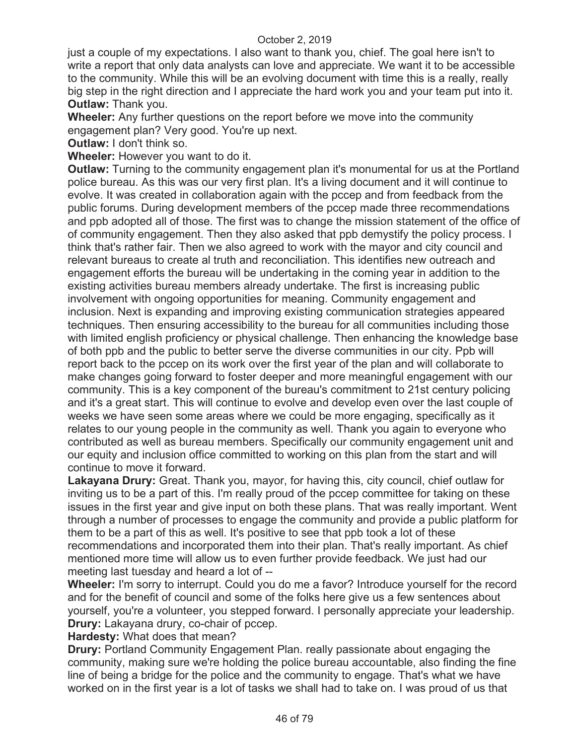just a couple of my expectations. I also want to thank you, chief. The goal here isn't to write a report that only data analysts can love and appreciate. We want it to be accessible to the community. While this will be an evolving document with time this is a really, really big step in the right direction and I appreciate the hard work you and your team put into it. **Outlaw:** Thank you.

**Wheeler:** Any further questions on the report before we move into the community engagement plan? Very good. You're up next.

**Outlaw:** I don't think so.

**Wheeler:** However you want to do it.

**Outlaw:** Turning to the community engagement plan it's monumental for us at the Portland police bureau. As this was our very first plan. It's a living document and it will continue to evolve. It was created in collaboration again with the pccep and from feedback from the public forums. During development members of the pccep made three recommendations and ppb adopted all of those. The first was to change the mission statement of the office of of community engagement. Then they also asked that ppb demystify the policy process. I think that's rather fair. Then we also agreed to work with the mayor and city council and relevant bureaus to create al truth and reconciliation. This identifies new outreach and engagement efforts the bureau will be undertaking in the coming year in addition to the existing activities bureau members already undertake. The first is increasing public involvement with ongoing opportunities for meaning. Community engagement and inclusion. Next is expanding and improving existing communication strategies appeared techniques. Then ensuring accessibility to the bureau for all communities including those with limited english proficiency or physical challenge. Then enhancing the knowledge base of both ppb and the public to better serve the diverse communities in our city. Ppb will report back to the pccep on its work over the first year of the plan and will collaborate to make changes going forward to foster deeper and more meaningful engagement with our community. This is a key component of the bureau's commitment to 21st century policing and it's a great start. This will continue to evolve and develop even over the last couple of weeks we have seen some areas where we could be more engaging, specifically as it relates to our young people in the community as well. Thank you again to everyone who contributed as well as bureau members. Specifically our community engagement unit and our equity and inclusion office committed to working on this plan from the start and will continue to move it forward.

**Lakayana Drury:** Great. Thank you, mayor, for having this, city council, chief outlaw for inviting us to be a part of this. I'm really proud of the pccep committee for taking on these issues in the first year and give input on both these plans. That was really important. Went through a number of processes to engage the community and provide a public platform for them to be a part of this as well. It's positive to see that ppb took a lot of these recommendations and incorporated them into their plan. That's really important. As chief mentioned more time will allow us to even further provide feedback. We just had our meeting last tuesday and heard a lot of --

**Wheeler:** I'm sorry to interrupt. Could you do me a favor? Introduce yourself for the record and for the benefit of council and some of the folks here give us a few sentences about yourself, you're a volunteer, you stepped forward. I personally appreciate your leadership. **Drury:** Lakayana drury, co-chair of pccep.

**Hardesty:** What does that mean?

**Drury:** Portland Community Engagement Plan. really passionate about engaging the community, making sure we're holding the police bureau accountable, also finding the fine line of being a bridge for the police and the community to engage. That's what we have worked on in the first year is a lot of tasks we shall had to take on. I was proud of us that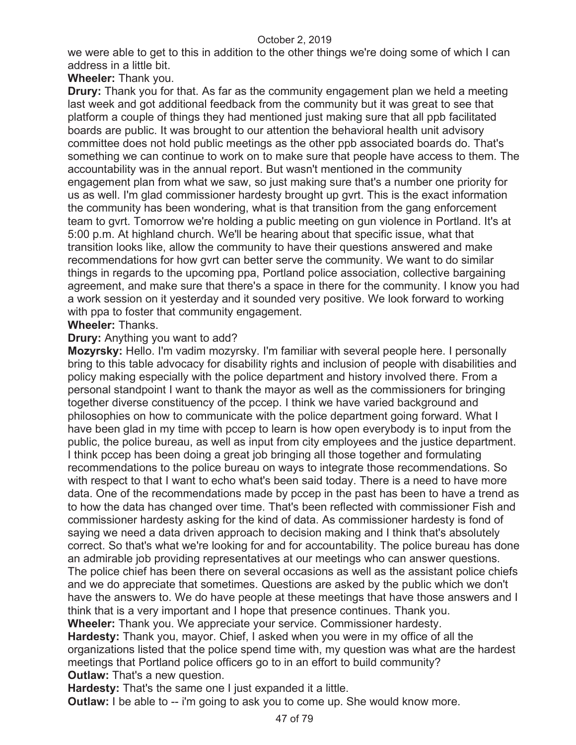we were able to get to this in addition to the other things we're doing some of which I can address in a little bit.

**Wheeler:** Thank you.

**Drury:** Thank you for that. As far as the community engagement plan we held a meeting last week and got additional feedback from the community but it was great to see that platform a couple of things they had mentioned just making sure that all ppb facilitated boards are public. It was brought to our attention the behavioral health unit advisory committee does not hold public meetings as the other ppb associated boards do. That's something we can continue to work on to make sure that people have access to them. The accountability was in the annual report. But wasn't mentioned in the community engagement plan from what we saw, so just making sure that's a number one priority for us as well. I'm glad commissioner hardesty brought up gvrt. This is the exact information the community has been wondering, what is that transition from the gang enforcement team to gvrt. Tomorrow we're holding a public meeting on gun violence in Portland. It's at 5:00 p.m. At highland church. We'll be hearing about that specific issue, what that transition looks like, allow the community to have their questions answered and make recommendations for how gvrt can better serve the community. We want to do similar things in regards to the upcoming ppa, Portland police association, collective bargaining agreement, and make sure that there's a space in there for the community. I know you had a work session on it yesterday and it sounded very positive. We look forward to working with ppa to foster that community engagement.

# **Wheeler:** Thanks.

# **Drury:** Anything you want to add?

**Mozyrsky:** Hello. I'm vadim mozyrsky. I'm familiar with several people here. I personally bring to this table advocacy for disability rights and inclusion of people with disabilities and policy making especially with the police department and history involved there. From a personal standpoint I want to thank the mayor as well as the commissioners for bringing together diverse constituency of the pccep. I think we have varied background and philosophies on how to communicate with the police department going forward. What I have been glad in my time with pccep to learn is how open everybody is to input from the public, the police bureau, as well as input from city employees and the justice department. I think pccep has been doing a great job bringing all those together and formulating recommendations to the police bureau on ways to integrate those recommendations. So with respect to that I want to echo what's been said today. There is a need to have more data. One of the recommendations made by pccep in the past has been to have a trend as to how the data has changed over time. That's been reflected with commissioner Fish and commissioner hardesty asking for the kind of data. As commissioner hardesty is fond of saying we need a data driven approach to decision making and I think that's absolutely correct. So that's what we're looking for and for accountability. The police bureau has done an admirable job providing representatives at our meetings who can answer questions. The police chief has been there on several occasions as well as the assistant police chiefs and we do appreciate that sometimes. Questions are asked by the public which we don't have the answers to. We do have people at these meetings that have those answers and I think that is a very important and I hope that presence continues. Thank you. **Wheeler:** Thank you. We appreciate your service. Commissioner hardesty.

**Hardesty:** Thank you, mayor. Chief, I asked when you were in my office of all the organizations listed that the police spend time with, my question was what are the hardest meetings that Portland police officers go to in an effort to build community? **Outlaw:** That's a new question.

**Hardesty:** That's the same one I just expanded it a little.

**Outlaw:** I be able to -- i'm going to ask you to come up. She would know more.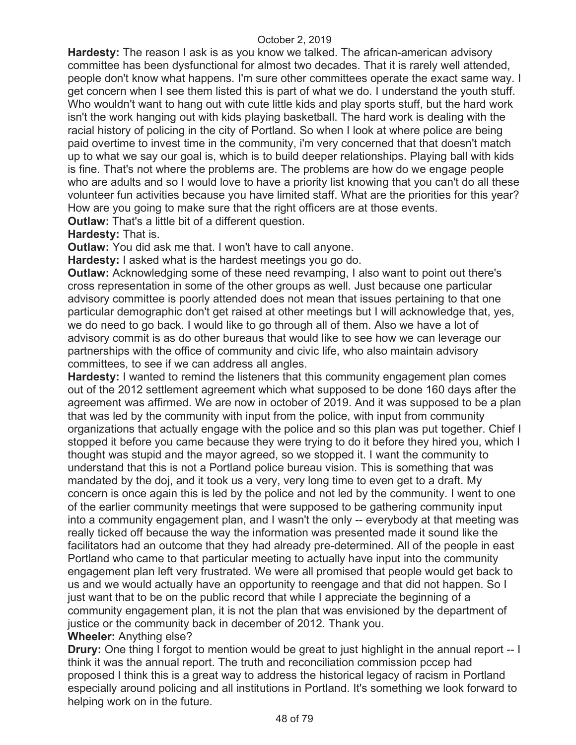**Hardesty:** The reason I ask is as you know we talked. The african-american advisory committee has been dysfunctional for almost two decades. That it is rarely well attended, people don't know what happens. I'm sure other committees operate the exact same way. I get concern when I see them listed this is part of what we do. I understand the youth stuff. Who wouldn't want to hang out with cute little kids and play sports stuff, but the hard work isn't the work hanging out with kids playing basketball. The hard work is dealing with the racial history of policing in the city of Portland. So when I look at where police are being paid overtime to invest time in the community, i'm very concerned that that doesn't match up to what we say our goal is, which is to build deeper relationships. Playing ball with kids is fine. That's not where the problems are. The problems are how do we engage people who are adults and so I would love to have a priority list knowing that you can't do all these volunteer fun activities because you have limited staff. What are the priorities for this year? How are you going to make sure that the right officers are at those events.

**Outlaw:** That's a little bit of a different question.

**Hardesty:** That is.

**Outlaw:** You did ask me that. I won't have to call anyone.

**Hardesty:** I asked what is the hardest meetings you go do.

**Outlaw:** Acknowledging some of these need revamping, I also want to point out there's cross representation in some of the other groups as well. Just because one particular advisory committee is poorly attended does not mean that issues pertaining to that one particular demographic don't get raised at other meetings but I will acknowledge that, yes, we do need to go back. I would like to go through all of them. Also we have a lot of advisory commit is as do other bureaus that would like to see how we can leverage our partnerships with the office of community and civic life, who also maintain advisory committees, to see if we can address all angles.

**Hardesty:** I wanted to remind the listeners that this community engagement plan comes out of the 2012 settlement agreement which what supposed to be done 160 days after the agreement was affirmed. We are now in october of 2019. And it was supposed to be a plan that was led by the community with input from the police, with input from community organizations that actually engage with the police and so this plan was put together. Chief I stopped it before you came because they were trying to do it before they hired you, which I thought was stupid and the mayor agreed, so we stopped it. I want the community to understand that this is not a Portland police bureau vision. This is something that was mandated by the doj, and it took us a very, very long time to even get to a draft. My concern is once again this is led by the police and not led by the community. I went to one of the earlier community meetings that were supposed to be gathering community input into a community engagement plan, and I wasn't the only -- everybody at that meeting was really ticked off because the way the information was presented made it sound like the facilitators had an outcome that they had already pre-determined. All of the people in east Portland who came to that particular meeting to actually have input into the community engagement plan left very frustrated. We were all promised that people would get back to us and we would actually have an opportunity to reengage and that did not happen. So I just want that to be on the public record that while I appreciate the beginning of a community engagement plan, it is not the plan that was envisioned by the department of justice or the community back in december of 2012. Thank you.

## **Wheeler:** Anything else?

**Drury:** One thing I forgot to mention would be great to just highlight in the annual report -- I think it was the annual report. The truth and reconciliation commission pccep had proposed I think this is a great way to address the historical legacy of racism in Portland especially around policing and all institutions in Portland. It's something we look forward to helping work on in the future.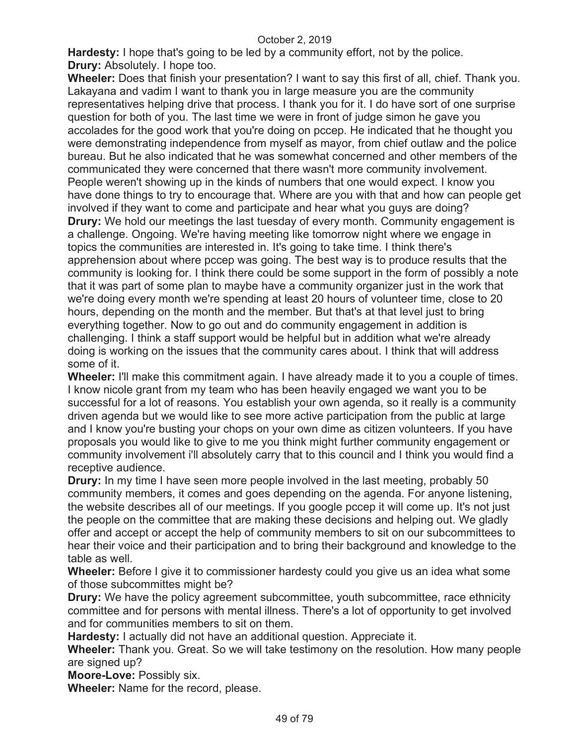**Hardesty:** I hope that's going to be led by a community effort, not by the police. **Drury:** Absolutely. I hope too.

**Wheeler:** Does that finish your presentation? I want to say this first of all, chief. Thank you. Lakayana and vadim I want to thank you in large measure you are the community representatives helping drive that process. I thank you for it. I do have sort of one surprise question for both of you. The last time we were in front of judge simon he gave you accolades for the good work that you're doing on pccep. He indicated that he thought you were demonstrating independence from myself as mayor, from chief outlaw and the police bureau. But he also indicated that he was somewhat concerned and other members of the communicated they were concerned that there wasn't more community involvement. People weren't showing up in the kinds of numbers that one would expect. I know you have done things to try to encourage that. Where are you with that and how can people get involved if they want to come and participate and hear what you guys are doing? **Drury:** We hold our meetings the last tuesday of every month. Community engagement is a challenge. Ongoing. We're having meeting like tomorrow night where we engage in topics the communities are interested in. It's going to take time. I think there's apprehension about where pccep was going. The best way is to produce results that the community is looking for. I think there could be some support in the form of possibly a note that it was part of some plan to maybe have a community organizer just in the work that we're doing every month we're spending at least 20 hours of volunteer time, close to 20 hours, depending on the month and the member. But that's at that level just to bring everything together. Now to go out and do community engagement in addition is challenging. I think a staff support would be helpful but in addition what we're already doing is working on the issues that the community cares about. I think that will address some of it.

**Wheeler:** I'll make this commitment again. I have already made it to you a couple of times. I know nicole grant from my team who has been heavily engaged we want you to be successful for a lot of reasons. You establish your own agenda, so it really is a community driven agenda but we would like to see more active participation from the public at large and I know you're busting your chops on your own dime as citizen volunteers. If you have proposals you would like to give to me you think might further community engagement or community involvement i'll absolutely carry that to this council and I think you would find a receptive audience.

**Drury:** In my time I have seen more people involved in the last meeting, probably 50 community members, it comes and goes depending on the agenda. For anyone listening, the website describes all of our meetings. If you google pccep it will come up. It's not just the people on the committee that are making these decisions and helping out. We gladly offer and accept or accept the help of community members to sit on our subcommittees to hear their voice and their participation and to bring their background and knowledge to the table as well.

**Wheeler:** Before I give it to commissioner hardesty could you give us an idea what some of those subcommittes might be?

**Drury:** We have the policy agreement subcommittee, youth subcommittee, race ethnicity committee and for persons with mental illness. There's a lot of opportunity to get involved and for communities members to sit on them.

**Hardesty:** I actually did not have an additional question. Appreciate it.

**Wheeler:** Thank you. Great. So we will take testimony on the resolution. How many people are signed up?

**Moore-Love:** Possibly six.

**Wheeler:** Name for the record, please.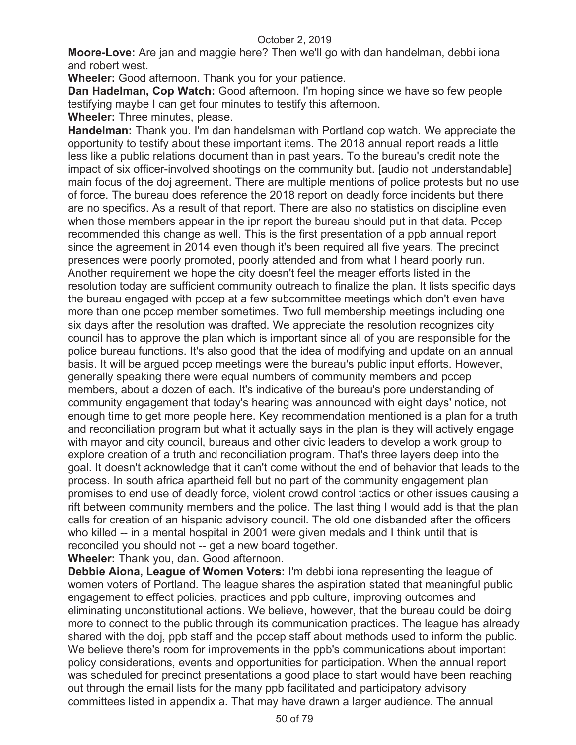**Moore-Love:** Are jan and maggie here? Then we'll go with dan handelman, debbi iona and robert west.

**Wheeler:** Good afternoon. Thank you for your patience.

**Dan Hadelman, Cop Watch:** Good afternoon. I'm hoping since we have so few people testifying maybe I can get four minutes to testify this afternoon.

**Wheeler:** Three minutes, please.

**Handelman:** Thank you. I'm dan handelsman with Portland cop watch. We appreciate the opportunity to testify about these important items. The 2018 annual report reads a little less like a public relations document than in past years. To the bureau's credit note the impact of six officer-involved shootings on the community but. [audio not understandable] main focus of the doj agreement. There are multiple mentions of police protests but no use of force. The bureau does reference the 2018 report on deadly force incidents but there are no specifics. As a result of that report. There are also no statistics on discipline even when those members appear in the ipr report the bureau should put in that data. Pccep recommended this change as well. This is the first presentation of a ppb annual report since the agreement in 2014 even though it's been required all five years. The precinct presences were poorly promoted, poorly attended and from what I heard poorly run. Another requirement we hope the city doesn't feel the meager efforts listed in the resolution today are sufficient community outreach to finalize the plan. It lists specific days the bureau engaged with pccep at a few subcommittee meetings which don't even have more than one pccep member sometimes. Two full membership meetings including one six days after the resolution was drafted. We appreciate the resolution recognizes city council has to approve the plan which is important since all of you are responsible for the police bureau functions. It's also good that the idea of modifying and update on an annual basis. It will be argued pccep meetings were the bureau's public input efforts. However, generally speaking there were equal numbers of community members and pccep members, about a dozen of each. It's indicative of the bureau's pore understanding of community engagement that today's hearing was announced with eight days' notice, not enough time to get more people here. Key recommendation mentioned is a plan for a truth and reconciliation program but what it actually says in the plan is they will actively engage with mayor and city council, bureaus and other civic leaders to develop a work group to explore creation of a truth and reconciliation program. That's three layers deep into the goal. It doesn't acknowledge that it can't come without the end of behavior that leads to the process. In south africa apartheid fell but no part of the community engagement plan promises to end use of deadly force, violent crowd control tactics or other issues causing a rift between community members and the police. The last thing I would add is that the plan calls for creation of an hispanic advisory council. The old one disbanded after the officers who killed -- in a mental hospital in 2001 were given medals and I think until that is reconciled you should not -- get a new board together.

**Wheeler:** Thank you, dan. Good afternoon.

**Debbie Aiona, League of Women Voters:** I'm debbi iona representing the league of women voters of Portland. The league shares the aspiration stated that meaningful public engagement to effect policies, practices and ppb culture, improving outcomes and eliminating unconstitutional actions. We believe, however, that the bureau could be doing more to connect to the public through its communication practices. The league has already shared with the doj, ppb staff and the pccep staff about methods used to inform the public. We believe there's room for improvements in the ppb's communications about important policy considerations, events and opportunities for participation. When the annual report was scheduled for precinct presentations a good place to start would have been reaching out through the email lists for the many ppb facilitated and participatory advisory committees listed in appendix a. That may have drawn a larger audience. The annual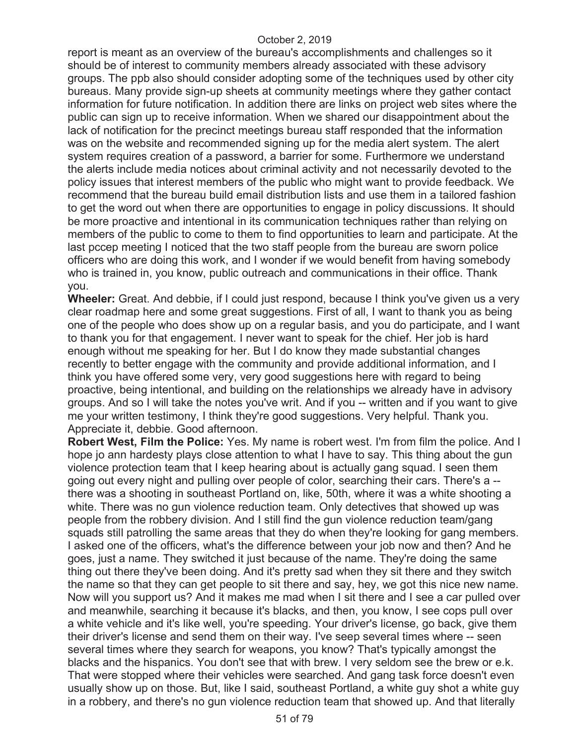report is meant as an overview of the bureau's accomplishments and challenges so it should be of interest to community members already associated with these advisory groups. The ppb also should consider adopting some of the techniques used by other city bureaus. Many provide sign-up sheets at community meetings where they gather contact information for future notification. In addition there are links on project web sites where the public can sign up to receive information. When we shared our disappointment about the lack of notification for the precinct meetings bureau staff responded that the information was on the website and recommended signing up for the media alert system. The alert system requires creation of a password, a barrier for some. Furthermore we understand the alerts include media notices about criminal activity and not necessarily devoted to the policy issues that interest members of the public who might want to provide feedback. We recommend that the bureau build email distribution lists and use them in a tailored fashion to get the word out when there are opportunities to engage in policy discussions. It should be more proactive and intentional in its communication techniques rather than relying on members of the public to come to them to find opportunities to learn and participate. At the last pccep meeting I noticed that the two staff people from the bureau are sworn police officers who are doing this work, and I wonder if we would benefit from having somebody who is trained in, you know, public outreach and communications in their office. Thank you.

**Wheeler:** Great. And debbie, if I could just respond, because I think you've given us a very clear roadmap here and some great suggestions. First of all, I want to thank you as being one of the people who does show up on a regular basis, and you do participate, and I want to thank you for that engagement. I never want to speak for the chief. Her job is hard enough without me speaking for her. But I do know they made substantial changes recently to better engage with the community and provide additional information, and I think you have offered some very, very good suggestions here with regard to being proactive, being intentional, and building on the relationships we already have in advisory groups. And so I will take the notes you've writ. And if you -- written and if you want to give me your written testimony, I think they're good suggestions. Very helpful. Thank you. Appreciate it, debbie. Good afternoon.

**Robert West, Film the Police:** Yes. My name is robert west. I'm from film the police. And I hope jo ann hardesty plays close attention to what I have to say. This thing about the gun violence protection team that I keep hearing about is actually gang squad. I seen them going out every night and pulling over people of color, searching their cars. There's a - there was a shooting in southeast Portland on, like, 50th, where it was a white shooting a white. There was no gun violence reduction team. Only detectives that showed up was people from the robbery division. And I still find the gun violence reduction team/gang squads still patrolling the same areas that they do when they're looking for gang members. I asked one of the officers, what's the difference between your job now and then? And he goes, just a name. They switched it just because of the name. They're doing the same thing out there they've been doing. And it's pretty sad when they sit there and they switch the name so that they can get people to sit there and say, hey, we got this nice new name. Now will you support us? And it makes me mad when I sit there and I see a car pulled over and meanwhile, searching it because it's blacks, and then, you know, I see cops pull over a white vehicle and it's like well, you're speeding. Your driver's license, go back, give them their driver's license and send them on their way. I've seep several times where -- seen several times where they search for weapons, you know? That's typically amongst the blacks and the hispanics. You don't see that with brew. I very seldom see the brew or e.k. That were stopped where their vehicles were searched. And gang task force doesn't even usually show up on those. But, like I said, southeast Portland, a white guy shot a white guy in a robbery, and there's no gun violence reduction team that showed up. And that literally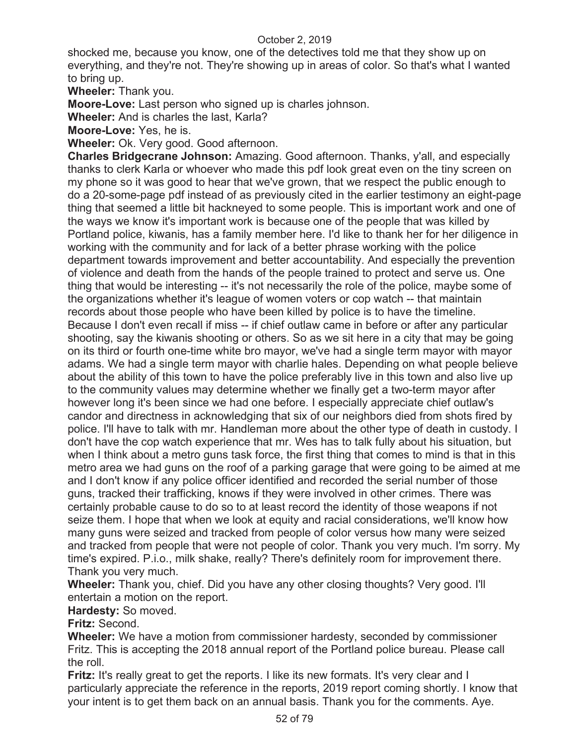shocked me, because you know, one of the detectives told me that they show up on everything, and they're not. They're showing up in areas of color. So that's what I wanted to bring up.

**Wheeler:** Thank you.

**Moore-Love:** Last person who signed up is charles johnson.

**Wheeler:** And is charles the last, Karla?

**Moore-Love:** Yes, he is.

**Wheeler:** Ok. Very good. Good afternoon.

**Charles Bridgecrane Johnson:** Amazing. Good afternoon. Thanks, y'all, and especially thanks to clerk Karla or whoever who made this pdf look great even on the tiny screen on my phone so it was good to hear that we've grown, that we respect the public enough to do a 20-some-page pdf instead of as previously cited in the earlier testimony an eight-page thing that seemed a little bit hackneyed to some people. This is important work and one of the ways we know it's important work is because one of the people that was killed by Portland police, kiwanis, has a family member here. I'd like to thank her for her diligence in working with the community and for lack of a better phrase working with the police department towards improvement and better accountability. And especially the prevention of violence and death from the hands of the people trained to protect and serve us. One thing that would be interesting -- it's not necessarily the role of the police, maybe some of the organizations whether it's league of women voters or cop watch -- that maintain records about those people who have been killed by police is to have the timeline. Because I don't even recall if miss -- if chief outlaw came in before or after any particular shooting, say the kiwanis shooting or others. So as we sit here in a city that may be going on its third or fourth one-time white bro mayor, we've had a single term mayor with mayor adams. We had a single term mayor with charlie hales. Depending on what people believe about the ability of this town to have the police preferably live in this town and also live up to the community values may determine whether we finally get a two-term mayor after however long it's been since we had one before. I especially appreciate chief outlaw's candor and directness in acknowledging that six of our neighbors died from shots fired by police. I'll have to talk with mr. Handleman more about the other type of death in custody. I don't have the cop watch experience that mr. Wes has to talk fully about his situation, but when I think about a metro guns task force, the first thing that comes to mind is that in this metro area we had guns on the roof of a parking garage that were going to be aimed at me and I don't know if any police officer identified and recorded the serial number of those guns, tracked their trafficking, knows if they were involved in other crimes. There was certainly probable cause to do so to at least record the identity of those weapons if not seize them. I hope that when we look at equity and racial considerations, we'll know how many guns were seized and tracked from people of color versus how many were seized and tracked from people that were not people of color. Thank you very much. I'm sorry. My time's expired. P.i.o., milk shake, really? There's definitely room for improvement there. Thank you very much.

**Wheeler:** Thank you, chief. Did you have any other closing thoughts? Very good. I'll entertain a motion on the report.

**Hardesty:** So moved.

**Fritz:** Second.

**Wheeler:** We have a motion from commissioner hardesty, seconded by commissioner Fritz. This is accepting the 2018 annual report of the Portland police bureau. Please call the roll.

**Fritz:** It's really great to get the reports. I like its new formats. It's very clear and I particularly appreciate the reference in the reports, 2019 report coming shortly. I know that your intent is to get them back on an annual basis. Thank you for the comments. Aye.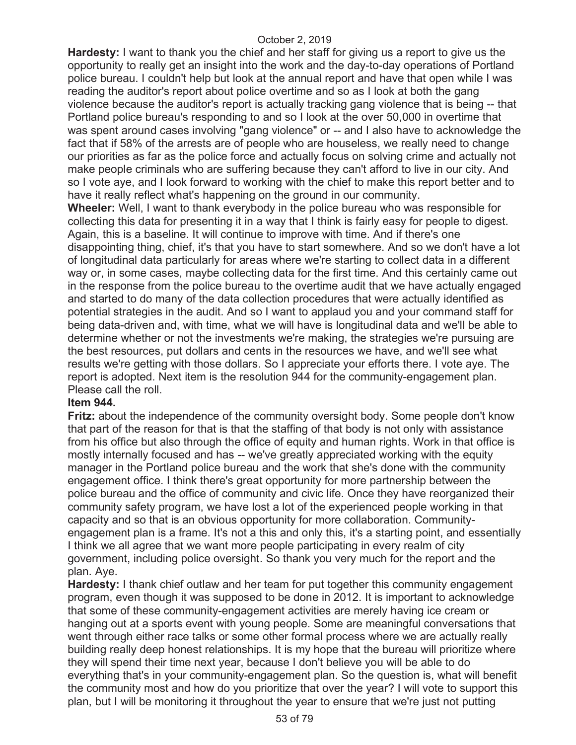**Hardesty:** I want to thank you the chief and her staff for giving us a report to give us the opportunity to really get an insight into the work and the day-to-day operations of Portland police bureau. I couldn't help but look at the annual report and have that open while I was reading the auditor's report about police overtime and so as I look at both the gang violence because the auditor's report is actually tracking gang violence that is being -- that Portland police bureau's responding to and so I look at the over 50,000 in overtime that was spent around cases involving "gang violence" or -- and I also have to acknowledge the fact that if 58% of the arrests are of people who are houseless, we really need to change our priorities as far as the police force and actually focus on solving crime and actually not make people criminals who are suffering because they can't afford to live in our city. And so I vote aye, and I look forward to working with the chief to make this report better and to have it really reflect what's happening on the ground in our community.

**Wheeler:** Well, I want to thank everybody in the police bureau who was responsible for collecting this data for presenting it in a way that I think is fairly easy for people to digest. Again, this is a baseline. It will continue to improve with time. And if there's one disappointing thing, chief, it's that you have to start somewhere. And so we don't have a lot of longitudinal data particularly for areas where we're starting to collect data in a different way or, in some cases, maybe collecting data for the first time. And this certainly came out in the response from the police bureau to the overtime audit that we have actually engaged and started to do many of the data collection procedures that were actually identified as potential strategies in the audit. And so I want to applaud you and your command staff for being data-driven and, with time, what we will have is longitudinal data and we'll be able to determine whether or not the investments we're making, the strategies we're pursuing are the best resources, put dollars and cents in the resources we have, and we'll see what results we're getting with those dollars. So I appreciate your efforts there. I vote aye. The report is adopted. Next item is the resolution 944 for the community-engagement plan. Please call the roll.

## **Item 944.**

**Fritz:** about the independence of the community oversight body. Some people don't know that part of the reason for that is that the staffing of that body is not only with assistance from his office but also through the office of equity and human rights. Work in that office is mostly internally focused and has -- we've greatly appreciated working with the equity manager in the Portland police bureau and the work that she's done with the community engagement office. I think there's great opportunity for more partnership between the police bureau and the office of community and civic life. Once they have reorganized their community safety program, we have lost a lot of the experienced people working in that capacity and so that is an obvious opportunity for more collaboration. Communityengagement plan is a frame. It's not a this and only this, it's a starting point, and essentially I think we all agree that we want more people participating in every realm of city government, including police oversight. So thank you very much for the report and the plan. Aye.

**Hardesty:** I thank chief outlaw and her team for put together this community engagement program, even though it was supposed to be done in 2012. It is important to acknowledge that some of these community-engagement activities are merely having ice cream or hanging out at a sports event with young people. Some are meaningful conversations that went through either race talks or some other formal process where we are actually really building really deep honest relationships. It is my hope that the bureau will prioritize where they will spend their time next year, because I don't believe you will be able to do everything that's in your community-engagement plan. So the question is, what will benefit the community most and how do you prioritize that over the year? I will vote to support this plan, but I will be monitoring it throughout the year to ensure that we're just not putting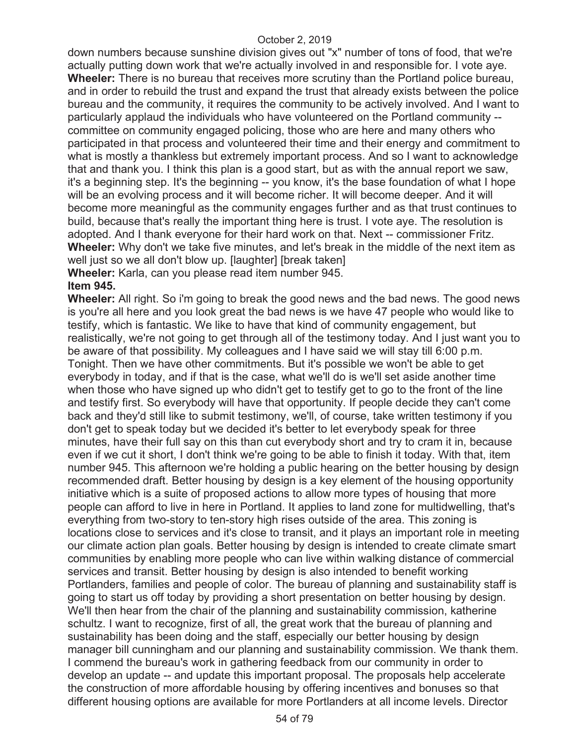down numbers because sunshine division gives out "x" number of tons of food, that we're actually putting down work that we're actually involved in and responsible for. I vote aye. **Wheeler:** There is no bureau that receives more scrutiny than the Portland police bureau, and in order to rebuild the trust and expand the trust that already exists between the police bureau and the community, it requires the community to be actively involved. And I want to particularly applaud the individuals who have volunteered on the Portland community - committee on community engaged policing, those who are here and many others who participated in that process and volunteered their time and their energy and commitment to what is mostly a thankless but extremely important process. And so I want to acknowledge that and thank you. I think this plan is a good start, but as with the annual report we saw, it's a beginning step. It's the beginning -- you know, it's the base foundation of what I hope will be an evolving process and it will become richer. It will become deeper. And it will become more meaningful as the community engages further and as that trust continues to build, because that's really the important thing here is trust. I vote aye. The resolution is adopted. And I thank everyone for their hard work on that. Next -- commissioner Fritz. **Wheeler:** Why don't we take five minutes, and let's break in the middle of the next item as well just so we all don't blow up. [laughter] [break taken]

**Wheeler:** Karla, can you please read item number 945. **Item 945.** 

**Wheeler:** All right. So i'm going to break the good news and the bad news. The good news is you're all here and you look great the bad news is we have 47 people who would like to testify, which is fantastic. We like to have that kind of community engagement, but realistically, we're not going to get through all of the testimony today. And I just want you to be aware of that possibility. My colleagues and I have said we will stay till 6:00 p.m. Tonight. Then we have other commitments. But it's possible we won't be able to get everybody in today, and if that is the case, what we'll do is we'll set aside another time when those who have signed up who didn't get to testify get to go to the front of the line and testify first. So everybody will have that opportunity. If people decide they can't come back and they'd still like to submit testimony, we'll, of course, take written testimony if you don't get to speak today but we decided it's better to let everybody speak for three minutes, have their full say on this than cut everybody short and try to cram it in, because even if we cut it short, I don't think we're going to be able to finish it today. With that, item number 945. This afternoon we're holding a public hearing on the better housing by design recommended draft. Better housing by design is a key element of the housing opportunity initiative which is a suite of proposed actions to allow more types of housing that more people can afford to live in here in Portland. It applies to land zone for multidwelling, that's everything from two-story to ten-story high rises outside of the area. This zoning is locations close to services and it's close to transit, and it plays an important role in meeting our climate action plan goals. Better housing by design is intended to create climate smart communities by enabling more people who can live within walking distance of commercial services and transit. Better housing by design is also intended to benefit working Portlanders, families and people of color. The bureau of planning and sustainability staff is going to start us off today by providing a short presentation on better housing by design. We'll then hear from the chair of the planning and sustainability commission, katherine schultz. I want to recognize, first of all, the great work that the bureau of planning and sustainability has been doing and the staff, especially our better housing by design manager bill cunningham and our planning and sustainability commission. We thank them. I commend the bureau's work in gathering feedback from our community in order to develop an update -- and update this important proposal. The proposals help accelerate the construction of more affordable housing by offering incentives and bonuses so that different housing options are available for more Portlanders at all income levels. Director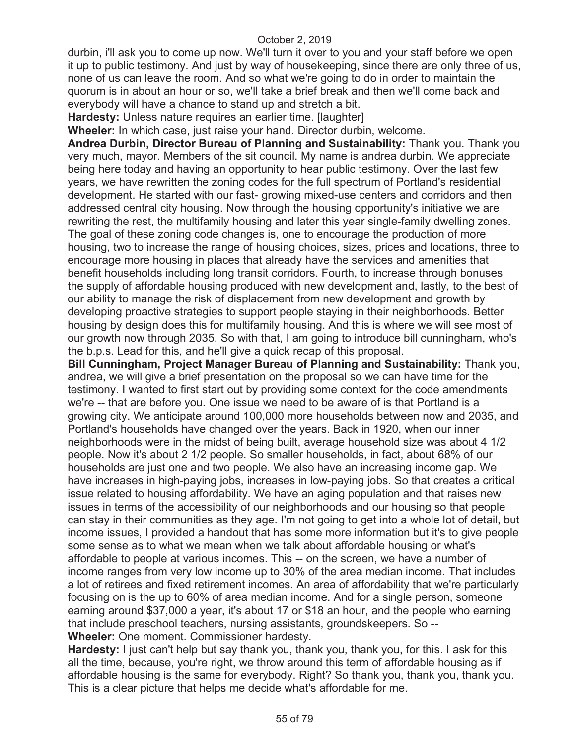durbin, i'll ask you to come up now. We'll turn it over to you and your staff before we open it up to public testimony. And just by way of housekeeping, since there are only three of us, none of us can leave the room. And so what we're going to do in order to maintain the quorum is in about an hour or so, we'll take a brief break and then we'll come back and everybody will have a chance to stand up and stretch a bit.

**Hardesty:** Unless nature requires an earlier time. [laughter]

**Wheeler:** In which case, just raise your hand. Director durbin, welcome.

**Andrea Durbin, Director Bureau of Planning and Sustainability:** Thank you. Thank you very much, mayor. Members of the sit council. My name is andrea durbin. We appreciate being here today and having an opportunity to hear public testimony. Over the last few years, we have rewritten the zoning codes for the full spectrum of Portland's residential development. He started with our fast- growing mixed-use centers and corridors and then addressed central city housing. Now through the housing opportunity's initiative we are rewriting the rest, the multifamily housing and later this year single-family dwelling zones. The goal of these zoning code changes is, one to encourage the production of more housing, two to increase the range of housing choices, sizes, prices and locations, three to encourage more housing in places that already have the services and amenities that benefit households including long transit corridors. Fourth, to increase through bonuses the supply of affordable housing produced with new development and, lastly, to the best of our ability to manage the risk of displacement from new development and growth by developing proactive strategies to support people staying in their neighborhoods. Better housing by design does this for multifamily housing. And this is where we will see most of our growth now through 2035. So with that, I am going to introduce bill cunningham, who's the b.p.s. Lead for this, and he'll give a quick recap of this proposal.

**Bill Cunningham, Project Manager Bureau of Planning and Sustainability:** Thank you, andrea, we will give a brief presentation on the proposal so we can have time for the testimony. I wanted to first start out by providing some context for the code amendments we're -- that are before you. One issue we need to be aware of is that Portland is a growing city. We anticipate around 100,000 more households between now and 2035, and Portland's households have changed over the years. Back in 1920, when our inner neighborhoods were in the midst of being built, average household size was about 4 1/2 people. Now it's about 2 1/2 people. So smaller households, in fact, about 68% of our households are just one and two people. We also have an increasing income gap. We have increases in high-paying jobs, increases in low-paying jobs. So that creates a critical issue related to housing affordability. We have an aging population and that raises new issues in terms of the accessibility of our neighborhoods and our housing so that people can stay in their communities as they age. I'm not going to get into a whole lot of detail, but income issues, I provided a handout that has some more information but it's to give people some sense as to what we mean when we talk about affordable housing or what's affordable to people at various incomes. This -- on the screen, we have a number of income ranges from very low income up to 30% of the area median income. That includes a lot of retirees and fixed retirement incomes. An area of affordability that we're particularly focusing on is the up to 60% of area median income. And for a single person, someone earning around \$37,000 a year, it's about 17 or \$18 an hour, and the people who earning that include preschool teachers, nursing assistants, groundskeepers. So -- **Wheeler:** One moment. Commissioner hardesty.

**Hardesty:** I just can't help but say thank you, thank you, thank you, for this. I ask for this all the time, because, you're right, we throw around this term of affordable housing as if affordable housing is the same for everybody. Right? So thank you, thank you, thank you. This is a clear picture that helps me decide what's affordable for me.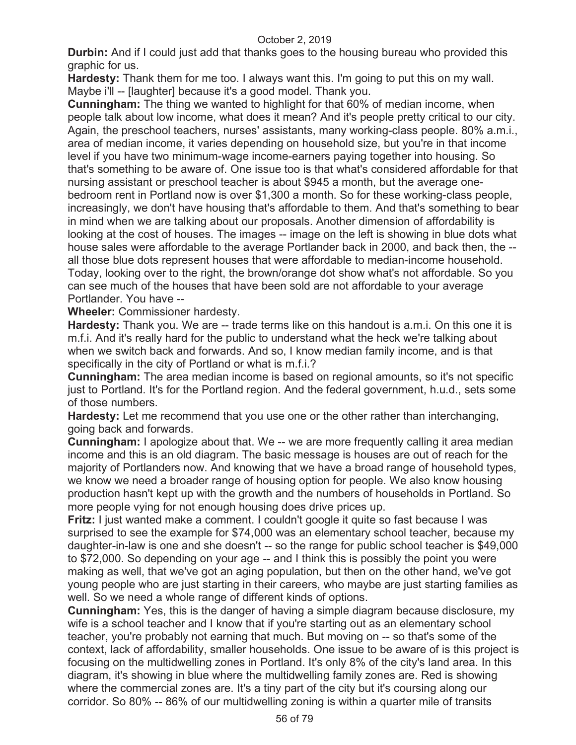**Durbin:** And if I could just add that thanks goes to the housing bureau who provided this graphic for us.

**Hardesty:** Thank them for me too. I always want this. I'm going to put this on my wall. Maybe i'll -- [laughter] because it's a good model. Thank you.

**Cunningham:** The thing we wanted to highlight for that 60% of median income, when people talk about low income, what does it mean? And it's people pretty critical to our city. Again, the preschool teachers, nurses' assistants, many working-class people. 80% a.m.i., area of median income, it varies depending on household size, but you're in that income level if you have two minimum-wage income-earners paying together into housing. So that's something to be aware of. One issue too is that what's considered affordable for that nursing assistant or preschool teacher is about \$945 a month, but the average onebedroom rent in Portland now is over \$1,300 a month. So for these working-class people, increasingly, we don't have housing that's affordable to them. And that's something to bear in mind when we are talking about our proposals. Another dimension of affordability is looking at the cost of houses. The images -- image on the left is showing in blue dots what house sales were affordable to the average Portlander back in 2000, and back then, the - all those blue dots represent houses that were affordable to median-income household. Today, looking over to the right, the brown/orange dot show what's not affordable. So you can see much of the houses that have been sold are not affordable to your average Portlander. You have --

**Wheeler:** Commissioner hardesty.

**Hardesty:** Thank you. We are -- trade terms like on this handout is a.m.i. On this one it is m.f.i. And it's really hard for the public to understand what the heck we're talking about when we switch back and forwards. And so, I know median family income, and is that specifically in the city of Portland or what is m.f.i.?

**Cunningham:** The area median income is based on regional amounts, so it's not specific just to Portland. It's for the Portland region. And the federal government, h.u.d., sets some of those numbers.

**Hardesty:** Let me recommend that you use one or the other rather than interchanging, going back and forwards.

**Cunningham:** I apologize about that. We -- we are more frequently calling it area median income and this is an old diagram. The basic message is houses are out of reach for the majority of Portlanders now. And knowing that we have a broad range of household types, we know we need a broader range of housing option for people. We also know housing production hasn't kept up with the growth and the numbers of households in Portland. So more people vying for not enough housing does drive prices up.

**Fritz:** I just wanted make a comment. I couldn't google it quite so fast because I was surprised to see the example for \$74,000 was an elementary school teacher, because my daughter-in-law is one and she doesn't -- so the range for public school teacher is \$49,000 to \$72,000. So depending on your age -- and I think this is possibly the point you were making as well, that we've got an aging population, but then on the other hand, we've got young people who are just starting in their careers, who maybe are just starting families as well. So we need a whole range of different kinds of options.

**Cunningham:** Yes, this is the danger of having a simple diagram because disclosure, my wife is a school teacher and I know that if you're starting out as an elementary school teacher, you're probably not earning that much. But moving on -- so that's some of the context, lack of affordability, smaller households. One issue to be aware of is this project is focusing on the multidwelling zones in Portland. It's only 8% of the city's land area. In this diagram, it's showing in blue where the multidwelling family zones are. Red is showing where the commercial zones are. It's a tiny part of the city but it's coursing along our corridor. So 80% -- 86% of our multidwelling zoning is within a quarter mile of transits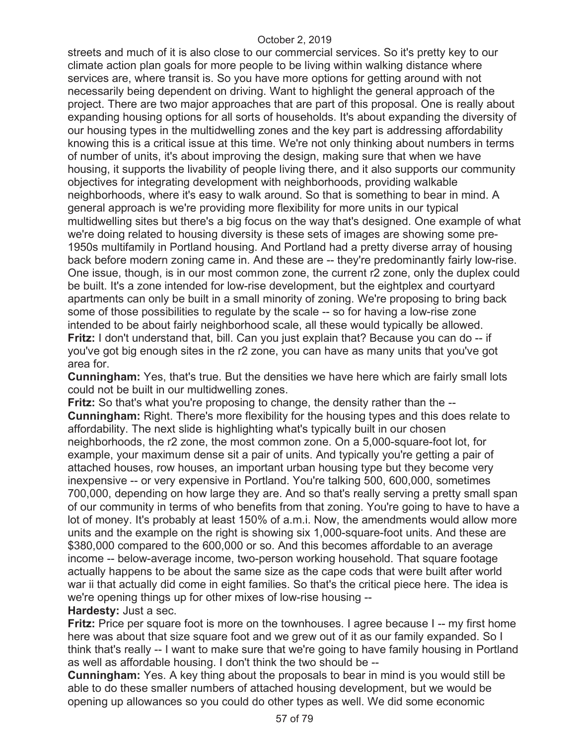streets and much of it is also close to our commercial services. So it's pretty key to our climate action plan goals for more people to be living within walking distance where services are, where transit is. So you have more options for getting around with not necessarily being dependent on driving. Want to highlight the general approach of the project. There are two major approaches that are part of this proposal. One is really about expanding housing options for all sorts of households. It's about expanding the diversity of our housing types in the multidwelling zones and the key part is addressing affordability knowing this is a critical issue at this time. We're not only thinking about numbers in terms of number of units, it's about improving the design, making sure that when we have housing, it supports the livability of people living there, and it also supports our community objectives for integrating development with neighborhoods, providing walkable neighborhoods, where it's easy to walk around. So that is something to bear in mind. A general approach is we're providing more flexibility for more units in our typical multidwelling sites but there's a big focus on the way that's designed. One example of what we're doing related to housing diversity is these sets of images are showing some pre-1950s multifamily in Portland housing. And Portland had a pretty diverse array of housing back before modern zoning came in. And these are -- they're predominantly fairly low-rise. One issue, though, is in our most common zone, the current r2 zone, only the duplex could be built. It's a zone intended for low-rise development, but the eightplex and courtyard apartments can only be built in a small minority of zoning. We're proposing to bring back some of those possibilities to regulate by the scale -- so for having a low-rise zone intended to be about fairly neighborhood scale, all these would typically be allowed. **Fritz:** I don't understand that, bill. Can you just explain that? Because you can do -- if you've got big enough sites in the r2 zone, you can have as many units that you've got area for.

**Cunningham:** Yes, that's true. But the densities we have here which are fairly small lots could not be built in our multidwelling zones.

**Fritz:** So that's what you're proposing to change, the density rather than the -- **Cunningham:** Right. There's more flexibility for the housing types and this does relate to affordability. The next slide is highlighting what's typically built in our chosen neighborhoods, the r2 zone, the most common zone. On a 5,000-square-foot lot, for example, your maximum dense sit a pair of units. And typically you're getting a pair of attached houses, row houses, an important urban housing type but they become very inexpensive -- or very expensive in Portland. You're talking 500, 600,000, sometimes 700,000, depending on how large they are. And so that's really serving a pretty small span of our community in terms of who benefits from that zoning. You're going to have to have a lot of money. It's probably at least 150% of a.m.i. Now, the amendments would allow more units and the example on the right is showing six 1,000-square-foot units. And these are \$380,000 compared to the 600,000 or so. And this becomes affordable to an average income -- below-average income, two-person working household. That square footage actually happens to be about the same size as the cape cods that were built after world war ii that actually did come in eight families. So that's the critical piece here. The idea is we're opening things up for other mixes of low-rise housing --

# **Hardesty:** Just a sec.

**Fritz:** Price per square foot is more on the townhouses. I agree because I -- my first home here was about that size square foot and we grew out of it as our family expanded. So I think that's really -- I want to make sure that we're going to have family housing in Portland as well as affordable housing. I don't think the two should be --

**Cunningham:** Yes. A key thing about the proposals to bear in mind is you would still be able to do these smaller numbers of attached housing development, but we would be opening up allowances so you could do other types as well. We did some economic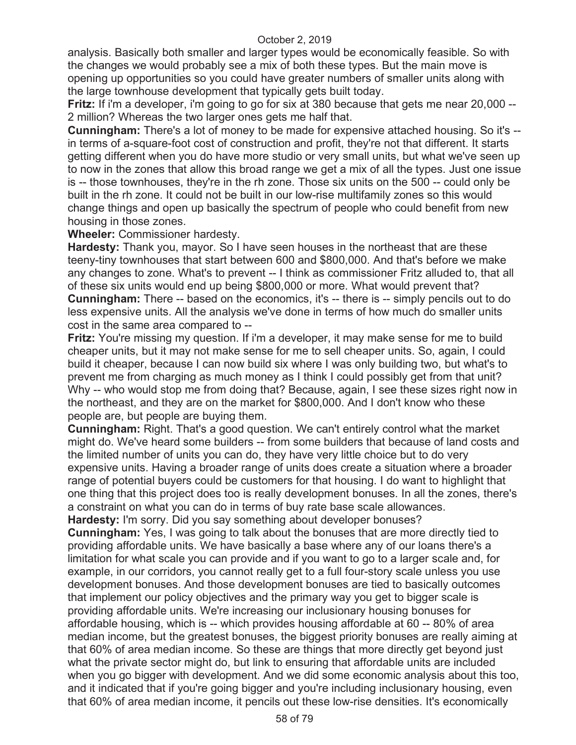analysis. Basically both smaller and larger types would be economically feasible. So with the changes we would probably see a mix of both these types. But the main move is opening up opportunities so you could have greater numbers of smaller units along with the large townhouse development that typically gets built today.

**Fritz:** If i'm a developer, i'm going to go for six at 380 because that gets me near 20,000 -- 2 million? Whereas the two larger ones gets me half that.

**Cunningham:** There's a lot of money to be made for expensive attached housing. So it's - in terms of a-square-foot cost of construction and profit, they're not that different. It starts getting different when you do have more studio or very small units, but what we've seen up to now in the zones that allow this broad range we get a mix of all the types. Just one issue is -- those townhouses, they're in the rh zone. Those six units on the 500 -- could only be built in the rh zone. It could not be built in our low-rise multifamily zones so this would change things and open up basically the spectrum of people who could benefit from new housing in those zones.

**Wheeler:** Commissioner hardesty.

**Hardesty:** Thank you, mayor. So I have seen houses in the northeast that are these teeny-tiny townhouses that start between 600 and \$800,000. And that's before we make any changes to zone. What's to prevent -- I think as commissioner Fritz alluded to, that all of these six units would end up being \$800,000 or more. What would prevent that? **Cunningham:** There -- based on the economics, it's -- there is -- simply pencils out to do less expensive units. All the analysis we've done in terms of how much do smaller units cost in the same area compared to --

**Fritz:** You're missing my question. If i'm a developer, it may make sense for me to build cheaper units, but it may not make sense for me to sell cheaper units. So, again, I could build it cheaper, because I can now build six where I was only building two, but what's to prevent me from charging as much money as I think I could possibly get from that unit? Why -- who would stop me from doing that? Because, again, I see these sizes right now in the northeast, and they are on the market for \$800,000. And I don't know who these people are, but people are buying them.

**Cunningham:** Right. That's a good question. We can't entirely control what the market might do. We've heard some builders -- from some builders that because of land costs and the limited number of units you can do, they have very little choice but to do very expensive units. Having a broader range of units does create a situation where a broader range of potential buyers could be customers for that housing. I do want to highlight that one thing that this project does too is really development bonuses. In all the zones, there's a constraint on what you can do in terms of buy rate base scale allowances. **Hardesty:** I'm sorry. Did you say something about developer bonuses?

**Cunningham:** Yes, I was going to talk about the bonuses that are more directly tied to providing affordable units. We have basically a base where any of our loans there's a limitation for what scale you can provide and if you want to go to a larger scale and, for example, in our corridors, you cannot really get to a full four-story scale unless you use development bonuses. And those development bonuses are tied to basically outcomes that implement our policy objectives and the primary way you get to bigger scale is providing affordable units. We're increasing our inclusionary housing bonuses for affordable housing, which is -- which provides housing affordable at 60 -- 80% of area median income, but the greatest bonuses, the biggest priority bonuses are really aiming at that 60% of area median income. So these are things that more directly get beyond just what the private sector might do, but link to ensuring that affordable units are included when you go bigger with development. And we did some economic analysis about this too, and it indicated that if you're going bigger and you're including inclusionary housing, even that 60% of area median income, it pencils out these low-rise densities. It's economically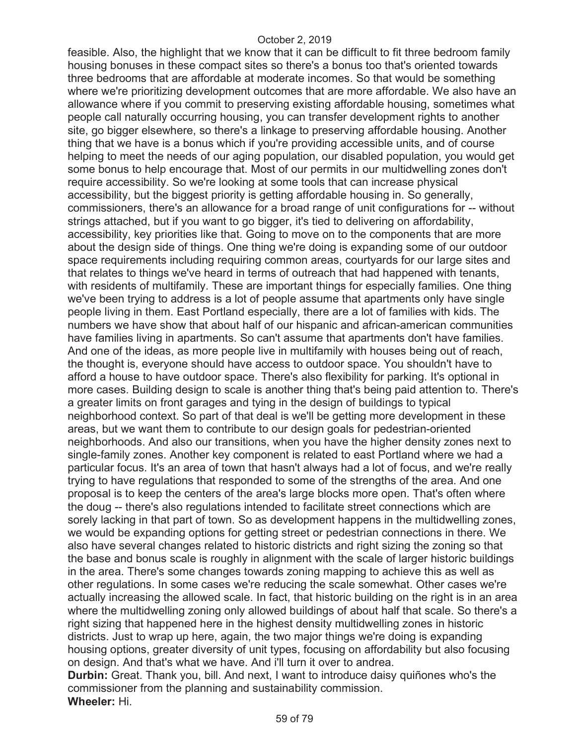feasible. Also, the highlight that we know that it can be difficult to fit three bedroom family housing bonuses in these compact sites so there's a bonus too that's oriented towards three bedrooms that are affordable at moderate incomes. So that would be something where we're prioritizing development outcomes that are more affordable. We also have an allowance where if you commit to preserving existing affordable housing, sometimes what people call naturally occurring housing, you can transfer development rights to another site, go bigger elsewhere, so there's a linkage to preserving affordable housing. Another thing that we have is a bonus which if you're providing accessible units, and of course helping to meet the needs of our aging population, our disabled population, you would get some bonus to help encourage that. Most of our permits in our multidwelling zones don't require accessibility. So we're looking at some tools that can increase physical accessibility, but the biggest priority is getting affordable housing in. So generally, commissioners, there's an allowance for a broad range of unit configurations for -- without strings attached, but if you want to go bigger, it's tied to delivering on affordability, accessibility, key priorities like that. Going to move on to the components that are more about the design side of things. One thing we're doing is expanding some of our outdoor space requirements including requiring common areas, courtyards for our large sites and that relates to things we've heard in terms of outreach that had happened with tenants, with residents of multifamily. These are important things for especially families. One thing we've been trying to address is a lot of people assume that apartments only have single people living in them. East Portland especially, there are a lot of families with kids. The numbers we have show that about half of our hispanic and african-american communities have families living in apartments. So can't assume that apartments don't have families. And one of the ideas, as more people live in multifamily with houses being out of reach, the thought is, everyone should have access to outdoor space. You shouldn't have to afford a house to have outdoor space. There's also flexibility for parking. It's optional in more cases. Building design to scale is another thing that's being paid attention to. There's a greater limits on front garages and tying in the design of buildings to typical neighborhood context. So part of that deal is we'll be getting more development in these areas, but we want them to contribute to our design goals for pedestrian-oriented neighborhoods. And also our transitions, when you have the higher density zones next to single-family zones. Another key component is related to east Portland where we had a particular focus. It's an area of town that hasn't always had a lot of focus, and we're really trying to have regulations that responded to some of the strengths of the area. And one proposal is to keep the centers of the area's large blocks more open. That's often where the doug -- there's also regulations intended to facilitate street connections which are sorely lacking in that part of town. So as development happens in the multidwelling zones, we would be expanding options for getting street or pedestrian connections in there. We also have several changes related to historic districts and right sizing the zoning so that the base and bonus scale is roughly in alignment with the scale of larger historic buildings in the area. There's some changes towards zoning mapping to achieve this as well as other regulations. In some cases we're reducing the scale somewhat. Other cases we're actually increasing the allowed scale. In fact, that historic building on the right is in an area where the multidwelling zoning only allowed buildings of about half that scale. So there's a right sizing that happened here in the highest density multidwelling zones in historic districts. Just to wrap up here, again, the two major things we're doing is expanding housing options, greater diversity of unit types, focusing on affordability but also focusing on design. And that's what we have. And i'll turn it over to andrea. **Durbin:** Great. Thank you, bill. And next, I want to introduce daisy quiñones who's the commissioner from the planning and sustainability commission.

**Wheeler:** Hi.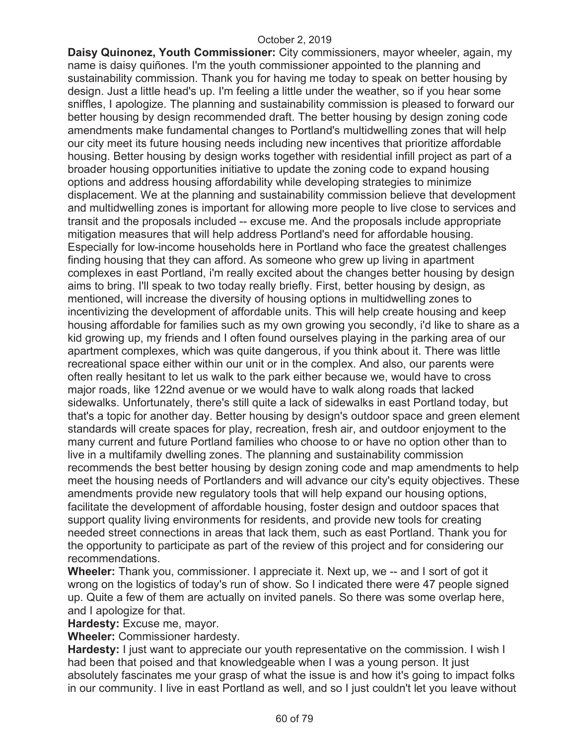**Daisy Quinonez, Youth Commissioner:** City commissioners, mayor wheeler, again, my name is daisy quiñones. I'm the youth commissioner appointed to the planning and sustainability commission. Thank you for having me today to speak on better housing by design. Just a little head's up. I'm feeling a little under the weather, so if you hear some sniffles, I apologize. The planning and sustainability commission is pleased to forward our better housing by design recommended draft. The better housing by design zoning code amendments make fundamental changes to Portland's multidwelling zones that will help our city meet its future housing needs including new incentives that prioritize affordable housing. Better housing by design works together with residential infill project as part of a broader housing opportunities initiative to update the zoning code to expand housing options and address housing affordability while developing strategies to minimize displacement. We at the planning and sustainability commission believe that development and multidwelling zones is important for allowing more people to live close to services and transit and the proposals included -- excuse me. And the proposals include appropriate mitigation measures that will help address Portland's need for affordable housing. Especially for low-income households here in Portland who face the greatest challenges finding housing that they can afford. As someone who grew up living in apartment complexes in east Portland, i'm really excited about the changes better housing by design aims to bring. I'll speak to two today really briefly. First, better housing by design, as mentioned, will increase the diversity of housing options in multidwelling zones to incentivizing the development of affordable units. This will help create housing and keep housing affordable for families such as my own growing you secondly, i'd like to share as a kid growing up, my friends and I often found ourselves playing in the parking area of our apartment complexes, which was quite dangerous, if you think about it. There was little recreational space either within our unit or in the complex. And also, our parents were often really hesitant to let us walk to the park either because we, would have to cross major roads, like 122nd avenue or we would have to walk along roads that lacked sidewalks. Unfortunately, there's still quite a lack of sidewalks in east Portland today, but that's a topic for another day. Better housing by design's outdoor space and green element standards will create spaces for play, recreation, fresh air, and outdoor enjoyment to the many current and future Portland families who choose to or have no option other than to live in a multifamily dwelling zones. The planning and sustainability commission recommends the best better housing by design zoning code and map amendments to help meet the housing needs of Portlanders and will advance our city's equity objectives. These amendments provide new regulatory tools that will help expand our housing options, facilitate the development of affordable housing, foster design and outdoor spaces that support quality living environments for residents, and provide new tools for creating needed street connections in areas that lack them, such as east Portland. Thank you for the opportunity to participate as part of the review of this project and for considering our recommendations.

**Wheeler:** Thank you, commissioner. I appreciate it. Next up, we -- and I sort of got it wrong on the logistics of today's run of show. So I indicated there were 47 people signed up. Quite a few of them are actually on invited panels. So there was some overlap here, and I apologize for that.

**Hardesty:** Excuse me, mayor.

**Wheeler:** Commissioner hardesty.

**Hardesty:** I just want to appreciate our youth representative on the commission. I wish I had been that poised and that knowledgeable when I was a young person. It just absolutely fascinates me your grasp of what the issue is and how it's going to impact folks in our community. I live in east Portland as well, and so I just couldn't let you leave without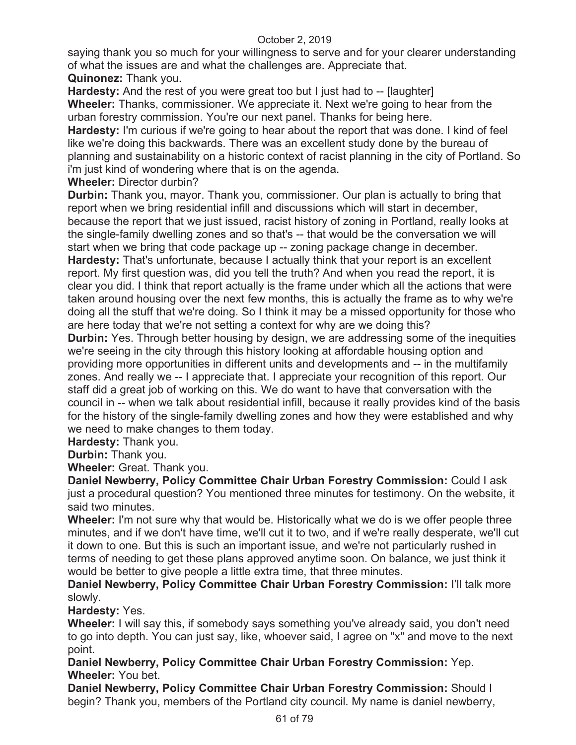saying thank you so much for your willingness to serve and for your clearer understanding of what the issues are and what the challenges are. Appreciate that.

# **Quinonez:** Thank you.

**Hardesty:** And the rest of you were great too but I just had to -- [laughter] **Wheeler:** Thanks, commissioner. We appreciate it. Next we're going to hear from the urban forestry commission. You're our next panel. Thanks for being here.

**Hardesty:** I'm curious if we're going to hear about the report that was done. I kind of feel like we're doing this backwards. There was an excellent study done by the bureau of planning and sustainability on a historic context of racist planning in the city of Portland. So i'm just kind of wondering where that is on the agenda.

## **Wheeler:** Director durbin?

**Durbin:** Thank you, mayor. Thank you, commissioner. Our plan is actually to bring that report when we bring residential infill and discussions which will start in december, because the report that we just issued, racist history of zoning in Portland, really looks at the single-family dwelling zones and so that's -- that would be the conversation we will start when we bring that code package up -- zoning package change in december.

**Hardesty:** That's unfortunate, because I actually think that your report is an excellent report. My first question was, did you tell the truth? And when you read the report, it is clear you did. I think that report actually is the frame under which all the actions that were taken around housing over the next few months, this is actually the frame as to why we're doing all the stuff that we're doing. So I think it may be a missed opportunity for those who are here today that we're not setting a context for why are we doing this?

**Durbin:** Yes. Through better housing by design, we are addressing some of the inequities we're seeing in the city through this history looking at affordable housing option and providing more opportunities in different units and developments and -- in the multifamily zones. And really we -- I appreciate that. I appreciate your recognition of this report. Our staff did a great job of working on this. We do want to have that conversation with the council in -- when we talk about residential infill, because it really provides kind of the basis for the history of the single-family dwelling zones and how they were established and why we need to make changes to them today.

**Hardesty:** Thank you.

**Durbin:** Thank you.

**Wheeler:** Great. Thank you.

**Daniel Newberry, Policy Committee Chair Urban Forestry Commission:** Could I ask just a procedural question? You mentioned three minutes for testimony. On the website, it said two minutes.

**Wheeler:** I'm not sure why that would be. Historically what we do is we offer people three minutes, and if we don't have time, we'll cut it to two, and if we're really desperate, we'll cut it down to one. But this is such an important issue, and we're not particularly rushed in terms of needing to get these plans approved anytime soon. On balance, we just think it would be better to give people a little extra time, that three minutes.

**Daniel Newberry, Policy Committee Chair Urban Forestry Commission:** I'll talk more slowly.

# **Hardesty:** Yes.

**Wheeler:** I will say this, if somebody says something you've already said, you don't need to go into depth. You can just say, like, whoever said, I agree on "x" and move to the next point.

**Daniel Newberry, Policy Committee Chair Urban Forestry Commission:** Yep. **Wheeler:** You bet.

**Daniel Newberry, Policy Committee Chair Urban Forestry Commission:** Should I begin? Thank you, members of the Portland city council. My name is daniel newberry,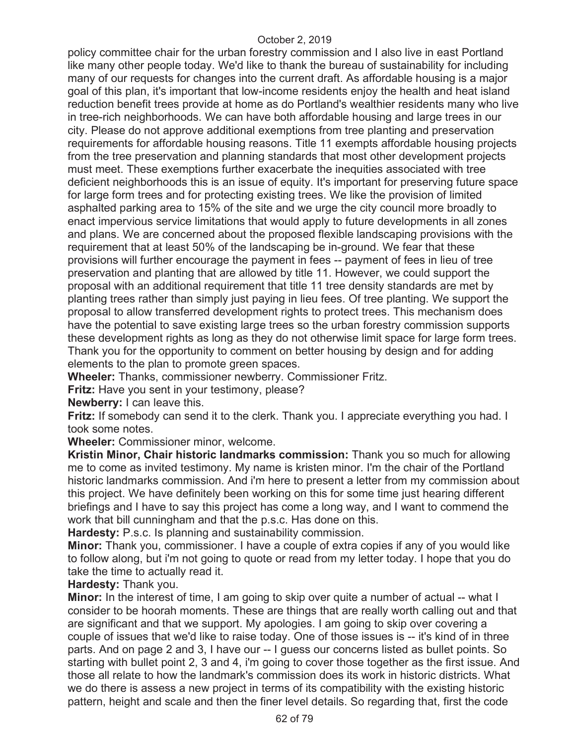policy committee chair for the urban forestry commission and I also live in east Portland like many other people today. We'd like to thank the bureau of sustainability for including many of our requests for changes into the current draft. As affordable housing is a major goal of this plan, it's important that low-income residents enjoy the health and heat island reduction benefit trees provide at home as do Portland's wealthier residents many who live in tree-rich neighborhoods. We can have both affordable housing and large trees in our city. Please do not approve additional exemptions from tree planting and preservation requirements for affordable housing reasons. Title 11 exempts affordable housing projects from the tree preservation and planning standards that most other development projects must meet. These exemptions further exacerbate the inequities associated with tree deficient neighborhoods this is an issue of equity. It's important for preserving future space for large form trees and for protecting existing trees. We like the provision of limited asphalted parking area to 15% of the site and we urge the city council more broadly to enact impervious service limitations that would apply to future developments in all zones and plans. We are concerned about the proposed flexible landscaping provisions with the requirement that at least 50% of the landscaping be in-ground. We fear that these provisions will further encourage the payment in fees -- payment of fees in lieu of tree preservation and planting that are allowed by title 11. However, we could support the proposal with an additional requirement that title 11 tree density standards are met by planting trees rather than simply just paying in lieu fees. Of tree planting. We support the proposal to allow transferred development rights to protect trees. This mechanism does have the potential to save existing large trees so the urban forestry commission supports these development rights as long as they do not otherwise limit space for large form trees. Thank you for the opportunity to comment on better housing by design and for adding elements to the plan to promote green spaces.

**Wheeler:** Thanks, commissioner newberry. Commissioner Fritz.

**Fritz:** Have you sent in your testimony, please?

**Newberry:** I can leave this.

**Fritz:** If somebody can send it to the clerk. Thank you. I appreciate everything you had. I took some notes.

**Wheeler:** Commissioner minor, welcome.

**Kristin Minor, Chair historic landmarks commission:** Thank you so much for allowing me to come as invited testimony. My name is kristen minor. I'm the chair of the Portland historic landmarks commission. And i'm here to present a letter from my commission about this project. We have definitely been working on this for some time just hearing different briefings and I have to say this project has come a long way, and I want to commend the work that bill cunningham and that the p.s.c. Has done on this.

**Hardesty:** P.s.c. Is planning and sustainability commission.

**Minor:** Thank you, commissioner. I have a couple of extra copies if any of you would like to follow along, but i'm not going to quote or read from my letter today. I hope that you do take the time to actually read it.

**Hardesty:** Thank you.

**Minor:** In the interest of time, I am going to skip over quite a number of actual -- what I consider to be hoorah moments. These are things that are really worth calling out and that are significant and that we support. My apologies. I am going to skip over covering a couple of issues that we'd like to raise today. One of those issues is -- it's kind of in three parts. And on page 2 and 3, I have our -- I guess our concerns listed as bullet points. So starting with bullet point 2, 3 and 4, i'm going to cover those together as the first issue. And those all relate to how the landmark's commission does its work in historic districts. What we do there is assess a new project in terms of its compatibility with the existing historic pattern, height and scale and then the finer level details. So regarding that, first the code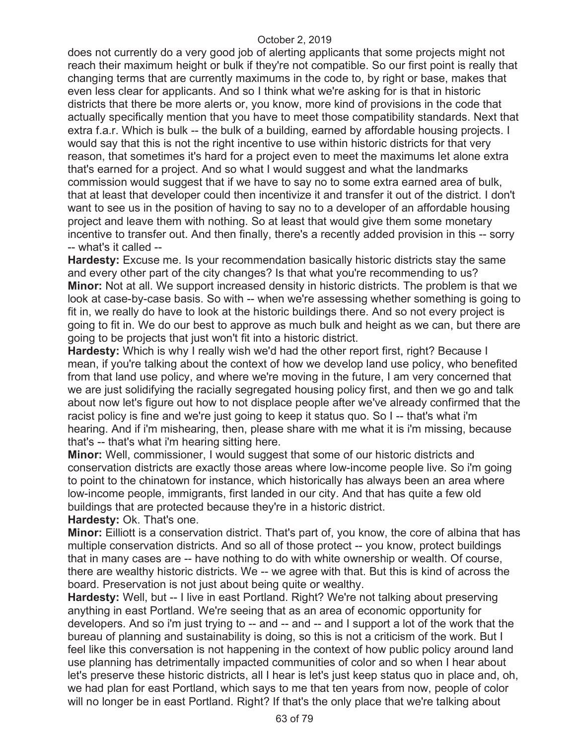does not currently do a very good job of alerting applicants that some projects might not reach their maximum height or bulk if they're not compatible. So our first point is really that changing terms that are currently maximums in the code to, by right or base, makes that even less clear for applicants. And so I think what we're asking for is that in historic districts that there be more alerts or, you know, more kind of provisions in the code that actually specifically mention that you have to meet those compatibility standards. Next that extra f.a.r. Which is bulk -- the bulk of a building, earned by affordable housing projects. I would say that this is not the right incentive to use within historic districts for that very reason, that sometimes it's hard for a project even to meet the maximums let alone extra that's earned for a project. And so what I would suggest and what the landmarks commission would suggest that if we have to say no to some extra earned area of bulk, that at least that developer could then incentivize it and transfer it out of the district. I don't want to see us in the position of having to say no to a developer of an affordable housing project and leave them with nothing. So at least that would give them some monetary incentive to transfer out. And then finally, there's a recently added provision in this -- sorry -- what's it called --

**Hardesty:** Excuse me. Is your recommendation basically historic districts stay the same and every other part of the city changes? Is that what you're recommending to us? **Minor:** Not at all. We support increased density in historic districts. The problem is that we look at case-by-case basis. So with -- when we're assessing whether something is going to fit in, we really do have to look at the historic buildings there. And so not every project is going to fit in. We do our best to approve as much bulk and height as we can, but there are going to be projects that just won't fit into a historic district.

**Hardesty:** Which is why I really wish we'd had the other report first, right? Because I mean, if you're talking about the context of how we develop land use policy, who benefited from that land use policy, and where we're moving in the future, I am very concerned that we are just solidifying the racially segregated housing policy first, and then we go and talk about now let's figure out how to not displace people after we've already confirmed that the racist policy is fine and we're just going to keep it status quo. So I -- that's what i'm hearing. And if i'm mishearing, then, please share with me what it is i'm missing, because that's -- that's what i'm hearing sitting here.

**Minor:** Well, commissioner, I would suggest that some of our historic districts and conservation districts are exactly those areas where low-income people live. So i'm going to point to the chinatown for instance, which historically has always been an area where low-income people, immigrants, first landed in our city. And that has quite a few old buildings that are protected because they're in a historic district.

**Hardesty:** Ok. That's one.

**Minor:** Eilliott is a conservation district. That's part of, you know, the core of albina that has multiple conservation districts. And so all of those protect -- you know, protect buildings that in many cases are -- have nothing to do with white ownership or wealth. Of course, there are wealthy historic districts. We -- we agree with that. But this is kind of across the board. Preservation is not just about being quite or wealthy.

**Hardesty:** Well, but -- I live in east Portland. Right? We're not talking about preserving anything in east Portland. We're seeing that as an area of economic opportunity for developers. And so i'm just trying to -- and -- and -- and I support a lot of the work that the bureau of planning and sustainability is doing, so this is not a criticism of the work. But I feel like this conversation is not happening in the context of how public policy around land use planning has detrimentally impacted communities of color and so when I hear about let's preserve these historic districts, all I hear is let's just keep status quo in place and, oh, we had plan for east Portland, which says to me that ten years from now, people of color will no longer be in east Portland. Right? If that's the only place that we're talking about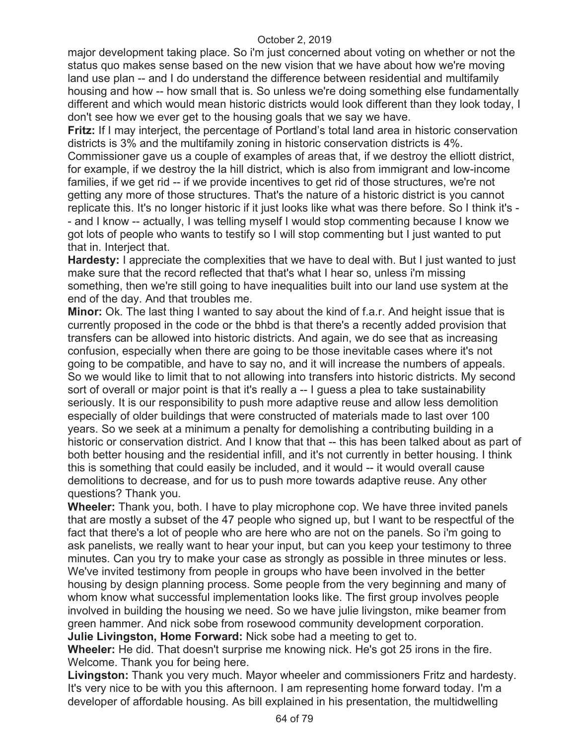major development taking place. So i'm just concerned about voting on whether or not the status quo makes sense based on the new vision that we have about how we're moving land use plan -- and I do understand the difference between residential and multifamily housing and how -- how small that is. So unless we're doing something else fundamentally different and which would mean historic districts would look different than they look today, I don't see how we ever get to the housing goals that we say we have.

**Fritz:** If I may interject, the percentage of Portland's total land area in historic conservation districts is 3% and the multifamily zoning in historic conservation districts is 4%.

Commissioner gave us a couple of examples of areas that, if we destroy the elliott district, for example, if we destroy the la hill district, which is also from immigrant and low-income families, if we get rid -- if we provide incentives to get rid of those structures, we're not getting any more of those structures. That's the nature of a historic district is you cannot replicate this. It's no longer historic if it just looks like what was there before. So I think it's - - and I know -- actually, I was telling myself I would stop commenting because I know we got lots of people who wants to testify so I will stop commenting but I just wanted to put that in. Interject that.

**Hardesty:** I appreciate the complexities that we have to deal with. But I just wanted to just make sure that the record reflected that that's what I hear so, unless i'm missing something, then we're still going to have inequalities built into our land use system at the end of the day. And that troubles me.

**Minor:** Ok. The last thing I wanted to say about the kind of f.a.r. And height issue that is currently proposed in the code or the bhbd is that there's a recently added provision that transfers can be allowed into historic districts. And again, we do see that as increasing confusion, especially when there are going to be those inevitable cases where it's not going to be compatible, and have to say no, and it will increase the numbers of appeals. So we would like to limit that to not allowing into transfers into historic districts. My second sort of overall or major point is that it's really a -- I guess a plea to take sustainability seriously. It is our responsibility to push more adaptive reuse and allow less demolition especially of older buildings that were constructed of materials made to last over 100 years. So we seek at a minimum a penalty for demolishing a contributing building in a historic or conservation district. And I know that that -- this has been talked about as part of both better housing and the residential infill, and it's not currently in better housing. I think this is something that could easily be included, and it would -- it would overall cause demolitions to decrease, and for us to push more towards adaptive reuse. Any other questions? Thank you.

**Wheeler:** Thank you, both. I have to play microphone cop. We have three invited panels that are mostly a subset of the 47 people who signed up, but I want to be respectful of the fact that there's a lot of people who are here who are not on the panels. So i'm going to ask panelists, we really want to hear your input, but can you keep your testimony to three minutes. Can you try to make your case as strongly as possible in three minutes or less. We've invited testimony from people in groups who have been involved in the better housing by design planning process. Some people from the very beginning and many of whom know what successful implementation looks like. The first group involves people involved in building the housing we need. So we have julie livingston, mike beamer from green hammer. And nick sobe from rosewood community development corporation. **Julie Livingston, Home Forward:** Nick sobe had a meeting to get to.

**Wheeler:** He did. That doesn't surprise me knowing nick. He's got 25 irons in the fire. Welcome. Thank you for being here.

**Livingston:** Thank you very much. Mayor wheeler and commissioners Fritz and hardesty. It's very nice to be with you this afternoon. I am representing home forward today. I'm a developer of affordable housing. As bill explained in his presentation, the multidwelling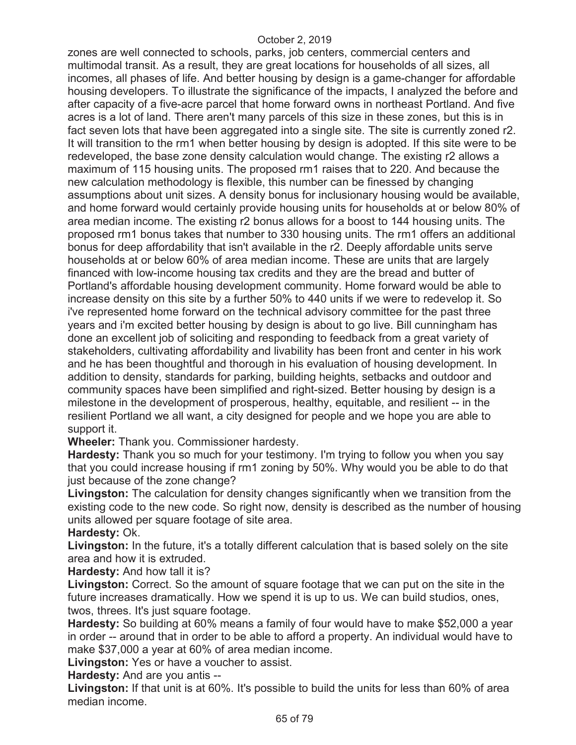zones are well connected to schools, parks, job centers, commercial centers and multimodal transit. As a result, they are great locations for households of all sizes, all incomes, all phases of life. And better housing by design is a game-changer for affordable housing developers. To illustrate the significance of the impacts, I analyzed the before and after capacity of a five-acre parcel that home forward owns in northeast Portland. And five acres is a lot of land. There aren't many parcels of this size in these zones, but this is in fact seven lots that have been aggregated into a single site. The site is currently zoned r2. It will transition to the rm1 when better housing by design is adopted. If this site were to be redeveloped, the base zone density calculation would change. The existing r2 allows a maximum of 115 housing units. The proposed rm1 raises that to 220. And because the new calculation methodology is flexible, this number can be finessed by changing assumptions about unit sizes. A density bonus for inclusionary housing would be available, and home forward would certainly provide housing units for households at or below 80% of area median income. The existing r2 bonus allows for a boost to 144 housing units. The proposed rm1 bonus takes that number to 330 housing units. The rm1 offers an additional bonus for deep affordability that isn't available in the r2. Deeply affordable units serve households at or below 60% of area median income. These are units that are largely financed with low-income housing tax credits and they are the bread and butter of Portland's affordable housing development community. Home forward would be able to increase density on this site by a further 50% to 440 units if we were to redevelop it. So i've represented home forward on the technical advisory committee for the past three years and i'm excited better housing by design is about to go live. Bill cunningham has done an excellent job of soliciting and responding to feedback from a great variety of stakeholders, cultivating affordability and livability has been front and center in his work and he has been thoughtful and thorough in his evaluation of housing development. In addition to density, standards for parking, building heights, setbacks and outdoor and community spaces have been simplified and right-sized. Better housing by design is a milestone in the development of prosperous, healthy, equitable, and resilient -- in the resilient Portland we all want, a city designed for people and we hope you are able to support it.

**Wheeler:** Thank you. Commissioner hardesty.

**Hardesty:** Thank you so much for your testimony. I'm trying to follow you when you say that you could increase housing if rm1 zoning by 50%. Why would you be able to do that just because of the zone change?

**Livingston:** The calculation for density changes significantly when we transition from the existing code to the new code. So right now, density is described as the number of housing units allowed per square footage of site area.

**Hardesty:** Ok.

**Livingston:** In the future, it's a totally different calculation that is based solely on the site area and how it is extruded.

**Hardesty:** And how tall it is?

**Livingston:** Correct. So the amount of square footage that we can put on the site in the future increases dramatically. How we spend it is up to us. We can build studios, ones, twos, threes. It's just square footage.

**Hardesty:** So building at 60% means a family of four would have to make \$52,000 a year in order -- around that in order to be able to afford a property. An individual would have to make \$37,000 a year at 60% of area median income.

**Livingston:** Yes or have a voucher to assist.

**Hardesty:** And are you antis --

**Livingston:** If that unit is at 60%. It's possible to build the units for less than 60% of area median income.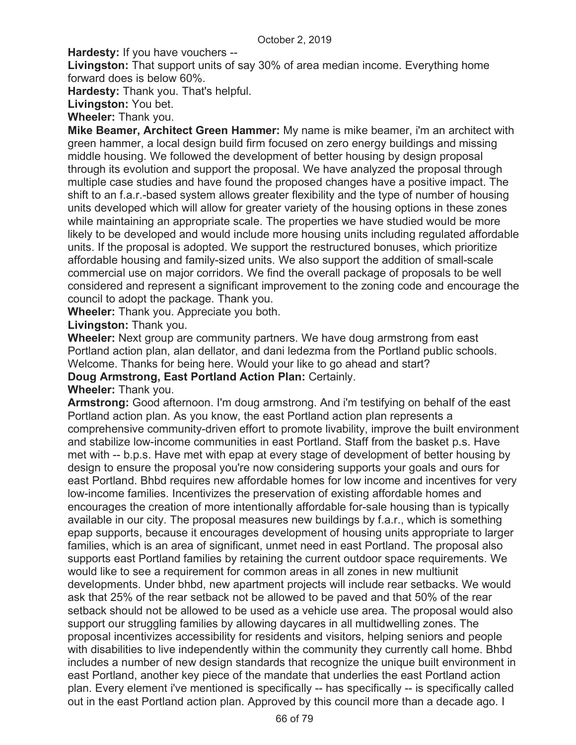**Hardesty:** If you have vouchers --

**Livingston:** That support units of say 30% of area median income. Everything home forward does is below 60%.

**Hardesty:** Thank you. That's helpful.

**Livingston:** You bet.

**Wheeler:** Thank you.

**Mike Beamer, Architect Green Hammer:** My name is mike beamer, i'm an architect with green hammer, a local design build firm focused on zero energy buildings and missing middle housing. We followed the development of better housing by design proposal through its evolution and support the proposal. We have analyzed the proposal through multiple case studies and have found the proposed changes have a positive impact. The shift to an f.a.r.-based system allows greater flexibility and the type of number of housing units developed which will allow for greater variety of the housing options in these zones while maintaining an appropriate scale. The properties we have studied would be more likely to be developed and would include more housing units including regulated affordable units. If the proposal is adopted. We support the restructured bonuses, which prioritize affordable housing and family-sized units. We also support the addition of small-scale commercial use on major corridors. We find the overall package of proposals to be well considered and represent a significant improvement to the zoning code and encourage the council to adopt the package. Thank you.

**Wheeler:** Thank you. Appreciate you both.

**Livingston:** Thank you.

**Wheeler:** Next group are community partners. We have doug armstrong from east Portland action plan, alan dellator, and dani ledezma from the Portland public schools. Welcome. Thanks for being here. Would your like to go ahead and start?

**Doug Armstrong, East Portland Action Plan:** Certainly.

# **Wheeler:** Thank you.

**Armstrong:** Good afternoon. I'm doug armstrong. And i'm testifying on behalf of the east Portland action plan. As you know, the east Portland action plan represents a comprehensive community-driven effort to promote livability, improve the built environment and stabilize low-income communities in east Portland. Staff from the basket p.s. Have met with -- b.p.s. Have met with epap at every stage of development of better housing by design to ensure the proposal you're now considering supports your goals and ours for east Portland. Bhbd requires new affordable homes for low income and incentives for very low-income families. Incentivizes the preservation of existing affordable homes and encourages the creation of more intentionally affordable for-sale housing than is typically available in our city. The proposal measures new buildings by f.a.r., which is something epap supports, because it encourages development of housing units appropriate to larger families, which is an area of significant, unmet need in east Portland. The proposal also supports east Portland families by retaining the current outdoor space requirements. We would like to see a requirement for common areas in all zones in new multiunit developments. Under bhbd, new apartment projects will include rear setbacks. We would ask that 25% of the rear setback not be allowed to be paved and that 50% of the rear setback should not be allowed to be used as a vehicle use area. The proposal would also support our struggling families by allowing daycares in all multidwelling zones. The proposal incentivizes accessibility for residents and visitors, helping seniors and people with disabilities to live independently within the community they currently call home. Bhbd includes a number of new design standards that recognize the unique built environment in east Portland, another key piece of the mandate that underlies the east Portland action plan. Every element i've mentioned is specifically -- has specifically -- is specifically called out in the east Portland action plan. Approved by this council more than a decade ago. I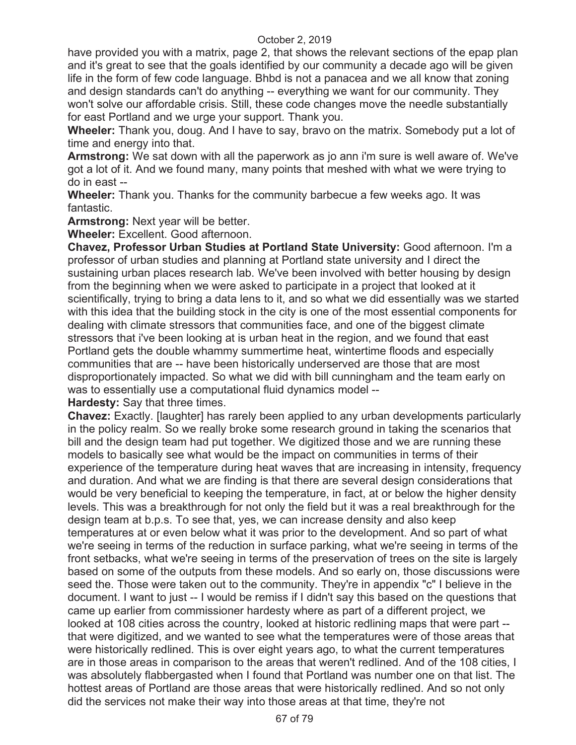have provided you with a matrix, page 2, that shows the relevant sections of the epap plan and it's great to see that the goals identified by our community a decade ago will be given life in the form of few code language. Bhbd is not a panacea and we all know that zoning and design standards can't do anything -- everything we want for our community. They won't solve our affordable crisis. Still, these code changes move the needle substantially for east Portland and we urge your support. Thank you.

**Wheeler:** Thank you, doug. And I have to say, bravo on the matrix. Somebody put a lot of time and energy into that.

**Armstrong:** We sat down with all the paperwork as jo ann i'm sure is well aware of. We've got a lot of it. And we found many, many points that meshed with what we were trying to do in east --

**Wheeler:** Thank you. Thanks for the community barbecue a few weeks ago. It was fantastic.

**Armstrong:** Next year will be better.

**Wheeler:** Excellent. Good afternoon.

**Chavez, Professor Urban Studies at Portland State University:** Good afternoon. I'm a professor of urban studies and planning at Portland state university and I direct the sustaining urban places research lab. We've been involved with better housing by design from the beginning when we were asked to participate in a project that looked at it scientifically, trying to bring a data lens to it, and so what we did essentially was we started with this idea that the building stock in the city is one of the most essential components for dealing with climate stressors that communities face, and one of the biggest climate stressors that i've been looking at is urban heat in the region, and we found that east Portland gets the double whammy summertime heat, wintertime floods and especially communities that are -- have been historically underserved are those that are most disproportionately impacted. So what we did with bill cunningham and the team early on was to essentially use a computational fluid dynamics model --

**Hardesty:** Say that three times.

**Chavez:** Exactly. [laughter] has rarely been applied to any urban developments particularly in the policy realm. So we really broke some research ground in taking the scenarios that bill and the design team had put together. We digitized those and we are running these models to basically see what would be the impact on communities in terms of their experience of the temperature during heat waves that are increasing in intensity, frequency and duration. And what we are finding is that there are several design considerations that would be very beneficial to keeping the temperature, in fact, at or below the higher density levels. This was a breakthrough for not only the field but it was a real breakthrough for the design team at b.p.s. To see that, yes, we can increase density and also keep temperatures at or even below what it was prior to the development. And so part of what we're seeing in terms of the reduction in surface parking, what we're seeing in terms of the front setbacks, what we're seeing in terms of the preservation of trees on the site is largely based on some of the outputs from these models. And so early on, those discussions were seed the. Those were taken out to the community. They're in appendix "c" I believe in the document. I want to just -- I would be remiss if I didn't say this based on the questions that came up earlier from commissioner hardesty where as part of a different project, we looked at 108 cities across the country, looked at historic redlining maps that were part - that were digitized, and we wanted to see what the temperatures were of those areas that were historically redlined. This is over eight years ago, to what the current temperatures are in those areas in comparison to the areas that weren't redlined. And of the 108 cities, I was absolutely flabbergasted when I found that Portland was number one on that list. The hottest areas of Portland are those areas that were historically redlined. And so not only did the services not make their way into those areas at that time, they're not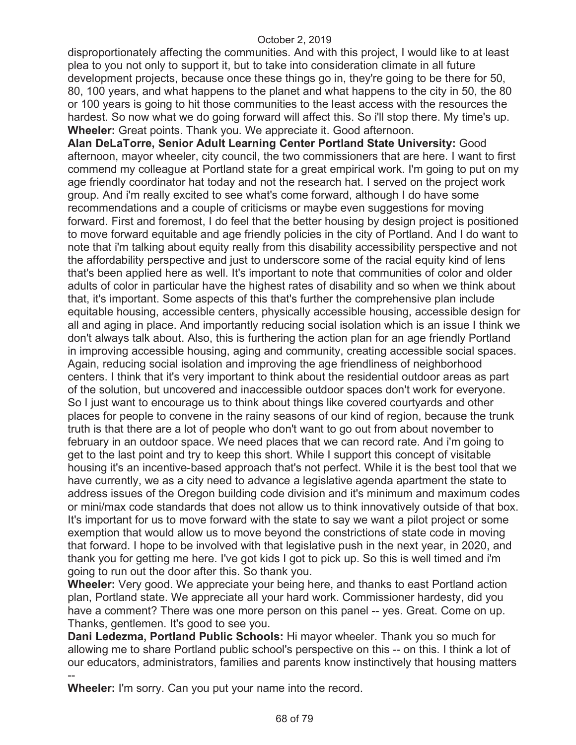disproportionately affecting the communities. And with this project, I would like to at least plea to you not only to support it, but to take into consideration climate in all future development projects, because once these things go in, they're going to be there for 50, 80, 100 years, and what happens to the planet and what happens to the city in 50, the 80 or 100 years is going to hit those communities to the least access with the resources the hardest. So now what we do going forward will affect this. So i'll stop there. My time's up. **Wheeler:** Great points. Thank you. We appreciate it. Good afternoon.

**Alan DeLaTorre, Senior Adult Learning Center Portland State University:** Good afternoon, mayor wheeler, city council, the two commissioners that are here. I want to first commend my colleague at Portland state for a great empirical work. I'm going to put on my age friendly coordinator hat today and not the research hat. I served on the project work group. And i'm really excited to see what's come forward, although I do have some recommendations and a couple of criticisms or maybe even suggestions for moving forward. First and foremost, I do feel that the better housing by design project is positioned to move forward equitable and age friendly policies in the city of Portland. And I do want to note that i'm talking about equity really from this disability accessibility perspective and not the affordability perspective and just to underscore some of the racial equity kind of lens that's been applied here as well. It's important to note that communities of color and older adults of color in particular have the highest rates of disability and so when we think about that, it's important. Some aspects of this that's further the comprehensive plan include equitable housing, accessible centers, physically accessible housing, accessible design for all and aging in place. And importantly reducing social isolation which is an issue I think we don't always talk about. Also, this is furthering the action plan for an age friendly Portland in improving accessible housing, aging and community, creating accessible social spaces. Again, reducing social isolation and improving the age friendliness of neighborhood centers. I think that it's very important to think about the residential outdoor areas as part of the solution, but uncovered and inaccessible outdoor spaces don't work for everyone. So I just want to encourage us to think about things like covered courtyards and other places for people to convene in the rainy seasons of our kind of region, because the trunk truth is that there are a lot of people who don't want to go out from about november to february in an outdoor space. We need places that we can record rate. And i'm going to get to the last point and try to keep this short. While I support this concept of visitable housing it's an incentive-based approach that's not perfect. While it is the best tool that we have currently, we as a city need to advance a legislative agenda apartment the state to address issues of the Oregon building code division and it's minimum and maximum codes or mini/max code standards that does not allow us to think innovatively outside of that box. It's important for us to move forward with the state to say we want a pilot project or some exemption that would allow us to move beyond the constrictions of state code in moving that forward. I hope to be involved with that legislative push in the next year, in 2020, and thank you for getting me here. I've got kids I got to pick up. So this is well timed and i'm going to run out the door after this. So thank you.

**Wheeler:** Very good. We appreciate your being here, and thanks to east Portland action plan, Portland state. We appreciate all your hard work. Commissioner hardesty, did you have a comment? There was one more person on this panel -- yes. Great. Come on up. Thanks, gentlemen. It's good to see you.

**Dani Ledezma, Portland Public Schools:** Hi mayor wheeler. Thank you so much for allowing me to share Portland public school's perspective on this -- on this. I think a lot of our educators, administrators, families and parents know instinctively that housing matters --

**Wheeler:** I'm sorry. Can you put your name into the record.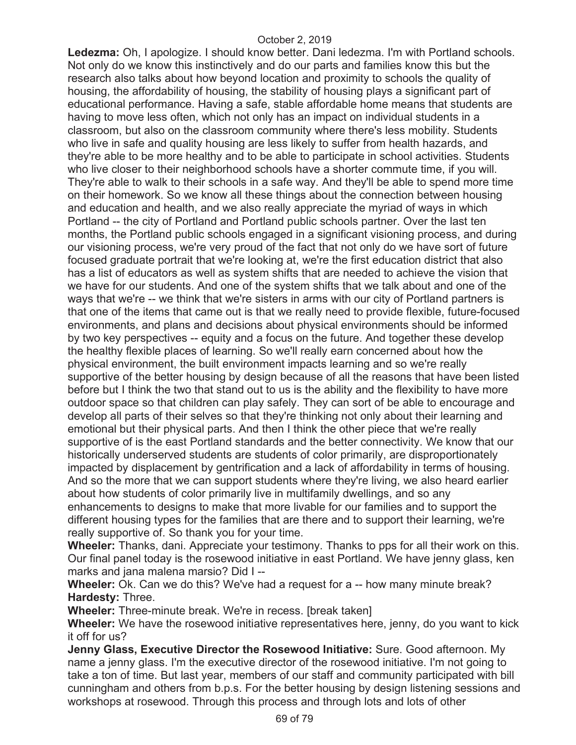**Ledezma:** Oh, I apologize. I should know better. Dani ledezma. I'm with Portland schools. Not only do we know this instinctively and do our parts and families know this but the research also talks about how beyond location and proximity to schools the quality of housing, the affordability of housing, the stability of housing plays a significant part of educational performance. Having a safe, stable affordable home means that students are having to move less often, which not only has an impact on individual students in a classroom, but also on the classroom community where there's less mobility. Students who live in safe and quality housing are less likely to suffer from health hazards, and they're able to be more healthy and to be able to participate in school activities. Students who live closer to their neighborhood schools have a shorter commute time, if you will. They're able to walk to their schools in a safe way. And they'll be able to spend more time on their homework. So we know all these things about the connection between housing and education and health, and we also really appreciate the myriad of ways in which Portland -- the city of Portland and Portland public schools partner. Over the last ten months, the Portland public schools engaged in a significant visioning process, and during our visioning process, we're very proud of the fact that not only do we have sort of future focused graduate portrait that we're looking at, we're the first education district that also has a list of educators as well as system shifts that are needed to achieve the vision that we have for our students. And one of the system shifts that we talk about and one of the ways that we're -- we think that we're sisters in arms with our city of Portland partners is that one of the items that came out is that we really need to provide flexible, future-focused environments, and plans and decisions about physical environments should be informed by two key perspectives -- equity and a focus on the future. And together these develop the healthy flexible places of learning. So we'll really earn concerned about how the physical environment, the built environment impacts learning and so we're really supportive of the better housing by design because of all the reasons that have been listed before but I think the two that stand out to us is the ability and the flexibility to have more outdoor space so that children can play safely. They can sort of be able to encourage and develop all parts of their selves so that they're thinking not only about their learning and emotional but their physical parts. And then I think the other piece that we're really supportive of is the east Portland standards and the better connectivity. We know that our historically underserved students are students of color primarily, are disproportionately impacted by displacement by gentrification and a lack of affordability in terms of housing. And so the more that we can support students where they're living, we also heard earlier about how students of color primarily live in multifamily dwellings, and so any enhancements to designs to make that more livable for our families and to support the different housing types for the families that are there and to support their learning, we're really supportive of. So thank you for your time.

**Wheeler:** Thanks, dani. Appreciate your testimony. Thanks to pps for all their work on this. Our final panel today is the rosewood initiative in east Portland. We have jenny glass, ken marks and jana malena marsio? Did I --

**Wheeler:** Ok. Can we do this? We've had a request for a -- how many minute break? **Hardesty:** Three.

**Wheeler:** Three-minute break. We're in recess. [break taken]

**Wheeler:** We have the rosewood initiative representatives here, jenny, do you want to kick it off for us?

**Jenny Glass, Executive Director the Rosewood Initiative:** Sure. Good afternoon. My name a jenny glass. I'm the executive director of the rosewood initiative. I'm not going to take a ton of time. But last year, members of our staff and community participated with bill cunningham and others from b.p.s. For the better housing by design listening sessions and workshops at rosewood. Through this process and through lots and lots of other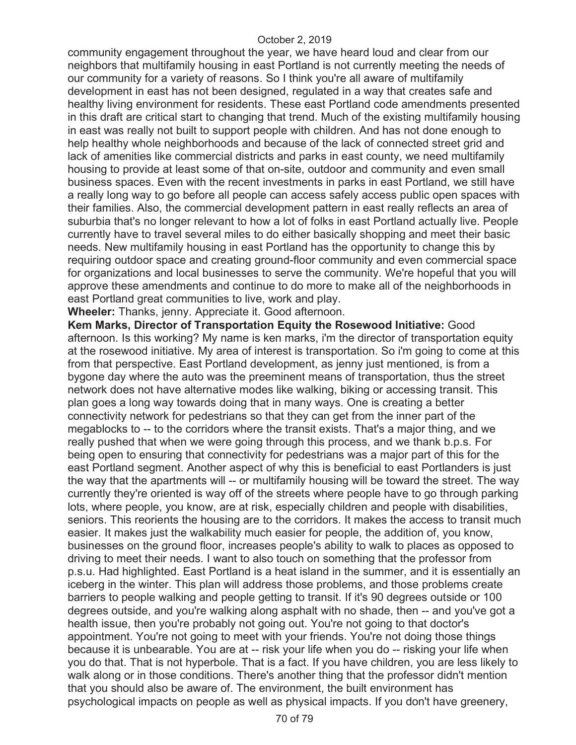community engagement throughout the year, we have heard loud and clear from our neighbors that multifamily housing in east Portland is not currently meeting the needs of our community for a variety of reasons. So I think you're all aware of multifamily development in east has not been designed, regulated in a way that creates safe and healthy living environment for residents. These east Portland code amendments presented in this draft are critical start to changing that trend. Much of the existing multifamily housing in east was really not built to support people with children. And has not done enough to help healthy whole neighborhoods and because of the lack of connected street grid and lack of amenities like commercial districts and parks in east county, we need multifamily housing to provide at least some of that on-site, outdoor and community and even small business spaces. Even with the recent investments in parks in east Portland, we still have a really long way to go before all people can access safely access public open spaces with their families. Also, the commercial development pattern in east really reflects an area of suburbia that's no longer relevant to how a lot of folks in east Portland actually live. People currently have to travel several miles to do either basically shopping and meet their basic needs. New multifamily housing in east Portland has the opportunity to change this by requiring outdoor space and creating ground-floor community and even commercial space for organizations and local businesses to serve the community. We're hopeful that you will approve these amendments and continue to do more to make all of the neighborhoods in east Portland great communities to live, work and play.

**Wheeler:** Thanks, jenny. Appreciate it. Good afternoon.

**Kem Marks, Director of Transportation Equity the Rosewood Initiative:** Good afternoon. Is this working? My name is ken marks, i'm the director of transportation equity at the rosewood initiative. My area of interest is transportation. So i'm going to come at this from that perspective. East Portland development, as jenny just mentioned, is from a bygone day where the auto was the preeminent means of transportation, thus the street network does not have alternative modes like walking, biking or accessing transit. This plan goes a long way towards doing that in many ways. One is creating a better connectivity network for pedestrians so that they can get from the inner part of the megablocks to -- to the corridors where the transit exists. That's a major thing, and we really pushed that when we were going through this process, and we thank b.p.s. For being open to ensuring that connectivity for pedestrians was a major part of this for the east Portland segment. Another aspect of why this is beneficial to east Portlanders is just the way that the apartments will -- or multifamily housing will be toward the street. The way currently they're oriented is way off of the streets where people have to go through parking lots, where people, you know, are at risk, especially children and people with disabilities, seniors. This reorients the housing are to the corridors. It makes the access to transit much easier. It makes just the walkability much easier for people, the addition of, you know, businesses on the ground floor, increases people's ability to walk to places as opposed to driving to meet their needs. I want to also touch on something that the professor from p.s.u. Had highlighted. East Portland is a heat island in the summer, and it is essentially an iceberg in the winter. This plan will address those problems, and those problems create barriers to people walking and people getting to transit. If it's 90 degrees outside or 100 degrees outside, and you're walking along asphalt with no shade, then -- and you've got a health issue, then you're probably not going out. You're not going to that doctor's appointment. You're not going to meet with your friends. You're not doing those things because it is unbearable. You are at -- risk your life when you do -- risking your life when you do that. That is not hyperbole. That is a fact. If you have children, you are less likely to walk along or in those conditions. There's another thing that the professor didn't mention that you should also be aware of. The environment, the built environment has psychological impacts on people as well as physical impacts. If you don't have greenery,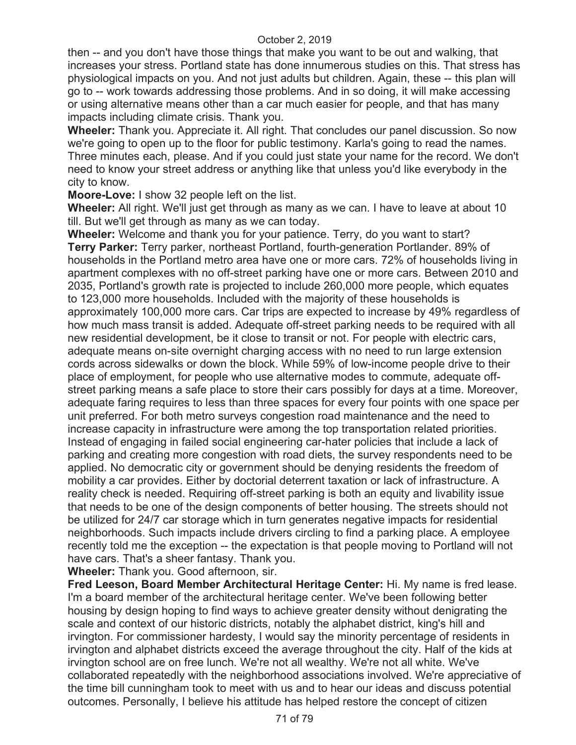then -- and you don't have those things that make you want to be out and walking, that increases your stress. Portland state has done innumerous studies on this. That stress has physiological impacts on you. And not just adults but children. Again, these -- this plan will go to -- work towards addressing those problems. And in so doing, it will make accessing or using alternative means other than a car much easier for people, and that has many impacts including climate crisis. Thank you.

**Wheeler:** Thank you. Appreciate it. All right. That concludes our panel discussion. So now we're going to open up to the floor for public testimony. Karla's going to read the names. Three minutes each, please. And if you could just state your name for the record. We don't need to know your street address or anything like that unless you'd like everybody in the city to know.

**Moore-Love:** I show 32 people left on the list.

**Wheeler:** All right. We'll just get through as many as we can. I have to leave at about 10 till. But we'll get through as many as we can today.

**Wheeler:** Welcome and thank you for your patience. Terry, do you want to start? **Terry Parker:** Terry parker, northeast Portland, fourth-generation Portlander. 89% of households in the Portland metro area have one or more cars. 72% of households living in apartment complexes with no off-street parking have one or more cars. Between 2010 and 2035, Portland's growth rate is projected to include 260,000 more people, which equates to 123,000 more households. Included with the majority of these households is approximately 100,000 more cars. Car trips are expected to increase by 49% regardless of how much mass transit is added. Adequate off-street parking needs to be required with all new residential development, be it close to transit or not. For people with electric cars, adequate means on-site overnight charging access with no need to run large extension cords across sidewalks or down the block. While 59% of low-income people drive to their place of employment, for people who use alternative modes to commute, adequate offstreet parking means a safe place to store their cars possibly for days at a time. Moreover, adequate faring requires to less than three spaces for every four points with one space per unit preferred. For both metro surveys congestion road maintenance and the need to increase capacity in infrastructure were among the top transportation related priorities. Instead of engaging in failed social engineering car-hater policies that include a lack of parking and creating more congestion with road diets, the survey respondents need to be applied. No democratic city or government should be denying residents the freedom of mobility a car provides. Either by doctorial deterrent taxation or lack of infrastructure. A reality check is needed. Requiring off-street parking is both an equity and livability issue that needs to be one of the design components of better housing. The streets should not be utilized for 24/7 car storage which in turn generates negative impacts for residential neighborhoods. Such impacts include drivers circling to find a parking place. A employee recently told me the exception -- the expectation is that people moving to Portland will not have cars. That's a sheer fantasy. Thank you.

**Wheeler:** Thank you. Good afternoon, sir.

**Fred Leeson, Board Member Architectural Heritage Center:** Hi. My name is fred lease. I'm a board member of the architectural heritage center. We've been following better housing by design hoping to find ways to achieve greater density without denigrating the scale and context of our historic districts, notably the alphabet district, king's hill and irvington. For commissioner hardesty, I would say the minority percentage of residents in irvington and alphabet districts exceed the average throughout the city. Half of the kids at irvington school are on free lunch. We're not all wealthy. We're not all white. We've collaborated repeatedly with the neighborhood associations involved. We're appreciative of the time bill cunningham took to meet with us and to hear our ideas and discuss potential outcomes. Personally, I believe his attitude has helped restore the concept of citizen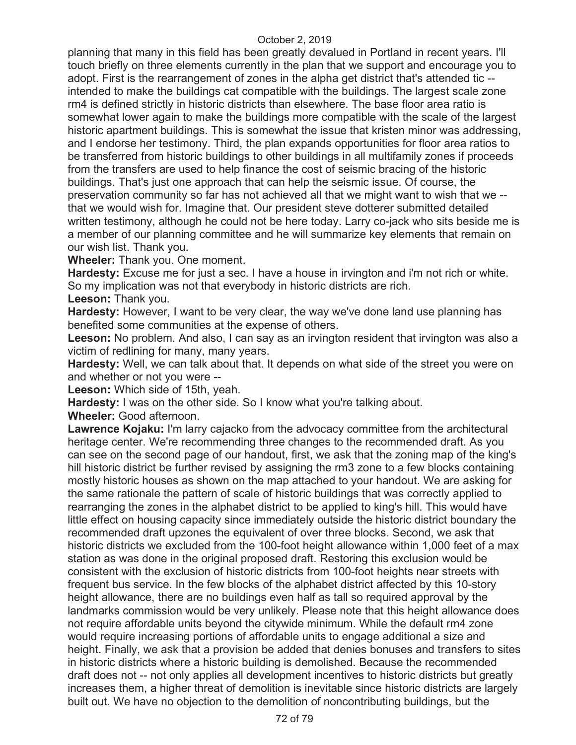planning that many in this field has been greatly devalued in Portland in recent years. I'll touch briefly on three elements currently in the plan that we support and encourage you to adopt. First is the rearrangement of zones in the alpha get district that's attended tic - intended to make the buildings cat compatible with the buildings. The largest scale zone rm4 is defined strictly in historic districts than elsewhere. The base floor area ratio is somewhat lower again to make the buildings more compatible with the scale of the largest historic apartment buildings. This is somewhat the issue that kristen minor was addressing, and I endorse her testimony. Third, the plan expands opportunities for floor area ratios to be transferred from historic buildings to other buildings in all multifamily zones if proceeds from the transfers are used to help finance the cost of seismic bracing of the historic buildings. That's just one approach that can help the seismic issue. Of course, the preservation community so far has not achieved all that we might want to wish that we - that we would wish for. Imagine that. Our president steve dotterer submitted detailed written testimony, although he could not be here today. Larry co-jack who sits beside me is a member of our planning committee and he will summarize key elements that remain on our wish list. Thank you.

**Wheeler:** Thank you. One moment.

**Hardesty:** Excuse me for just a sec. I have a house in irvington and i'm not rich or white. So my implication was not that everybody in historic districts are rich.

**Leeson:** Thank you.

**Hardesty:** However, I want to be very clear, the way we've done land use planning has benefited some communities at the expense of others.

**Leeson:** No problem. And also, I can say as an irvington resident that irvington was also a victim of redlining for many, many years.

**Hardesty:** Well, we can talk about that. It depends on what side of the street you were on and whether or not you were --

**Leeson:** Which side of 15th, yeah.

**Hardesty:** I was on the other side. So I know what you're talking about.

**Wheeler:** Good afternoon.

Lawrence Kojaku: I'm larry cajacko from the advocacy committee from the architectural heritage center. We're recommending three changes to the recommended draft. As you can see on the second page of our handout, first, we ask that the zoning map of the king's hill historic district be further revised by assigning the rm3 zone to a few blocks containing mostly historic houses as shown on the map attached to your handout. We are asking for the same rationale the pattern of scale of historic buildings that was correctly applied to rearranging the zones in the alphabet district to be applied to king's hill. This would have little effect on housing capacity since immediately outside the historic district boundary the recommended draft upzones the equivalent of over three blocks. Second, we ask that historic districts we excluded from the 100-foot height allowance within 1,000 feet of a max station as was done in the original proposed draft. Restoring this exclusion would be consistent with the exclusion of historic districts from 100-foot heights near streets with frequent bus service. In the few blocks of the alphabet district affected by this 10-story height allowance, there are no buildings even half as tall so required approval by the landmarks commission would be very unlikely. Please note that this height allowance does not require affordable units beyond the citywide minimum. While the default rm4 zone would require increasing portions of affordable units to engage additional a size and height. Finally, we ask that a provision be added that denies bonuses and transfers to sites in historic districts where a historic building is demolished. Because the recommended draft does not -- not only applies all development incentives to historic districts but greatly increases them, a higher threat of demolition is inevitable since historic districts are largely built out. We have no objection to the demolition of noncontributing buildings, but the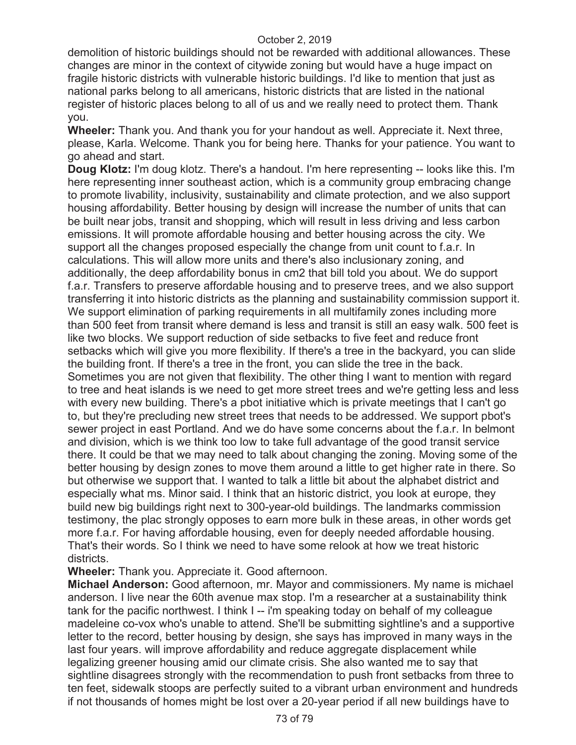demolition of historic buildings should not be rewarded with additional allowances. These changes are minor in the context of citywide zoning but would have a huge impact on fragile historic districts with vulnerable historic buildings. I'd like to mention that just as national parks belong to all americans, historic districts that are listed in the national register of historic places belong to all of us and we really need to protect them. Thank you.

**Wheeler:** Thank you. And thank you for your handout as well. Appreciate it. Next three, please, Karla. Welcome. Thank you for being here. Thanks for your patience. You want to go ahead and start.

**Doug Klotz:** I'm doug klotz. There's a handout. I'm here representing -- looks like this. I'm here representing inner southeast action, which is a community group embracing change to promote livability, inclusivity, sustainability and climate protection, and we also support housing affordability. Better housing by design will increase the number of units that can be built near jobs, transit and shopping, which will result in less driving and less carbon emissions. It will promote affordable housing and better housing across the city. We support all the changes proposed especially the change from unit count to f.a.r. In calculations. This will allow more units and there's also inclusionary zoning, and additionally, the deep affordability bonus in cm2 that bill told you about. We do support f.a.r. Transfers to preserve affordable housing and to preserve trees, and we also support transferring it into historic districts as the planning and sustainability commission support it. We support elimination of parking requirements in all multifamily zones including more than 500 feet from transit where demand is less and transit is still an easy walk. 500 feet is like two blocks. We support reduction of side setbacks to five feet and reduce front setbacks which will give you more flexibility. If there's a tree in the backyard, you can slide the building front. If there's a tree in the front, you can slide the tree in the back. Sometimes you are not given that flexibility. The other thing I want to mention with regard to tree and heat islands is we need to get more street trees and we're getting less and less with every new building. There's a pbot initiative which is private meetings that I can't go to, but they're precluding new street trees that needs to be addressed. We support pbot's sewer project in east Portland. And we do have some concerns about the f.a.r. In belmont and division, which is we think too low to take full advantage of the good transit service there. It could be that we may need to talk about changing the zoning. Moving some of the better housing by design zones to move them around a little to get higher rate in there. So but otherwise we support that. I wanted to talk a little bit about the alphabet district and especially what ms. Minor said. I think that an historic district, you look at europe, they build new big buildings right next to 300-year-old buildings. The landmarks commission testimony, the plac strongly opposes to earn more bulk in these areas, in other words get more f.a.r. For having affordable housing, even for deeply needed affordable housing. That's their words. So I think we need to have some relook at how we treat historic districts.

**Wheeler:** Thank you. Appreciate it. Good afternoon.

**Michael Anderson:** Good afternoon, mr. Mayor and commissioners. My name is michael anderson. I live near the 60th avenue max stop. I'm a researcher at a sustainability think tank for the pacific northwest. I think I -- i'm speaking today on behalf of my colleague madeleine co-vox who's unable to attend. She'll be submitting sightline's and a supportive letter to the record, better housing by design, she says has improved in many ways in the last four years. will improve affordability and reduce aggregate displacement while legalizing greener housing amid our climate crisis. She also wanted me to say that sightline disagrees strongly with the recommendation to push front setbacks from three to ten feet, sidewalk stoops are perfectly suited to a vibrant urban environment and hundreds if not thousands of homes might be lost over a 20-year period if all new buildings have to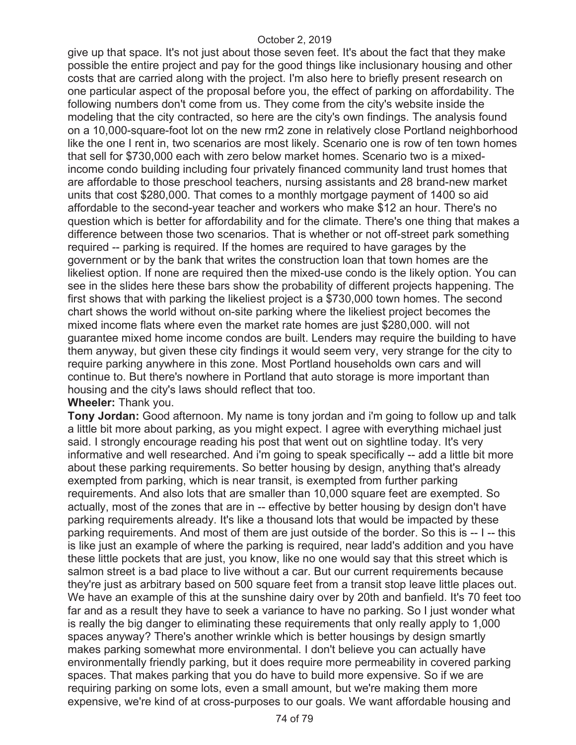give up that space. It's not just about those seven feet. It's about the fact that they make possible the entire project and pay for the good things like inclusionary housing and other costs that are carried along with the project. I'm also here to briefly present research on one particular aspect of the proposal before you, the effect of parking on affordability. The following numbers don't come from us. They come from the city's website inside the modeling that the city contracted, so here are the city's own findings. The analysis found on a 10,000-square-foot lot on the new rm2 zone in relatively close Portland neighborhood like the one I rent in, two scenarios are most likely. Scenario one is row of ten town homes that sell for \$730,000 each with zero below market homes. Scenario two is a mixedincome condo building including four privately financed community land trust homes that are affordable to those preschool teachers, nursing assistants and 28 brand-new market units that cost \$280,000. That comes to a monthly mortgage payment of 1400 so aid affordable to the second-year teacher and workers who make \$12 an hour. There's no question which is better for affordability and for the climate. There's one thing that makes a difference between those two scenarios. That is whether or not off-street park something required -- parking is required. If the homes are required to have garages by the government or by the bank that writes the construction loan that town homes are the likeliest option. If none are required then the mixed-use condo is the likely option. You can see in the slides here these bars show the probability of different projects happening. The first shows that with parking the likeliest project is a \$730,000 town homes. The second chart shows the world without on-site parking where the likeliest project becomes the mixed income flats where even the market rate homes are just \$280,000. will not guarantee mixed home income condos are built. Lenders may require the building to have them anyway, but given these city findings it would seem very, very strange for the city to require parking anywhere in this zone. Most Portland households own cars and will continue to. But there's nowhere in Portland that auto storage is more important than housing and the city's laws should reflect that too.

# **Wheeler:** Thank you.

**Tony Jordan:** Good afternoon. My name is tony jordan and i'm going to follow up and talk a little bit more about parking, as you might expect. I agree with everything michael just said. I strongly encourage reading his post that went out on sightline today. It's very informative and well researched. And i'm going to speak specifically -- add a little bit more about these parking requirements. So better housing by design, anything that's already exempted from parking, which is near transit, is exempted from further parking requirements. And also lots that are smaller than 10,000 square feet are exempted. So actually, most of the zones that are in -- effective by better housing by design don't have parking requirements already. It's like a thousand lots that would be impacted by these parking requirements. And most of them are just outside of the border. So this is -- I -- this is like just an example of where the parking is required, near ladd's addition and you have these little pockets that are just, you know, like no one would say that this street which is salmon street is a bad place to live without a car. But our current requirements because they're just as arbitrary based on 500 square feet from a transit stop leave little places out. We have an example of this at the sunshine dairy over by 20th and banfield. It's 70 feet too far and as a result they have to seek a variance to have no parking. So I just wonder what is really the big danger to eliminating these requirements that only really apply to 1,000 spaces anyway? There's another wrinkle which is better housings by design smartly makes parking somewhat more environmental. I don't believe you can actually have environmentally friendly parking, but it does require more permeability in covered parking spaces. That makes parking that you do have to build more expensive. So if we are requiring parking on some lots, even a small amount, but we're making them more expensive, we're kind of at cross-purposes to our goals. We want affordable housing and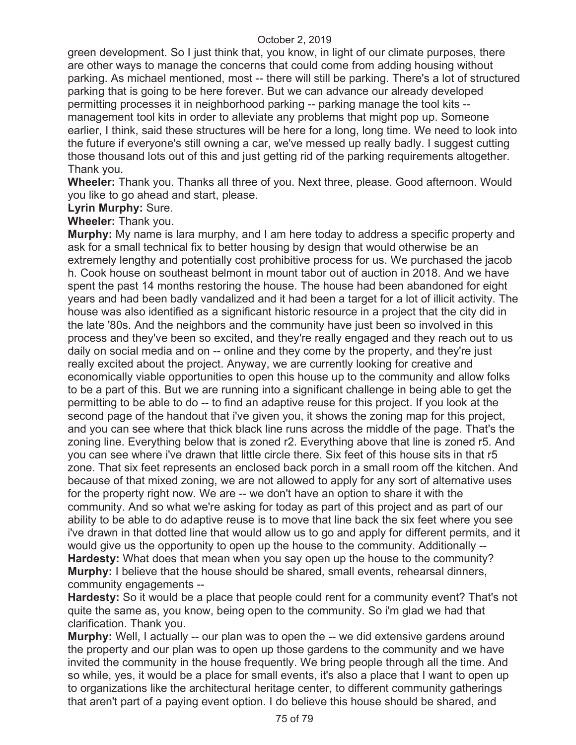green development. So I just think that, you know, in light of our climate purposes, there are other ways to manage the concerns that could come from adding housing without parking. As michael mentioned, most -- there will still be parking. There's a lot of structured parking that is going to be here forever. But we can advance our already developed permitting processes it in neighborhood parking -- parking manage the tool kits - management tool kits in order to alleviate any problems that might pop up. Someone earlier, I think, said these structures will be here for a long, long time. We need to look into the future if everyone's still owning a car, we've messed up really badly. I suggest cutting those thousand lots out of this and just getting rid of the parking requirements altogether. Thank you.

**Wheeler:** Thank you. Thanks all three of you. Next three, please. Good afternoon. Would you like to go ahead and start, please.

# **Lyrin Murphy:** Sure.

# **Wheeler:** Thank you.

**Murphy:** My name is lara murphy, and I am here today to address a specific property and ask for a small technical fix to better housing by design that would otherwise be an extremely lengthy and potentially cost prohibitive process for us. We purchased the jacob h. Cook house on southeast belmont in mount tabor out of auction in 2018. And we have spent the past 14 months restoring the house. The house had been abandoned for eight years and had been badly vandalized and it had been a target for a lot of illicit activity. The house was also identified as a significant historic resource in a project that the city did in the late '80s. And the neighbors and the community have just been so involved in this process and they've been so excited, and they're really engaged and they reach out to us daily on social media and on -- online and they come by the property, and they're just really excited about the project. Anyway, we are currently looking for creative and economically viable opportunities to open this house up to the community and allow folks to be a part of this. But we are running into a significant challenge in being able to get the permitting to be able to do -- to find an adaptive reuse for this project. If you look at the second page of the handout that i've given you, it shows the zoning map for this project, and you can see where that thick black line runs across the middle of the page. That's the zoning line. Everything below that is zoned r2. Everything above that line is zoned r5. And you can see where i've drawn that little circle there. Six feet of this house sits in that r5 zone. That six feet represents an enclosed back porch in a small room off the kitchen. And because of that mixed zoning, we are not allowed to apply for any sort of alternative uses for the property right now. We are -- we don't have an option to share it with the community. And so what we're asking for today as part of this project and as part of our ability to be able to do adaptive reuse is to move that line back the six feet where you see i've drawn in that dotted line that would allow us to go and apply for different permits, and it would give us the opportunity to open up the house to the community. Additionally -- **Hardesty:** What does that mean when you say open up the house to the community? **Murphy:** I believe that the house should be shared, small events, rehearsal dinners, community engagements --

**Hardesty:** So it would be a place that people could rent for a community event? That's not quite the same as, you know, being open to the community. So i'm glad we had that clarification. Thank you.

**Murphy:** Well, I actually -- our plan was to open the -- we did extensive gardens around the property and our plan was to open up those gardens to the community and we have invited the community in the house frequently. We bring people through all the time. And so while, yes, it would be a place for small events, it's also a place that I want to open up to organizations like the architectural heritage center, to different community gatherings that aren't part of a paying event option. I do believe this house should be shared, and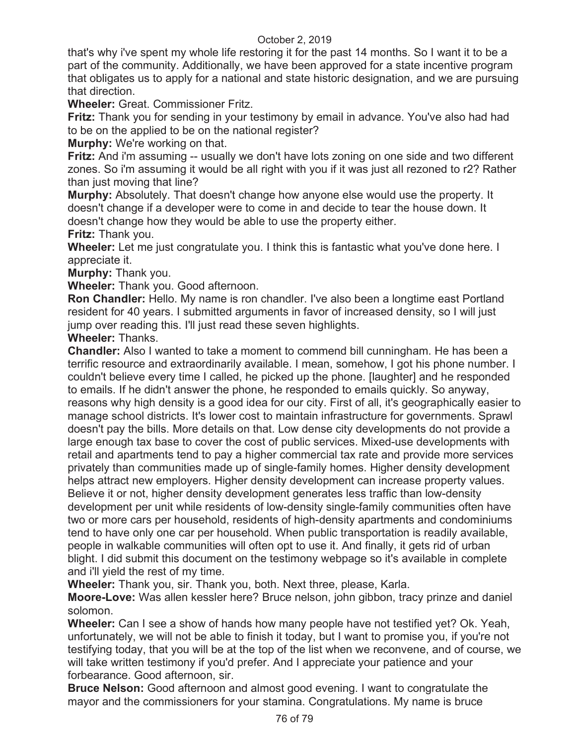that's why i've spent my whole life restoring it for the past 14 months. So I want it to be a part of the community. Additionally, we have been approved for a state incentive program that obligates us to apply for a national and state historic designation, and we are pursuing that direction.

**Wheeler:** Great. Commissioner Fritz.

**Fritz:** Thank you for sending in your testimony by email in advance. You've also had had to be on the applied to be on the national register?

**Murphy:** We're working on that.

**Fritz:** And i'm assuming -- usually we don't have lots zoning on one side and two different zones. So i'm assuming it would be all right with you if it was just all rezoned to r2? Rather than just moving that line?

**Murphy:** Absolutely. That doesn't change how anyone else would use the property. It doesn't change if a developer were to come in and decide to tear the house down. It doesn't change how they would be able to use the property either.

**Fritz:** Thank you.

**Wheeler:** Let me just congratulate you. I think this is fantastic what you've done here. I appreciate it.

**Murphy:** Thank you.

**Wheeler:** Thank you. Good afternoon.

**Ron Chandler:** Hello. My name is ron chandler. I've also been a longtime east Portland resident for 40 years. I submitted arguments in favor of increased density, so I will just jump over reading this. I'll just read these seven highlights.

**Wheeler:** Thanks.

**Chandler:** Also I wanted to take a moment to commend bill cunningham. He has been a terrific resource and extraordinarily available. I mean, somehow, I got his phone number. I couldn't believe every time I called, he picked up the phone. [laughter] and he responded to emails. If he didn't answer the phone, he responded to emails quickly. So anyway, reasons why high density is a good idea for our city. First of all, it's geographically easier to manage school districts. It's lower cost to maintain infrastructure for governments. Sprawl doesn't pay the bills. More details on that. Low dense city developments do not provide a large enough tax base to cover the cost of public services. Mixed-use developments with retail and apartments tend to pay a higher commercial tax rate and provide more services privately than communities made up of single-family homes. Higher density development helps attract new employers. Higher density development can increase property values. Believe it or not, higher density development generates less traffic than low-density development per unit while residents of low-density single-family communities often have two or more cars per household, residents of high-density apartments and condominiums tend to have only one car per household. When public transportation is readily available, people in walkable communities will often opt to use it. And finally, it gets rid of urban blight. I did submit this document on the testimony webpage so it's available in complete and i'll yield the rest of my time.

**Wheeler:** Thank you, sir. Thank you, both. Next three, please, Karla.

**Moore-Love:** Was allen kessler here? Bruce nelson, john gibbon, tracy prinze and daniel solomon.

**Wheeler:** Can I see a show of hands how many people have not testified yet? Ok. Yeah, unfortunately, we will not be able to finish it today, but I want to promise you, if you're not testifying today, that you will be at the top of the list when we reconvene, and of course, we will take written testimony if you'd prefer. And I appreciate your patience and your forbearance. Good afternoon, sir.

**Bruce Nelson:** Good afternoon and almost good evening. I want to congratulate the mayor and the commissioners for your stamina. Congratulations. My name is bruce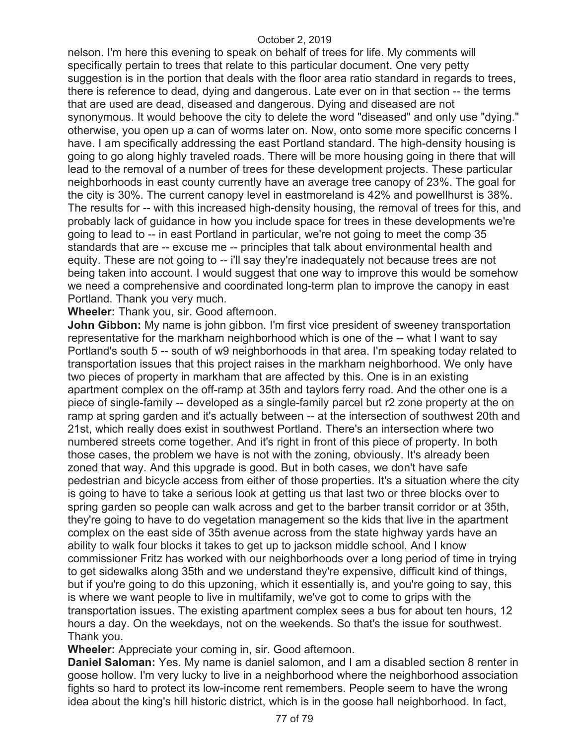nelson. I'm here this evening to speak on behalf of trees for life. My comments will specifically pertain to trees that relate to this particular document. One very petty suggestion is in the portion that deals with the floor area ratio standard in regards to trees, there is reference to dead, dying and dangerous. Late ever on in that section -- the terms that are used are dead, diseased and dangerous. Dying and diseased are not synonymous. It would behoove the city to delete the word "diseased" and only use "dying." otherwise, you open up a can of worms later on. Now, onto some more specific concerns I have. I am specifically addressing the east Portland standard. The high-density housing is going to go along highly traveled roads. There will be more housing going in there that will lead to the removal of a number of trees for these development projects. These particular neighborhoods in east county currently have an average tree canopy of 23%. The goal for the city is 30%. The current canopy level in eastmoreland is 42% and powellhurst is 38%. The results for -- with this increased high-density housing, the removal of trees for this, and probably lack of guidance in how you include space for trees in these developments we're going to lead to -- in east Portland in particular, we're not going to meet the comp 35 standards that are -- excuse me -- principles that talk about environmental health and equity. These are not going to -- i'll say they're inadequately not because trees are not being taken into account. I would suggest that one way to improve this would be somehow we need a comprehensive and coordinated long-term plan to improve the canopy in east Portland. Thank you very much.

**Wheeler:** Thank you, sir. Good afternoon.

**John Gibbon:** My name is john gibbon. I'm first vice president of sweeney transportation representative for the markham neighborhood which is one of the -- what I want to say Portland's south 5 -- south of w9 neighborhoods in that area. I'm speaking today related to transportation issues that this project raises in the markham neighborhood. We only have two pieces of property in markham that are affected by this. One is in an existing apartment complex on the off-ramp at 35th and taylors ferry road. And the other one is a piece of single-family -- developed as a single-family parcel but r2 zone property at the on ramp at spring garden and it's actually between -- at the intersection of southwest 20th and 21st, which really does exist in southwest Portland. There's an intersection where two numbered streets come together. And it's right in front of this piece of property. In both those cases, the problem we have is not with the zoning, obviously. It's already been zoned that way. And this upgrade is good. But in both cases, we don't have safe pedestrian and bicycle access from either of those properties. It's a situation where the city is going to have to take a serious look at getting us that last two or three blocks over to spring garden so people can walk across and get to the barber transit corridor or at 35th, they're going to have to do vegetation management so the kids that live in the apartment complex on the east side of 35th avenue across from the state highway yards have an ability to walk four blocks it takes to get up to jackson middle school. And I know commissioner Fritz has worked with our neighborhoods over a long period of time in trying to get sidewalks along 35th and we understand they're expensive, difficult kind of things, but if you're going to do this upzoning, which it essentially is, and you're going to say, this is where we want people to live in multifamily, we've got to come to grips with the transportation issues. The existing apartment complex sees a bus for about ten hours, 12 hours a day. On the weekdays, not on the weekends. So that's the issue for southwest. Thank you.

**Wheeler:** Appreciate your coming in, sir. Good afternoon.

**Daniel Saloman:** Yes. My name is daniel salomon, and I am a disabled section 8 renter in goose hollow. I'm very lucky to live in a neighborhood where the neighborhood association fights so hard to protect its low-income rent remembers. People seem to have the wrong idea about the king's hill historic district, which is in the goose hall neighborhood. In fact,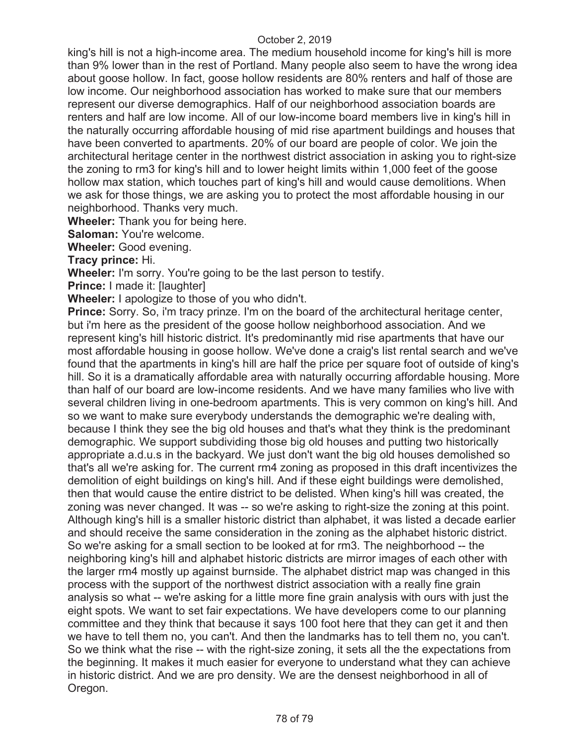king's hill is not a high-income area. The medium household income for king's hill is more than 9% lower than in the rest of Portland. Many people also seem to have the wrong idea about goose hollow. In fact, goose hollow residents are 80% renters and half of those are low income. Our neighborhood association has worked to make sure that our members represent our diverse demographics. Half of our neighborhood association boards are renters and half are low income. All of our low-income board members live in king's hill in the naturally occurring affordable housing of mid rise apartment buildings and houses that have been converted to apartments. 20% of our board are people of color. We join the architectural heritage center in the northwest district association in asking you to right-size the zoning to rm3 for king's hill and to lower height limits within 1,000 feet of the goose hollow max station, which touches part of king's hill and would cause demolitions. When we ask for those things, we are asking you to protect the most affordable housing in our neighborhood. Thanks very much.

**Wheeler:** Thank you for being here.

**Saloman:** You're welcome.

**Wheeler:** Good evening.

**Tracy prince:** Hi.

**Wheeler:** I'm sorry. You're going to be the last person to testify.

**Prince:** I made it: [laughter]

**Wheeler:** I apologize to those of you who didn't.

**Prince:** Sorry. So, i'm tracy prinze. I'm on the board of the architectural heritage center, but i'm here as the president of the goose hollow neighborhood association. And we represent king's hill historic district. It's predominantly mid rise apartments that have our most affordable housing in goose hollow. We've done a craig's list rental search and we've found that the apartments in king's hill are half the price per square foot of outside of king's hill. So it is a dramatically affordable area with naturally occurring affordable housing. More than half of our board are low-income residents. And we have many families who live with several children living in one-bedroom apartments. This is very common on king's hill. And so we want to make sure everybody understands the demographic we're dealing with, because I think they see the big old houses and that's what they think is the predominant demographic. We support subdividing those big old houses and putting two historically appropriate a.d.u.s in the backyard. We just don't want the big old houses demolished so that's all we're asking for. The current rm4 zoning as proposed in this draft incentivizes the demolition of eight buildings on king's hill. And if these eight buildings were demolished, then that would cause the entire district to be delisted. When king's hill was created, the zoning was never changed. It was -- so we're asking to right-size the zoning at this point. Although king's hill is a smaller historic district than alphabet, it was listed a decade earlier and should receive the same consideration in the zoning as the alphabet historic district. So we're asking for a small section to be looked at for rm3. The neighborhood -- the neighboring king's hill and alphabet historic districts are mirror images of each other with the larger rm4 mostly up against burnside. The alphabet district map was changed in this process with the support of the northwest district association with a really fine grain analysis so what -- we're asking for a little more fine grain analysis with ours with just the eight spots. We want to set fair expectations. We have developers come to our planning committee and they think that because it says 100 foot here that they can get it and then we have to tell them no, you can't. And then the landmarks has to tell them no, you can't. So we think what the rise -- with the right-size zoning, it sets all the the expectations from the beginning. It makes it much easier for everyone to understand what they can achieve in historic district. And we are pro density. We are the densest neighborhood in all of Oregon.